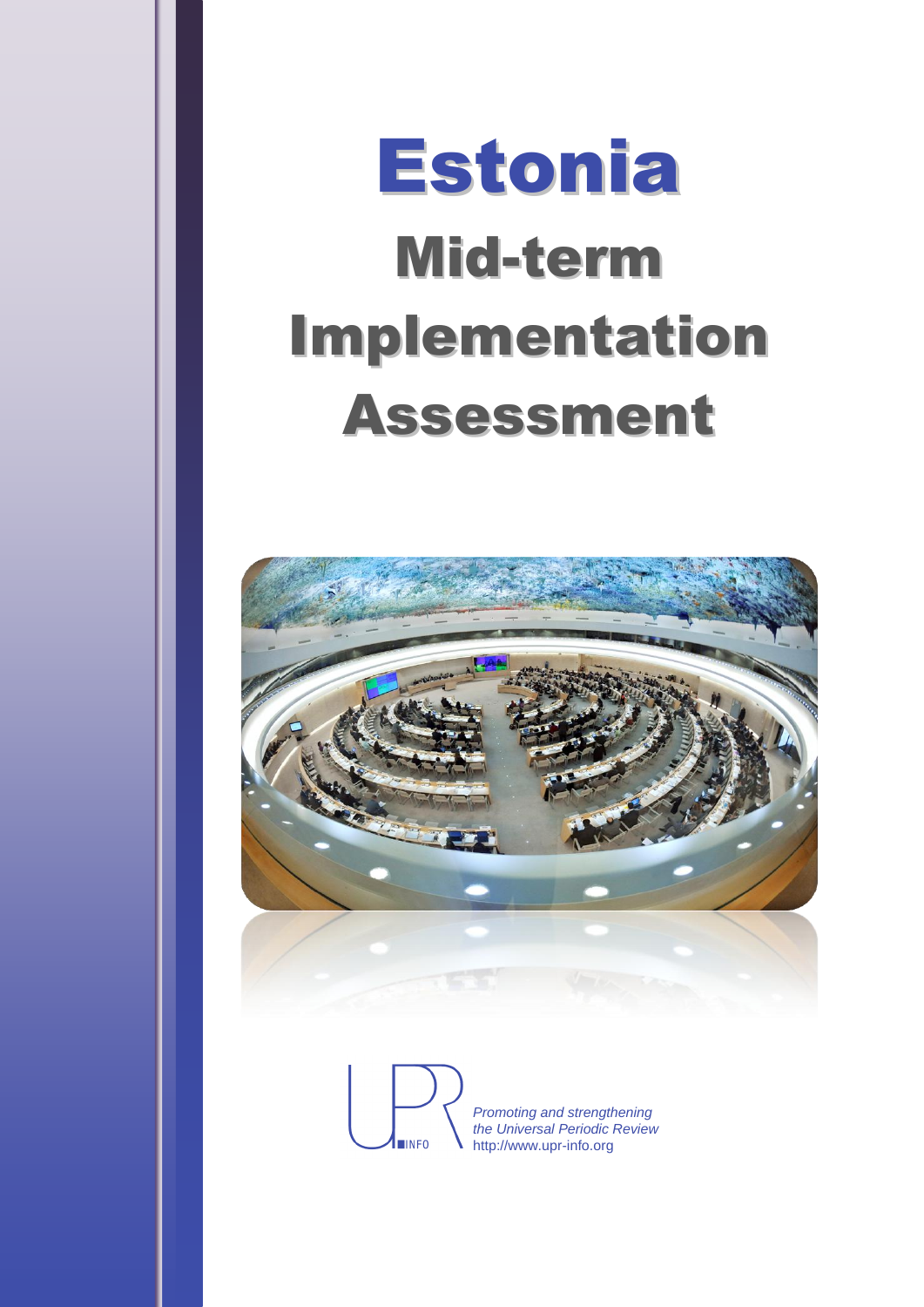# Estonia Mid-term Implementation Assessment



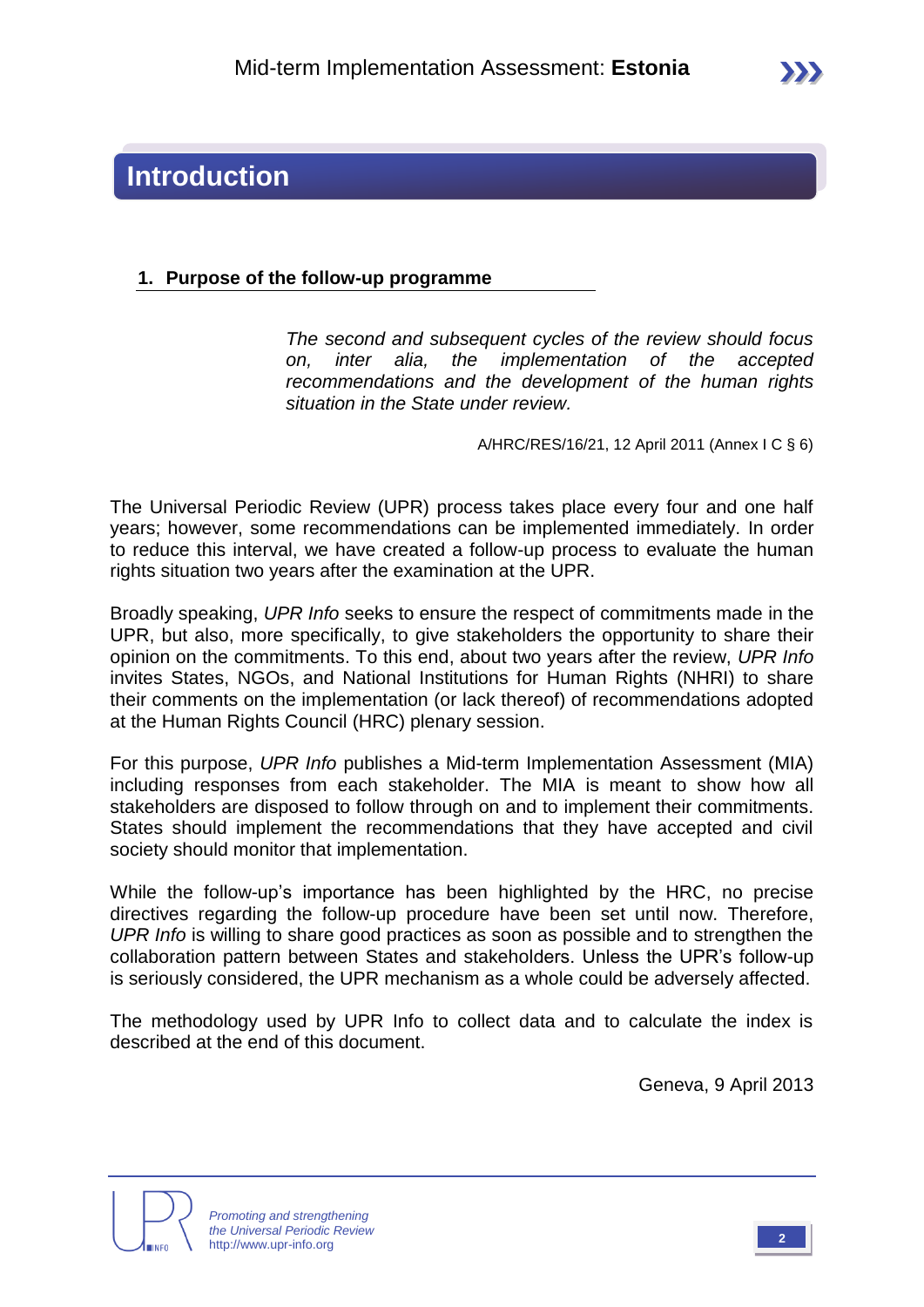### **Introduction**

#### **1. Purpose of the follow-up programme**

*The second and subsequent cycles of the review should focus on, inter alia, the implementation of the accepted recommendations and the development of the human rights situation in the State under review.*

A/HRC/RES/16/21, 12 April 2011 (Annex I C § 6)

The Universal Periodic Review (UPR) process takes place every four and one half years; however, some recommendations can be implemented immediately. In order to reduce this interval, we have created a follow-up process to evaluate the human rights situation two years after the examination at the UPR.

Broadly speaking, *UPR Info* seeks to ensure the respect of commitments made in the UPR, but also, more specifically, to give stakeholders the opportunity to share their opinion on the commitments. To this end, about two years after the review, *UPR Info* invites States, NGOs, and National Institutions for Human Rights (NHRI) to share their comments on the implementation (or lack thereof) of recommendations adopted at the Human Rights Council (HRC) plenary session.

For this purpose, *UPR Info* publishes a Mid-term Implementation Assessment (MIA) including responses from each stakeholder. The MIA is meant to show how all stakeholders are disposed to follow through on and to implement their commitments. States should implement the recommendations that they have accepted and civil society should monitor that implementation.

While the follow-up's importance has been highlighted by the HRC, no precise directives regarding the follow-up procedure have been set until now. Therefore, *UPR Info* is willing to share good practices as soon as possible and to strengthen the collaboration pattern between States and stakeholders. Unless the UPR's follow-up is seriously considered, the UPR mechanism as a whole could be adversely affected.

The methodology used by UPR Info to collect data and to calculate the index is described at the end of this document.

Geneva, 9 April 2013



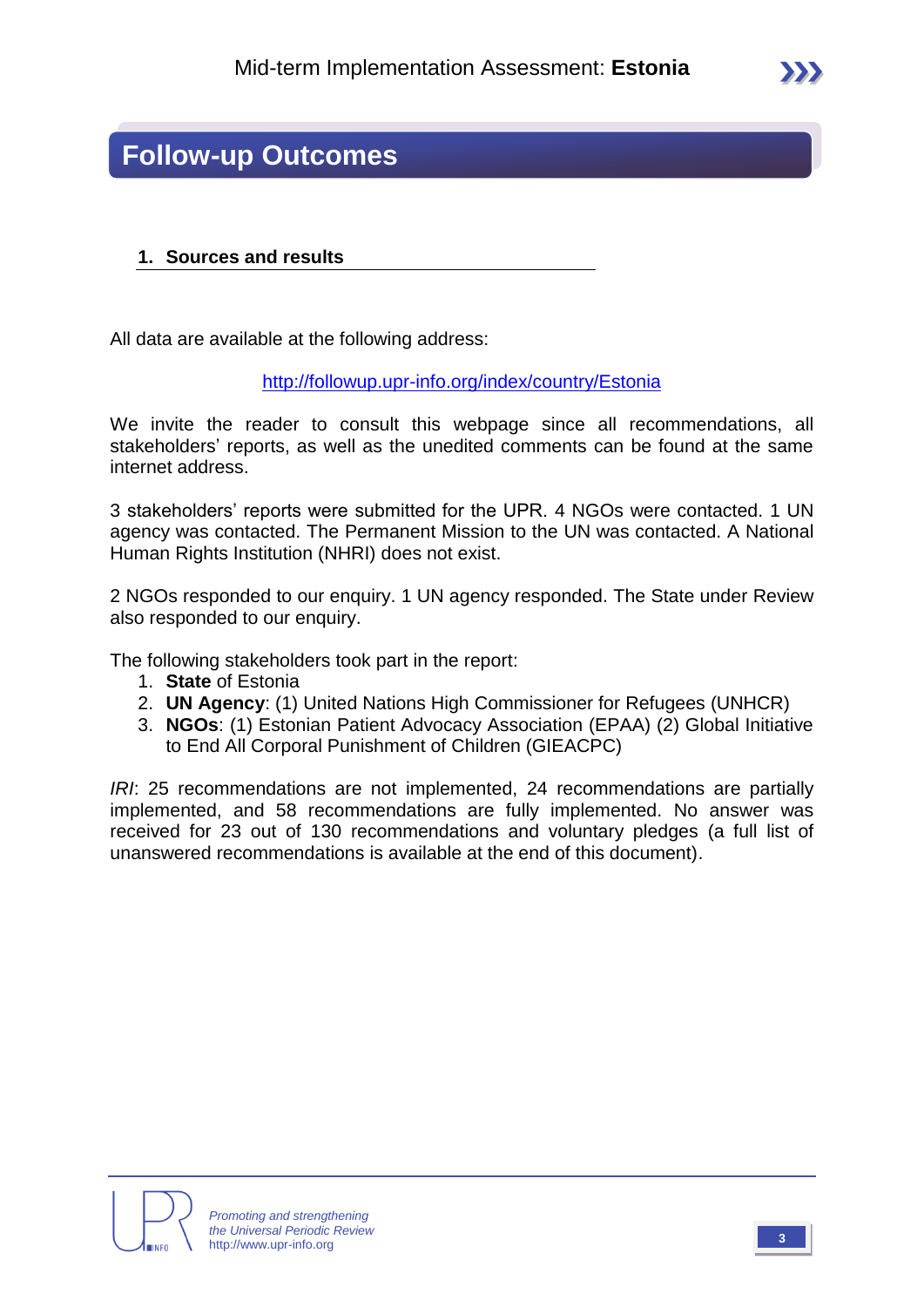### **Follow-up Outcomes**

#### **1. Sources and results**

All data are available at the following address:

<http://followup.upr-info.org/index/country/Estonia>

We invite the reader to consult this webpage since all recommendations, all stakeholders' reports, as well as the unedited comments can be found at the same internet address.

3 stakeholders' reports were submitted for the UPR. 4 NGOs were contacted. 1 UN agency was contacted. The Permanent Mission to the UN was contacted. A National Human Rights Institution (NHRI) does not exist.

2 NGOs responded to our enquiry. 1 UN agency responded. The State under Review also responded to our enquiry.

The following stakeholders took part in the report:

- 1. **State** of Estonia
- 2. **UN Agency**: (1) United Nations High Commissioner for Refugees (UNHCR)
- 3. **NGOs**: (1) Estonian Patient Advocacy Association (EPAA) (2) Global Initiative to End All Corporal Punishment of Children (GIEACPC)

*IRI*: 25 recommendations are not implemented, 24 recommendations are partially implemented, and 58 recommendations are fully implemented. No answer was received for 23 out of 130 recommendations and voluntary pledges (a full list of unanswered recommendations is available at the end of this document).

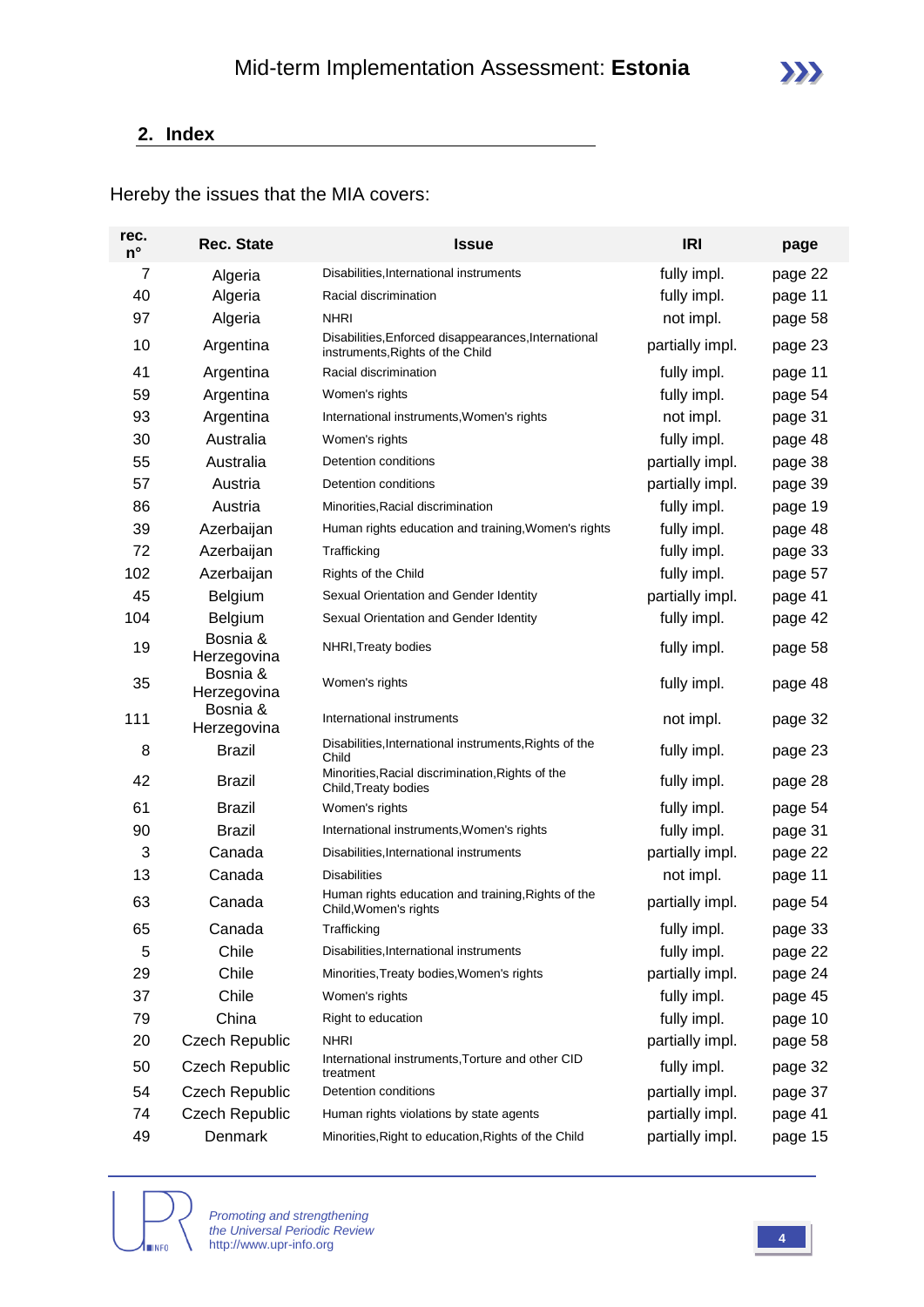#### **2. Index**

Hereby the issues that the MIA covers:

| rec.<br>$n^{\circ}$ | <b>Rec. State</b>       | <b>Issue</b>                                                                             | <b>IRI</b>      | page    |
|---------------------|-------------------------|------------------------------------------------------------------------------------------|-----------------|---------|
| 7                   | Algeria                 | Disabilities, International instruments                                                  | fully impl.     | page 22 |
| 40                  | Algeria                 | Racial discrimination                                                                    | fully impl.     | page 11 |
| 97                  | Algeria                 | <b>NHRI</b>                                                                              | not impl.       | page 58 |
| 10                  | Argentina               | Disabilities, Enforced disappearances, International<br>instruments, Rights of the Child | partially impl. | page 23 |
| 41                  | Argentina               | Racial discrimination                                                                    | fully impl.     | page 11 |
| 59                  | Argentina               | Women's rights                                                                           | fully impl.     | page 54 |
| 93                  | Argentina               | International instruments, Women's rights                                                | not impl.       | page 31 |
| 30                  | Australia               | Women's rights                                                                           | fully impl.     | page 48 |
| 55                  | Australia               | Detention conditions                                                                     | partially impl. | page 38 |
| 57                  | Austria                 | Detention conditions                                                                     | partially impl. | page 39 |
| 86                  | Austria                 | Minorities, Racial discrimination                                                        | fully impl.     | page 19 |
| 39                  | Azerbaijan              | Human rights education and training, Women's rights                                      | fully impl.     | page 48 |
| 72                  | Azerbaijan              | Trafficking                                                                              | fully impl.     | page 33 |
| 102                 | Azerbaijan              | Rights of the Child                                                                      | fully impl.     | page 57 |
| 45                  | Belgium                 | Sexual Orientation and Gender Identity                                                   | partially impl. | page 41 |
| 104                 | <b>Belgium</b>          | Sexual Orientation and Gender Identity                                                   | fully impl.     | page 42 |
| 19                  | Bosnia &<br>Herzegovina | NHRI, Treaty bodies                                                                      | fully impl.     | page 58 |
| 35                  | Bosnia &<br>Herzegovina | Women's rights                                                                           | fully impl.     | page 48 |
| 111                 | Bosnia &<br>Herzegovina | International instruments                                                                | not impl.       | page 32 |
| 8                   | <b>Brazil</b>           | Disabilities, International instruments, Rights of the<br>Child                          | fully impl.     | page 23 |
| 42                  | <b>Brazil</b>           | Minorities, Racial discrimination, Rights of the<br>Child, Treaty bodies                 | fully impl.     | page 28 |
| 61                  | <b>Brazil</b>           | Women's rights                                                                           | fully impl.     | page 54 |
| 90                  | <b>Brazil</b>           | International instruments, Women's rights                                                | fully impl.     | page 31 |
| 3                   | Canada                  | Disabilities, International instruments                                                  | partially impl. | page 22 |
| 13                  | Canada                  | <b>Disabilities</b>                                                                      | not impl.       | page 11 |
| 63                  | Canada                  | Human rights education and training, Rights of the<br>Child, Women's rights              | partially impl. | page 54 |
| 65                  | Canada                  | Trafficking                                                                              | fully impl.     | page 33 |
| 5                   | Chile                   | Disabilities, International instruments                                                  | fully impl.     | page 22 |
| 29                  | Chile                   | Minorities, Treaty bodies, Women's rights                                                | partially impl. | page 24 |
| 37                  | Chile                   | Women's rights                                                                           | fully impl.     | page 45 |
| 79                  | China                   | Right to education                                                                       | fully impl.     | page 10 |
| 20                  | <b>Czech Republic</b>   | NHRI                                                                                     | partially impl. | page 58 |
| 50                  | <b>Czech Republic</b>   | International instruments, Torture and other CID<br>treatment                            | fully impl.     | page 32 |
| 54                  | <b>Czech Republic</b>   | Detention conditions                                                                     | partially impl. | page 37 |
| 74                  | <b>Czech Republic</b>   | Human rights violations by state agents                                                  | partially impl. | page 41 |
| 49                  | Denmark                 | Minorities, Right to education, Rights of the Child                                      | partially impl. | page 15 |

**INFO** 

*Promoting and strengthening the Universal Periodic Review* http://www.upr-info.org **<sup>4</sup>**



 $\sum$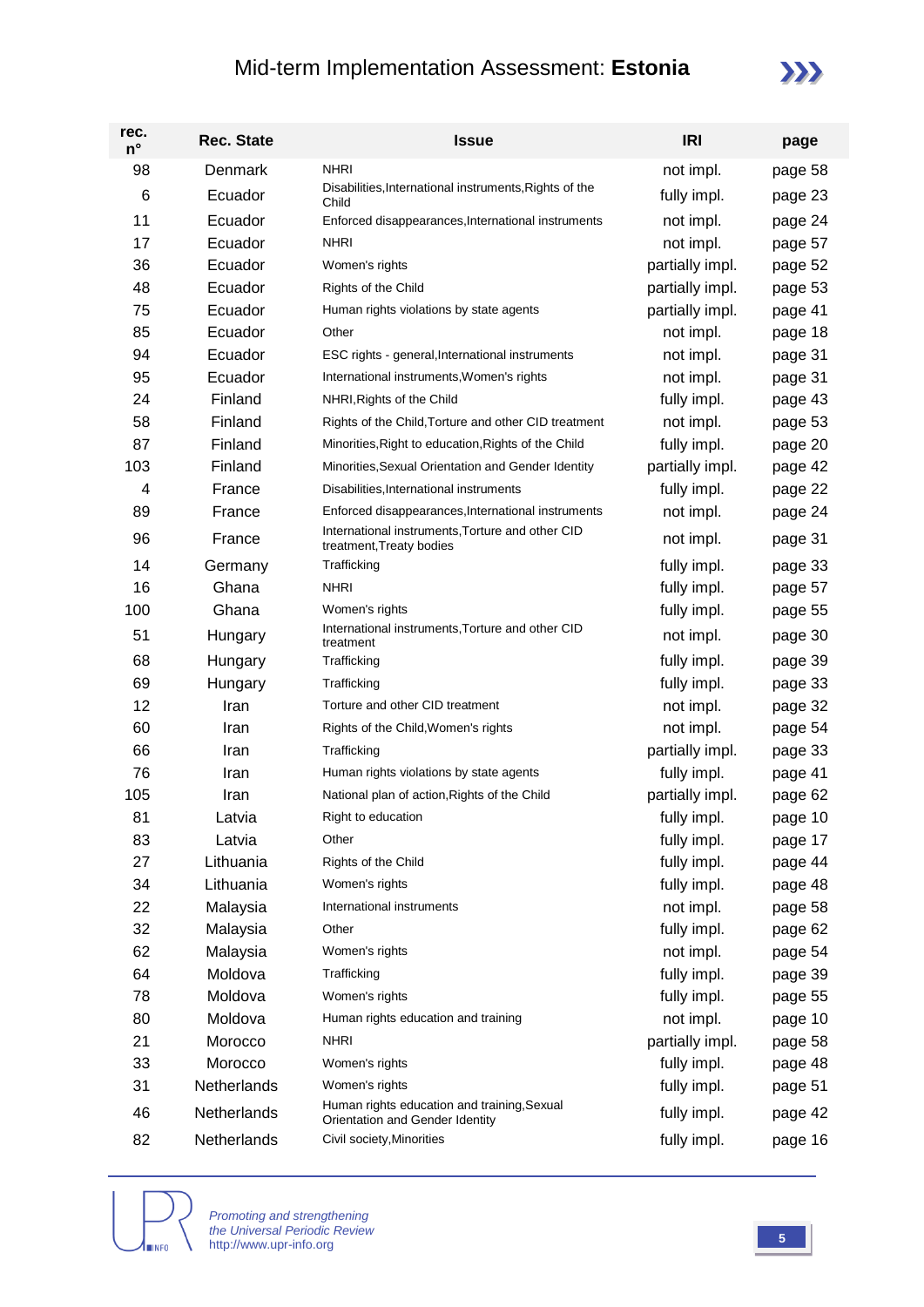### Mid-term Implementation Assessment: **Estonia**



| rec.<br>$n^{\circ}$ | <b>Rec. State</b> | <b>Issue</b>                                                                 | <b>IRI</b>      | page    |
|---------------------|-------------------|------------------------------------------------------------------------------|-----------------|---------|
| 98                  | Denmark           | <b>NHRI</b>                                                                  | not impl.       | page 58 |
| 6                   | Ecuador           | Disabilities, International instruments, Rights of the<br>Child              | fully impl.     | page 23 |
| 11                  | Ecuador           | Enforced disappearances, International instruments                           | not impl.       | page 24 |
| 17                  | Ecuador           | <b>NHRI</b>                                                                  | not impl.       | page 57 |
| 36                  | Ecuador           | Women's rights                                                               | partially impl. | page 52 |
| 48                  | Ecuador           | Rights of the Child                                                          | partially impl. | page 53 |
| 75                  | Ecuador           | Human rights violations by state agents                                      | partially impl. | page 41 |
| 85                  | Ecuador           | Other                                                                        | not impl.       | page 18 |
| 94                  | Ecuador           | ESC rights - general, International instruments                              | not impl.       | page 31 |
| 95                  | Ecuador           | International instruments, Women's rights                                    | not impl.       | page 31 |
| 24                  | Finland           | NHRI, Rights of the Child                                                    | fully impl.     | page 43 |
| 58                  | Finland           | Rights of the Child, Torture and other CID treatment                         | not impl.       | page 53 |
| 87                  | Finland           | Minorities, Right to education, Rights of the Child                          | fully impl.     | page 20 |
| 103                 | Finland           | Minorities, Sexual Orientation and Gender Identity                           | partially impl. | page 42 |
| 4                   | France            | Disabilities, International instruments                                      | fully impl.     | page 22 |
| 89                  | France            | Enforced disappearances, International instruments                           | not impl.       | page 24 |
| 96                  | France            | International instruments, Torture and other CID<br>treatment, Treaty bodies | not impl.       | page 31 |
| 14                  | Germany           | Trafficking                                                                  | fully impl.     | page 33 |
| 16                  | Ghana             | <b>NHRI</b>                                                                  | fully impl.     | page 57 |
| 100                 | Ghana             | Women's rights                                                               | fully impl.     | page 55 |
| 51                  | Hungary           | International instruments, Torture and other CID<br>treatment                | not impl.       | page 30 |
| 68                  | Hungary           | Trafficking                                                                  | fully impl.     | page 39 |
| 69                  | Hungary           | Trafficking                                                                  | fully impl.     | page 33 |
| 12                  | Iran              | Torture and other CID treatment                                              | not impl.       | page 32 |
| 60                  | Iran              | Rights of the Child, Women's rights                                          | not impl.       | page 54 |
| 66                  | Iran              | Trafficking                                                                  | partially impl. | page 33 |
| 76                  | Iran              | Human rights violations by state agents                                      | fully impl.     | page 41 |
| 105                 | Iran              | National plan of action, Rights of the Child                                 | partially impl. | page 62 |
| 81                  | Latvia            | Right to education                                                           | fully impl.     | page 10 |
| 83                  | Latvia            | Other                                                                        | fully impl.     | page 17 |
| 27                  | Lithuania         | Rights of the Child                                                          | fully impl.     | page 44 |
| 34                  | Lithuania         | Women's rights                                                               | fully impl.     | page 48 |
| 22                  | Malaysia          | International instruments                                                    | not impl.       | page 58 |
| 32                  | Malaysia          | Other                                                                        | fully impl.     | page 62 |
| 62                  | Malaysia          | Women's rights                                                               | not impl.       | page 54 |
| 64                  | Moldova           | Trafficking                                                                  | fully impl.     | page 39 |
| 78                  | Moldova           | Women's rights                                                               | fully impl.     | page 55 |
| 80                  | Moldova           | Human rights education and training                                          | not impl.       | page 10 |
| 21                  | Morocco           | <b>NHRI</b>                                                                  | partially impl. | page 58 |
| 33                  | Morocco           | Women's rights                                                               | fully impl.     | page 48 |
| 31                  | Netherlands       | Women's rights<br>Human rights education and training, Sexual                | fully impl.     | page 51 |
| 46                  | Netherlands       | Orientation and Gender Identity                                              | fully impl.     | page 42 |
| 82                  | Netherlands       | Civil society, Minorities                                                    | fully impl.     | page 16 |

**NINFO** 

*Promoting and strengthening the Universal Periodic Review* http://www.upr-info.org **<sup>5</sup>**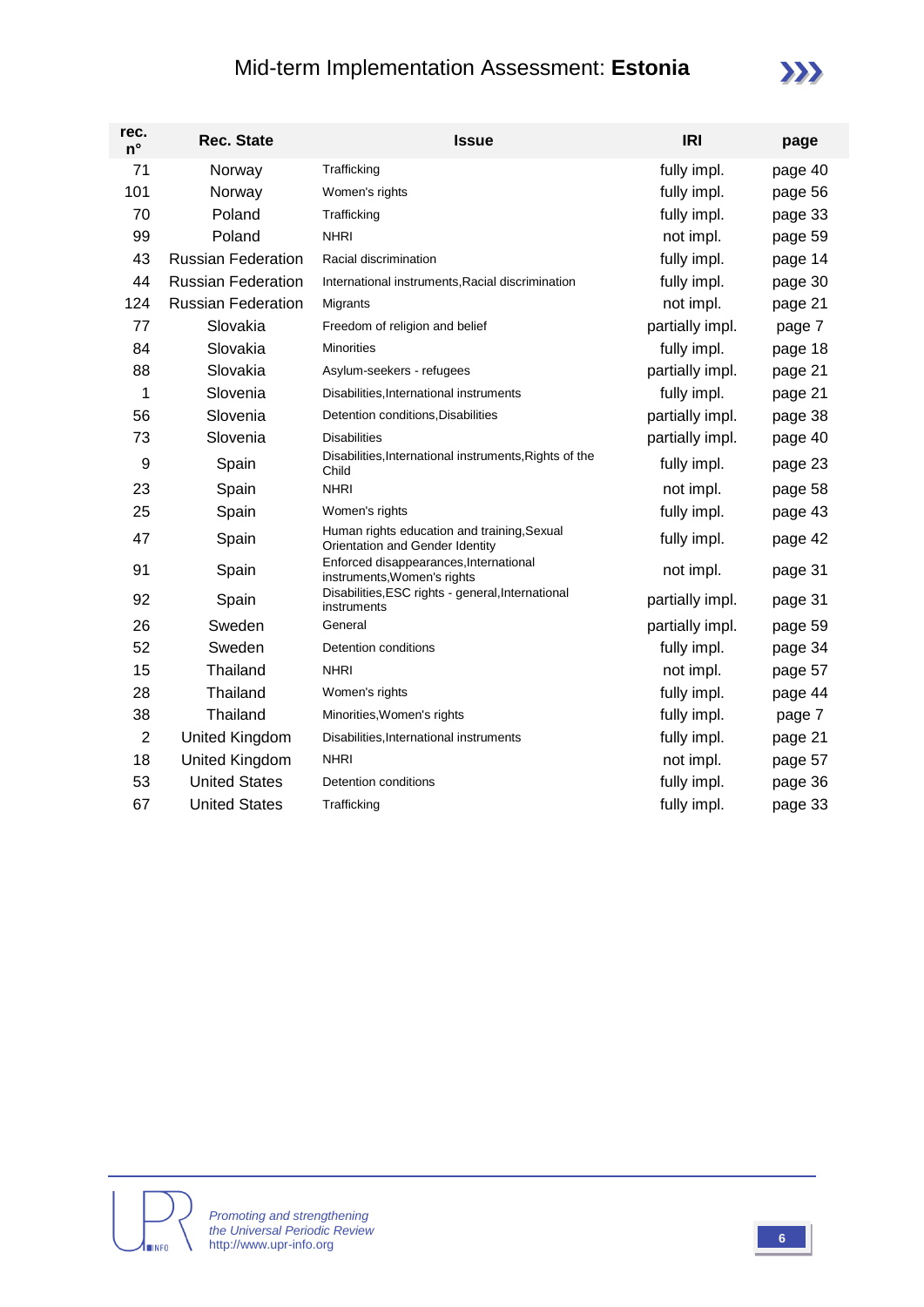### Mid-term Implementation Assessment: **Estonia**

| rec.<br>$n^{\circ}$ | <b>Rec. State</b>         | <b>Issue</b>                                                                   | <b>IRI</b>      | page    |
|---------------------|---------------------------|--------------------------------------------------------------------------------|-----------------|---------|
| 71                  | Norway                    | Trafficking                                                                    | fully impl.     | page 40 |
| 101                 | Norway                    | Women's rights                                                                 | fully impl.     | page 56 |
| 70                  | Poland                    | Trafficking                                                                    | fully impl.     | page 33 |
| 99                  | Poland                    | <b>NHRI</b>                                                                    | not impl.       | page 59 |
| 43                  | <b>Russian Federation</b> | Racial discrimination                                                          | fully impl.     | page 14 |
| 44                  | <b>Russian Federation</b> | International instruments, Racial discrimination                               | fully impl.     | page 30 |
| 124                 | <b>Russian Federation</b> | Migrants                                                                       | not impl.       | page 21 |
| 77                  | Slovakia                  | Freedom of religion and belief                                                 | partially impl. | page 7  |
| 84                  | Slovakia                  | <b>Minorities</b>                                                              | fully impl.     | page 18 |
| 88                  | Slovakia                  | Asylum-seekers - refugees                                                      | partially impl. | page 21 |
| 1                   | Slovenia                  | Disabilities, International instruments                                        | fully impl.     | page 21 |
| 56                  | Slovenia                  | Detention conditions, Disabilities                                             | partially impl. | page 38 |
| 73                  | Slovenia                  | <b>Disabilities</b>                                                            | partially impl. | page 40 |
| 9                   | Spain                     | Disabilities, International instruments, Rights of the<br>Child                | fully impl.     | page 23 |
| 23                  | Spain                     | <b>NHRI</b>                                                                    | not impl.       | page 58 |
| 25                  | Spain                     | Women's rights                                                                 | fully impl.     | page 43 |
| 47                  | Spain                     | Human rights education and training, Sexual<br>Orientation and Gender Identity | fully impl.     | page 42 |
| 91                  | Spain                     | Enforced disappearances, International<br>instruments, Women's rights          | not impl.       | page 31 |
| 92                  | Spain                     | Disabilities, ESC rights - general, International<br>instruments               | partially impl. | page 31 |
| 26                  | Sweden                    | General                                                                        | partially impl. | page 59 |
| 52                  | Sweden                    | Detention conditions                                                           | fully impl.     | page 34 |
| 15                  | Thailand                  | <b>NHRI</b>                                                                    | not impl.       | page 57 |
| 28                  | Thailand                  | Women's rights                                                                 | fully impl.     | page 44 |
| 38                  | Thailand                  | Minorities, Women's rights                                                     | fully impl.     | page 7  |
| $\overline{2}$      | <b>United Kingdom</b>     | Disabilities, International instruments                                        | fully impl.     | page 21 |
| 18                  | <b>United Kingdom</b>     | <b>NHRI</b>                                                                    | not impl.       | page 57 |
| 53                  | <b>United States</b>      | Detention conditions                                                           | fully impl.     | page 36 |
| 67                  | <b>United States</b>      | Trafficking                                                                    | fully impl.     | page 33 |

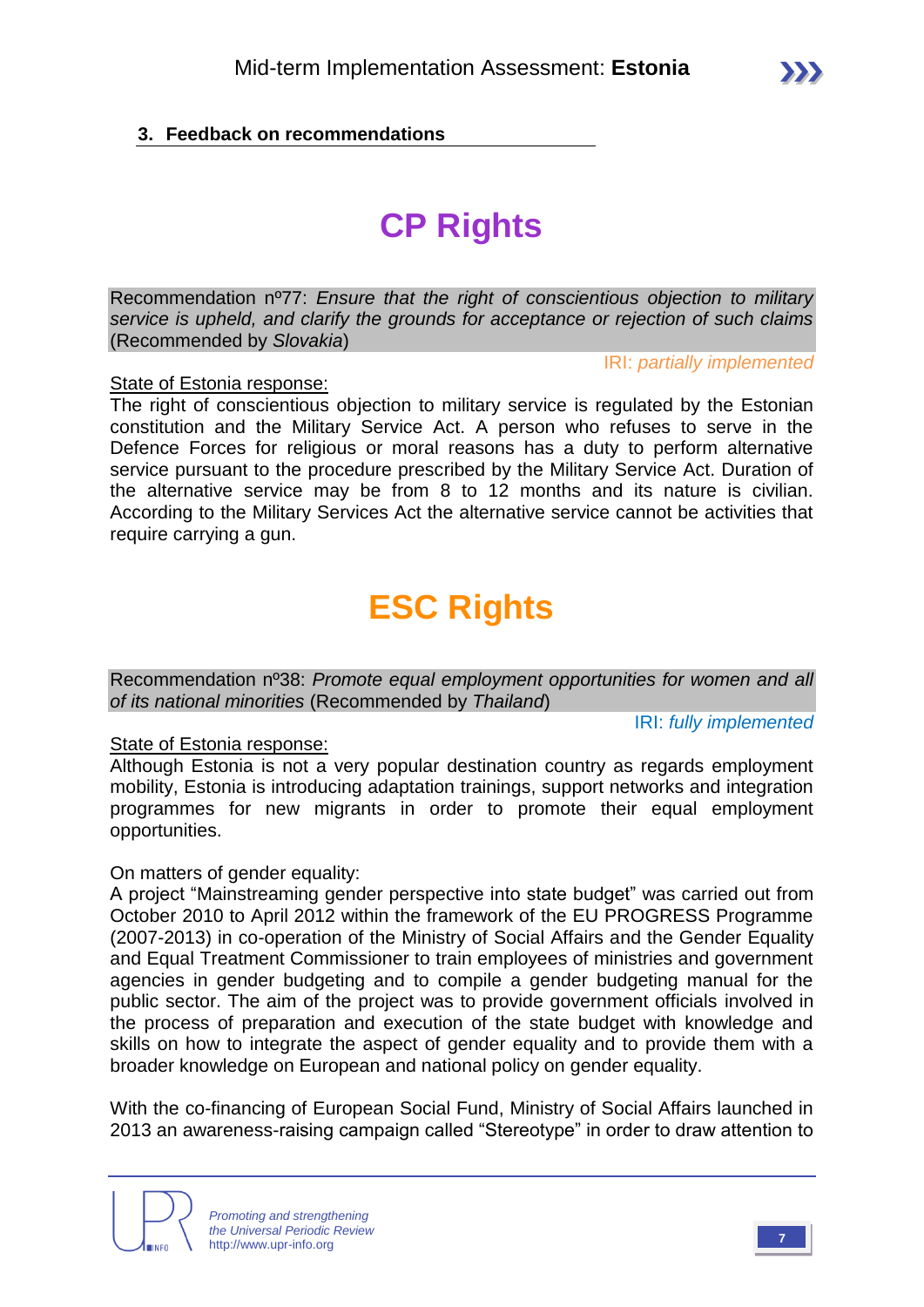#### **3. Feedback on recommendations**

# **CP Rights**

Recommendation nº77: *Ensure that the right of conscientious objection to military service is upheld, and clarify the grounds for acceptance or rejection of such claims*  (Recommended by *Slovakia*)

IRI: *partially implemented*

State of Estonia response:

The right of conscientious objection to military service is regulated by the Estonian constitution and the Military Service Act. A person who refuses to serve in the Defence Forces for religious or moral reasons has a duty to perform alternative service pursuant to the procedure prescribed by the Military Service Act. Duration of the alternative service may be from 8 to 12 months and its nature is civilian. According to the Military Services Act the alternative service cannot be activities that require carrying a gun.

# **ESC Rights**

Recommendation nº38: *Promote equal employment opportunities for women and all of its national minorities* (Recommended by *Thailand*)

IRI: *fully implemented*

#### State of Estonia response:

Although Estonia is not a very popular destination country as regards employment mobility, Estonia is introducing adaptation trainings, support networks and integration programmes for new migrants in order to promote their equal employment opportunities.

On matters of gender equality:

A project "Mainstreaming gender perspective into state budget" was carried out from October 2010 to April 2012 within the framework of the EU PROGRESS Programme (2007-2013) in co-operation of the Ministry of Social Affairs and the Gender Equality and Equal Treatment Commissioner to train employees of ministries and government agencies in gender budgeting and to compile a gender budgeting manual for the public sector. The aim of the project was to provide government officials involved in the process of preparation and execution of the state budget with knowledge and skills on how to integrate the aspect of gender equality and to provide them with a broader knowledge on European and national policy on gender equality.

With the co-financing of European Social Fund, Ministry of Social Affairs launched in 2013 an awareness-raising campaign called "Stereotype" in order to draw attention to

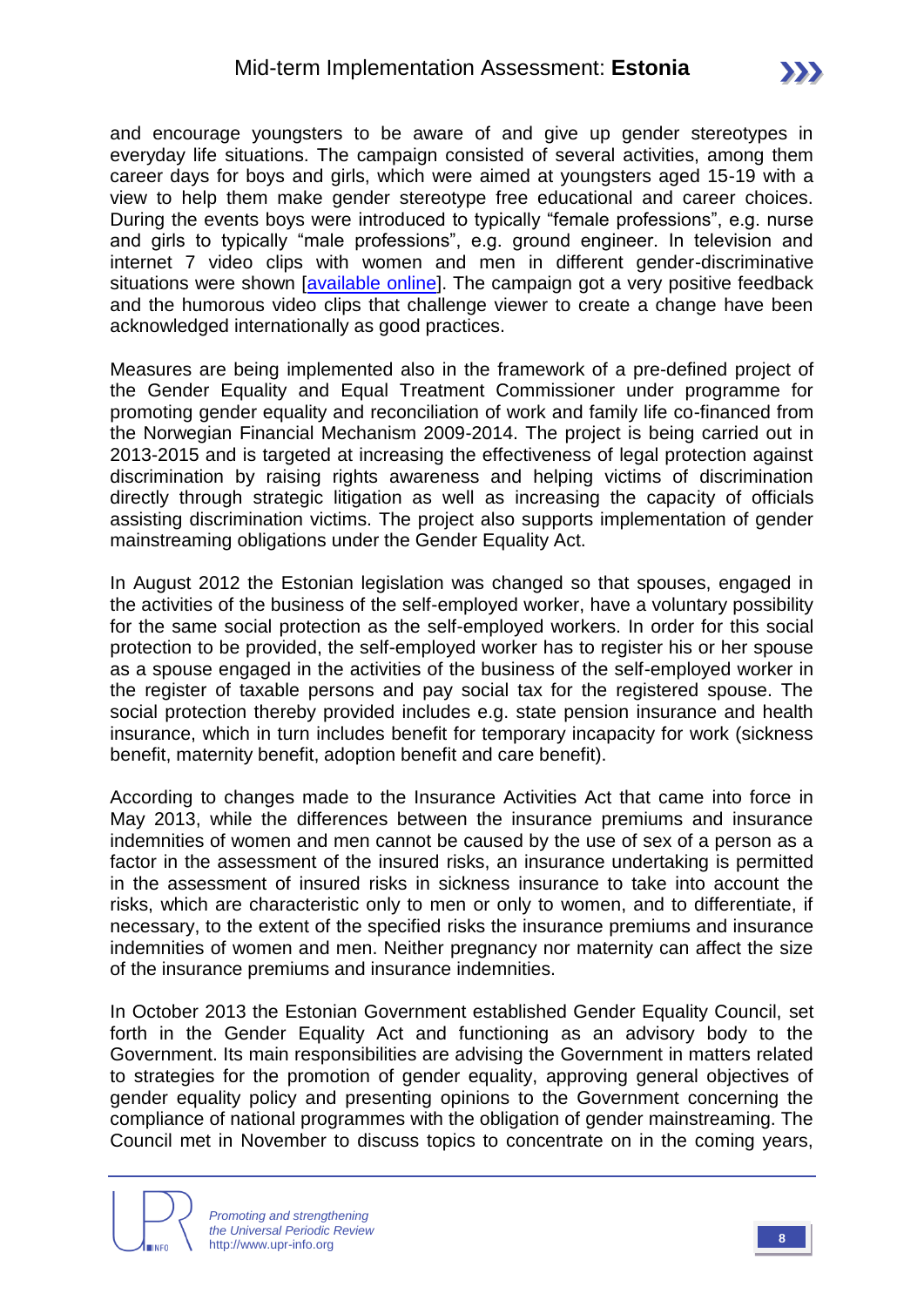and encourage youngsters to be aware of and give up gender stereotypes in everyday life situations. The campaign consisted of several activities, among them career days for boys and girls, which were aimed at youngsters aged 15-19 with a view to help them make gender stereotype free educational and career choices. During the events boys were introduced to typically "female professions", e.g. nurse and girls to typically "male professions", e.g. ground engineer. In television and internet 7 video clips with women and men in different gender-discriminative situations were shown *[\[available online\]](http://www.stereotyyp.ee/en/)*. The campaign got a very positive feedback and the humorous video clips that challenge viewer to create a change have been acknowledged internationally as good practices.

Measures are being implemented also in the framework of a pre-defined project of the Gender Equality and Equal Treatment Commissioner under programme for promoting gender equality and reconciliation of work and family life co-financed from the Norwegian Financial Mechanism 2009-2014. The project is being carried out in 2013-2015 and is targeted at increasing the effectiveness of legal protection against discrimination by raising rights awareness and helping victims of discrimination directly through strategic litigation as well as increasing the capacity of officials assisting discrimination victims. The project also supports implementation of gender mainstreaming obligations under the Gender Equality Act.

In August 2012 the Estonian legislation was changed so that spouses, engaged in the activities of the business of the self-employed worker, have a voluntary possibility for the same social protection as the self-employed workers. In order for this social protection to be provided, the self-employed worker has to register his or her spouse as a spouse engaged in the activities of the business of the self-employed worker in the register of taxable persons and pay social tax for the registered spouse. The social protection thereby provided includes e.g. state pension insurance and health insurance, which in turn includes benefit for temporary incapacity for work (sickness benefit, maternity benefit, adoption benefit and care benefit).

According to changes made to the Insurance Activities Act that came into force in May 2013, while the differences between the insurance premiums and insurance indemnities of women and men cannot be caused by the use of sex of a person as a factor in the assessment of the insured risks, an insurance undertaking is permitted in the assessment of insured risks in sickness insurance to take into account the risks, which are characteristic only to men or only to women, and to differentiate, if necessary, to the extent of the specified risks the insurance premiums and insurance indemnities of women and men. Neither pregnancy nor maternity can affect the size of the insurance premiums and insurance indemnities.

In October 2013 the Estonian Government established Gender Equality Council, set forth in the Gender Equality Act and functioning as an advisory body to the Government. Its main responsibilities are advising the Government in matters related to strategies for the promotion of gender equality, approving general objectives of gender equality policy and presenting opinions to the Government concerning the compliance of national programmes with the obligation of gender mainstreaming. The Council met in November to discuss topics to concentrate on in the coming years,

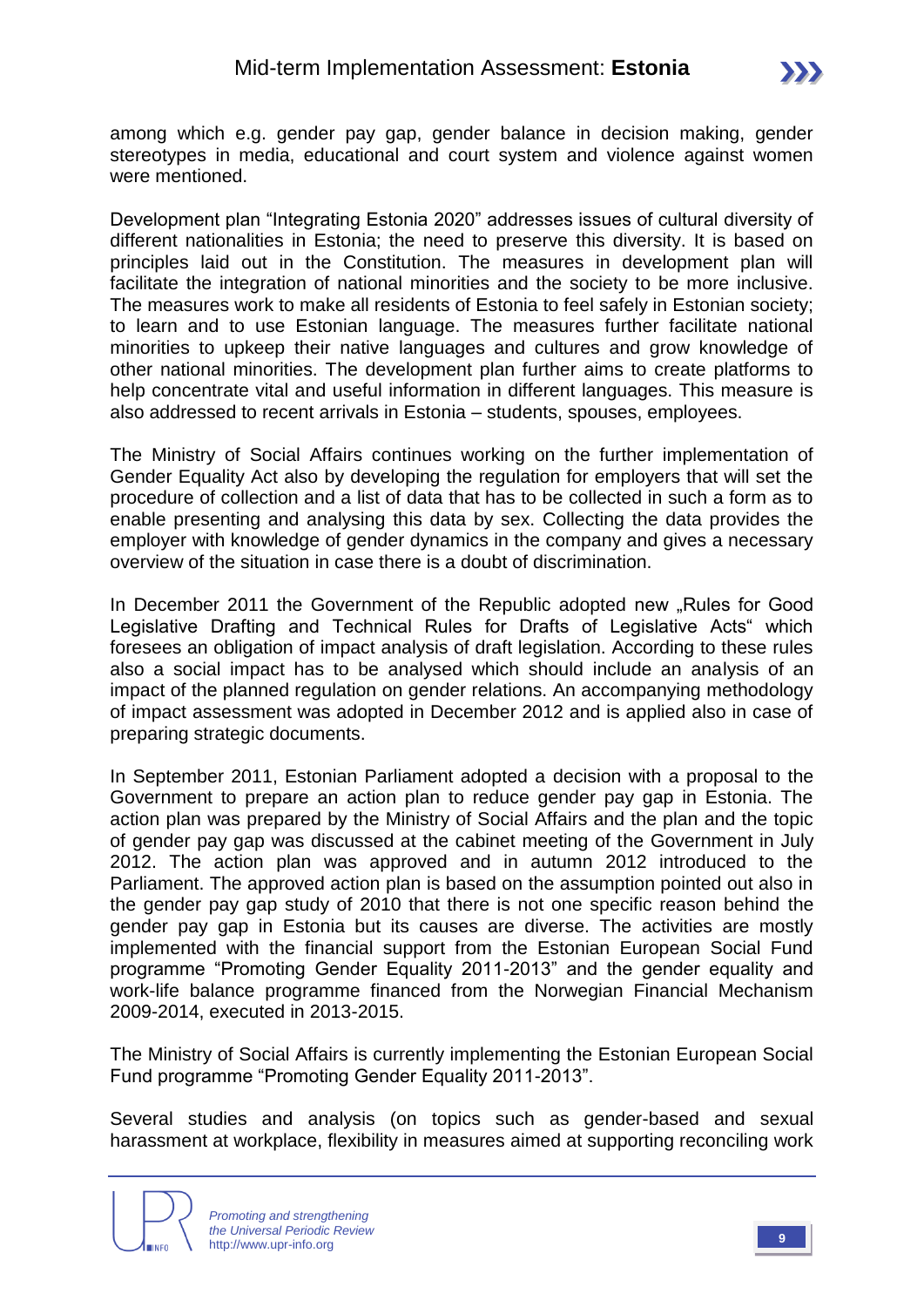

among which e.g. gender pay gap, gender balance in decision making, gender stereotypes in media, educational and court system and violence against women were mentioned.

Development plan "Integrating Estonia 2020" addresses issues of cultural diversity of different nationalities in Estonia; the need to preserve this diversity. It is based on principles laid out in the Constitution. The measures in development plan will facilitate the integration of national minorities and the society to be more inclusive. The measures work to make all residents of Estonia to feel safely in Estonian society; to learn and to use Estonian language. The measures further facilitate national minorities to upkeep their native languages and cultures and grow knowledge of other national minorities. The development plan further aims to create platforms to help concentrate vital and useful information in different languages. This measure is also addressed to recent arrivals in Estonia – students, spouses, employees.

The Ministry of Social Affairs continues working on the further implementation of Gender Equality Act also by developing the regulation for employers that will set the procedure of collection and a list of data that has to be collected in such a form as to enable presenting and analysing this data by sex. Collecting the data provides the employer with knowledge of gender dynamics in the company and gives a necessary overview of the situation in case there is a doubt of discrimination.

In December 2011 the Government of the Republic adopted new "Rules for Good Legislative Drafting and Technical Rules for Drafts of Legislative Acts" which foresees an obligation of impact analysis of draft legislation. According to these rules also a social impact has to be analysed which should include an analysis of an impact of the planned regulation on gender relations. An accompanying methodology of impact assessment was adopted in December 2012 and is applied also in case of preparing strategic documents.

In September 2011, Estonian Parliament adopted a decision with a proposal to the Government to prepare an action plan to reduce gender pay gap in Estonia. The action plan was prepared by the Ministry of Social Affairs and the plan and the topic of gender pay gap was discussed at the cabinet meeting of the Government in July 2012. The action plan was approved and in autumn 2012 introduced to the Parliament. The approved action plan is based on the assumption pointed out also in the gender pay gap study of 2010 that there is not one specific reason behind the gender pay gap in Estonia but its causes are diverse. The activities are mostly implemented with the financial support from the Estonian European Social Fund programme "Promoting Gender Equality 2011-2013" and the gender equality and work-life balance programme financed from the Norwegian Financial Mechanism 2009-2014, executed in 2013-2015.

The Ministry of Social Affairs is currently implementing the Estonian European Social Fund programme "Promoting Gender Equality 2011-2013".

Several studies and analysis (on topics such as gender-based and sexual harassment at workplace, flexibility in measures aimed at supporting reconciling work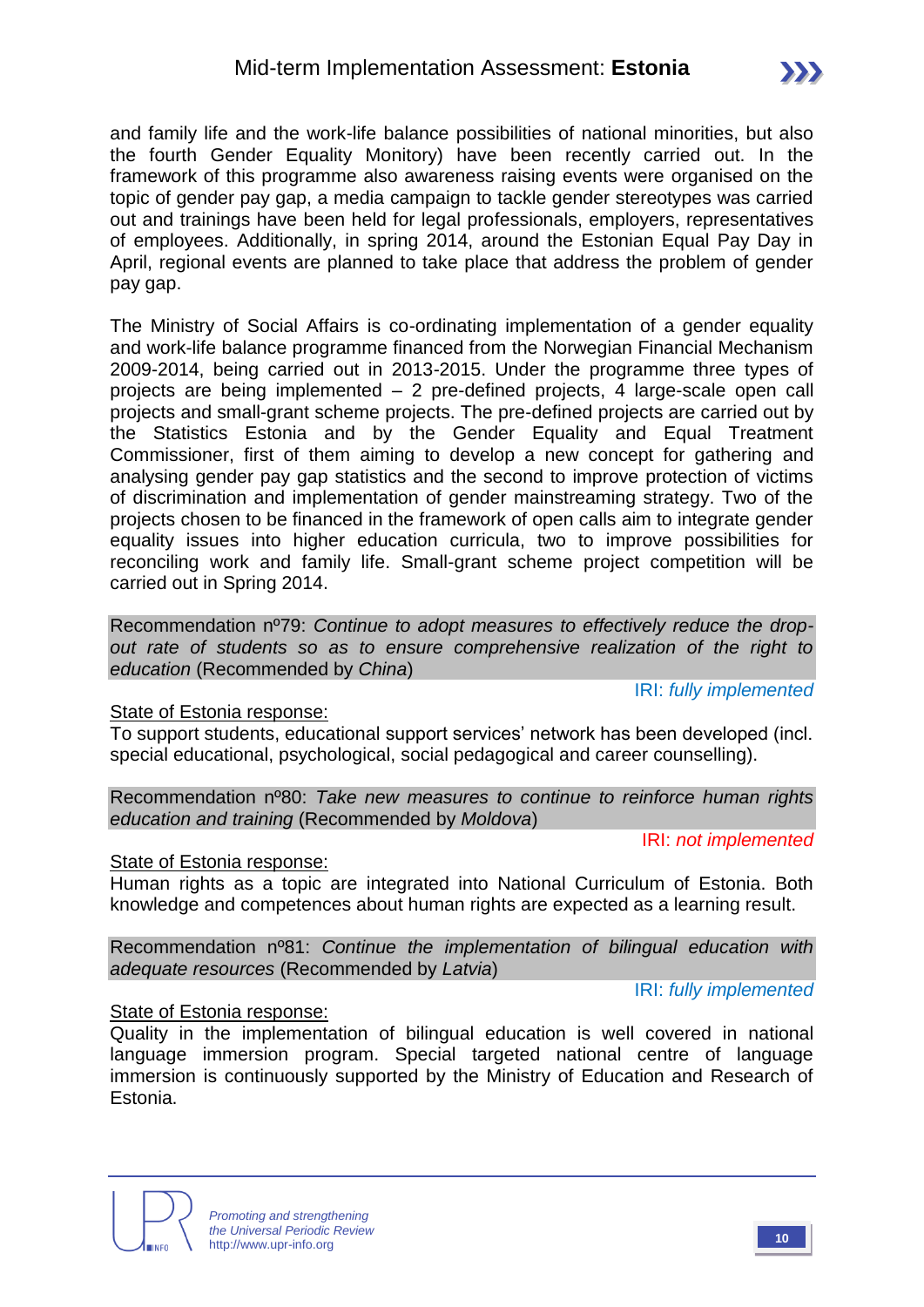and family life and the work-life balance possibilities of national minorities, but also the fourth Gender Equality Monitory) have been recently carried out. In the framework of this programme also awareness raising events were organised on the topic of gender pay gap, a media campaign to tackle gender stereotypes was carried out and trainings have been held for legal professionals, employers, representatives of employees. Additionally, in spring 2014, around the Estonian Equal Pay Day in April, regional events are planned to take place that address the problem of gender pay gap.

The Ministry of Social Affairs is co-ordinating implementation of a gender equality and work-life balance programme financed from the Norwegian Financial Mechanism 2009-2014, being carried out in 2013-2015. Under the programme three types of projects are being implemented – 2 pre-defined projects, 4 large-scale open call projects and small-grant scheme projects. The pre-defined projects are carried out by the Statistics Estonia and by the Gender Equality and Equal Treatment Commissioner, first of them aiming to develop a new concept for gathering and analysing gender pay gap statistics and the second to improve protection of victims of discrimination and implementation of gender mainstreaming strategy. Two of the projects chosen to be financed in the framework of open calls aim to integrate gender equality issues into higher education curricula, two to improve possibilities for reconciling work and family life. Small-grant scheme project competition will be carried out in Spring 2014.

Recommendation nº79: *Continue to adopt measures to effectively reduce the dropout rate of students so as to ensure comprehensive realization of the right to education* (Recommended by *China*)

IRI: *fully implemented*

#### State of Estonia response:

To support students, educational support services' network has been developed (incl. special educational, psychological, social pedagogical and career counselling).

Recommendation nº80: *Take new measures to continue to reinforce human rights education and training* (Recommended by *Moldova*)

IRI: *not implemented*

#### State of Estonia response:

Human rights as a topic are integrated into National Curriculum of Estonia. Both knowledge and competences about human rights are expected as a learning result.

Recommendation nº81: *Continue the implementation of bilingual education with adequate resources* (Recommended by *Latvia*)

IRI: *fully implemented*

#### State of Estonia response:

Quality in the implementation of bilingual education is well covered in national language immersion program. Special targeted national centre of language immersion is continuously supported by the Ministry of Education and Research of Estonia.



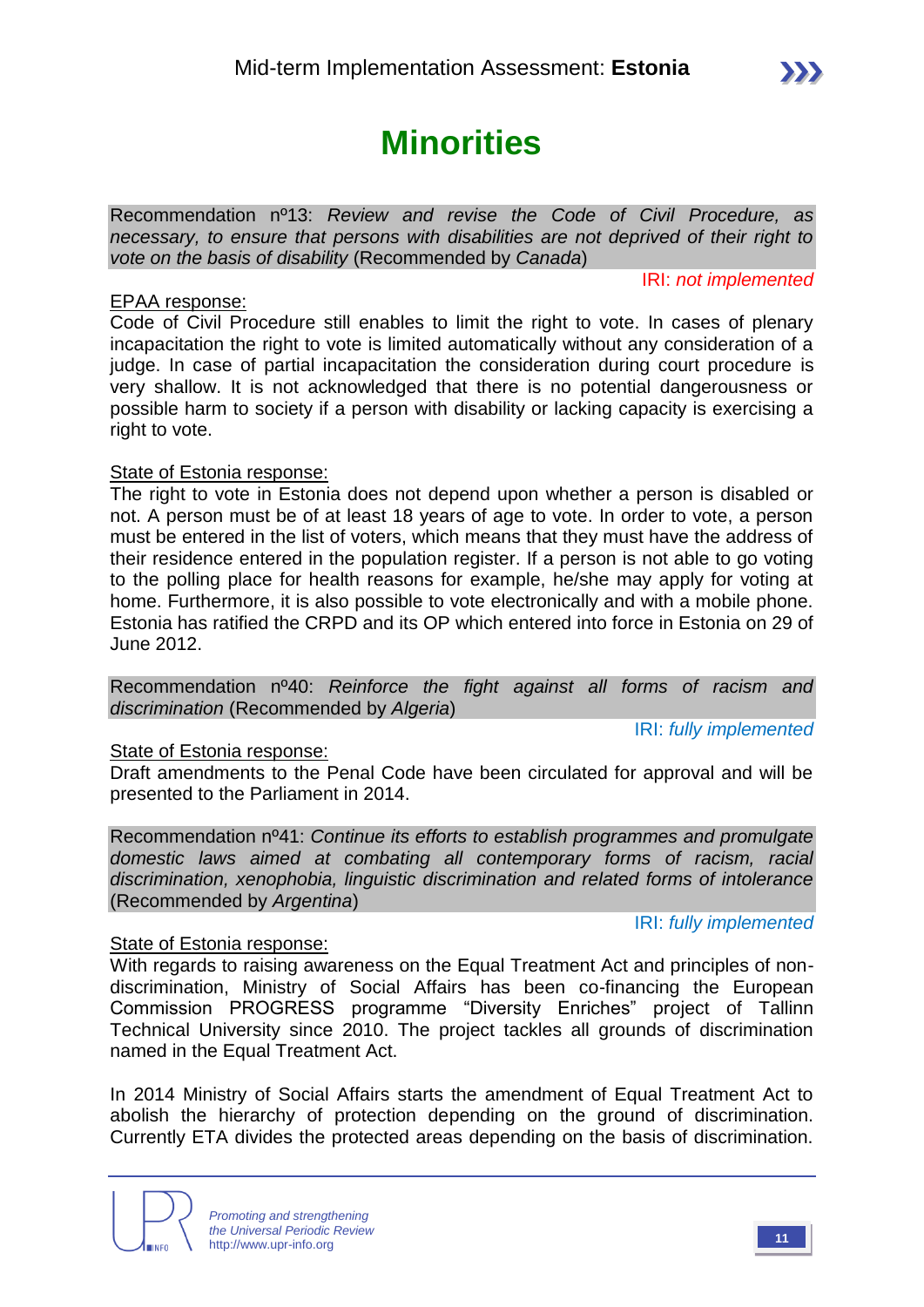# **Minorities**

Recommendation nº13: *Review and revise the Code of Civil Procedure, as necessary, to ensure that persons with disabilities are not deprived of their right to vote on the basis of disability* (Recommended by *Canada*)

IRI: *not implemented*

#### EPAA response:

Code of Civil Procedure still enables to limit the right to vote. In cases of plenary incapacitation the right to vote is limited automatically without any consideration of a judge. In case of partial incapacitation the consideration during court procedure is very shallow. It is not acknowledged that there is no potential dangerousness or possible harm to society if a person with disability or lacking capacity is exercising a right to vote.

#### State of Estonia response:

The right to vote in Estonia does not depend upon whether a person is disabled or not. A person must be of at least 18 years of age to vote. In order to vote, a person must be entered in the list of voters, which means that they must have the address of their residence entered in the population register. If a person is not able to go voting to the polling place for health reasons for example, he/she may apply for voting at home. Furthermore, it is also possible to vote electronically and with a mobile phone. Estonia has ratified the CRPD and its OP which entered into force in Estonia on 29 of June 2012.

Recommendation nº40: *Reinforce the fight against all forms of racism and discrimination* (Recommended by *Algeria*)

IRI: *fully implemented*

#### State of Estonia response:

Draft amendments to the Penal Code have been circulated for approval and will be presented to the Parliament in 2014.

Recommendation nº41: *Continue its efforts to establish programmes and promulgate domestic laws aimed at combating all contemporary forms of racism, racial discrimination, xenophobia, linguistic discrimination and related forms of intolerance*  (Recommended by *Argentina*)

#### IRI: *fully implemented*

#### State of Estonia response:

With regards to raising awareness on the Equal Treatment Act and principles of nondiscrimination, Ministry of Social Affairs has been co-financing the European Commission PROGRESS programme "Diversity Enriches" project of Tallinn Technical University since 2010. The project tackles all grounds of discrimination named in the Equal Treatment Act.

In 2014 Ministry of Social Affairs starts the amendment of Equal Treatment Act to abolish the hierarchy of protection depending on the ground of discrimination. Currently ETA divides the protected areas depending on the basis of discrimination.

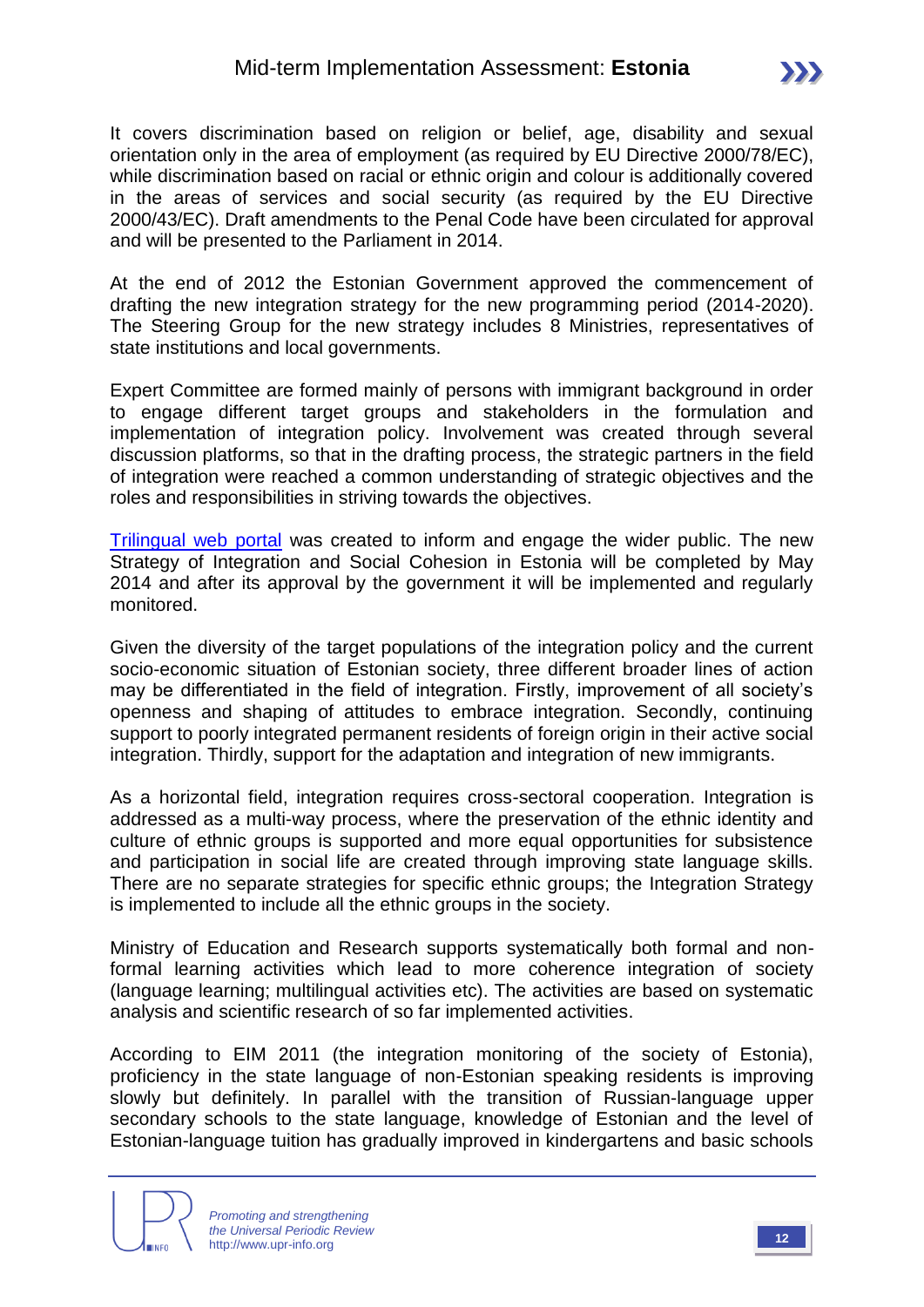It covers discrimination based on religion or belief, age, disability and sexual orientation only in the area of employment (as required by EU Directive 2000/78/EC), while discrimination based on racial or ethnic origin and colour is additionally covered in the areas of services and social security (as required by the EU Directive 2000/43/EC). Draft amendments to the Penal Code have been circulated for approval and will be presented to the Parliament in 2014.

At the end of 2012 the Estonian Government approved the commencement of drafting the new integration strategy for the new programming period (2014-2020). The Steering Group for the new strategy includes 8 Ministries, representatives of state institutions and local governments.

Expert Committee are formed mainly of persons with immigrant background in order to engage different target groups and stakeholders in the formulation and implementation of integration policy. Involvement was created through several discussion platforms, so that in the drafting process, the strategic partners in the field of integration were reached a common understanding of strategic objectives and the roles and responsibilities in striving towards the objectives.

[Trilingual web portal](http://www.integratsioon.ee/en) was created to inform and engage the wider public. The new Strategy of Integration and Social Cohesion in Estonia will be completed by May 2014 and after its approval by the government it will be implemented and regularly monitored.

Given the diversity of the target populations of the integration policy and the current socio-economic situation of Estonian society, three different broader lines of action may be differentiated in the field of integration. Firstly, improvement of all society's openness and shaping of attitudes to embrace integration. Secondly, continuing support to poorly integrated permanent residents of foreign origin in their active social integration. Thirdly, support for the adaptation and integration of new immigrants.

As a horizontal field, integration requires cross-sectoral cooperation. Integration is addressed as a multi-way process, where the preservation of the ethnic identity and culture of ethnic groups is supported and more equal opportunities for subsistence and participation in social life are created through improving state language skills. There are no separate strategies for specific ethnic groups; the Integration Strategy is implemented to include all the ethnic groups in the society.

Ministry of Education and Research supports systematically both formal and nonformal learning activities which lead to more coherence integration of society (language learning; multilingual activities etc). The activities are based on systematic analysis and scientific research of so far implemented activities.

According to EIM 2011 (the integration monitoring of the society of Estonia), proficiency in the state language of non-Estonian speaking residents is improving slowly but definitely. In parallel with the transition of Russian-language upper secondary schools to the state language, knowledge of Estonian and the level of Estonian-language tuition has gradually improved in kindergartens and basic schools

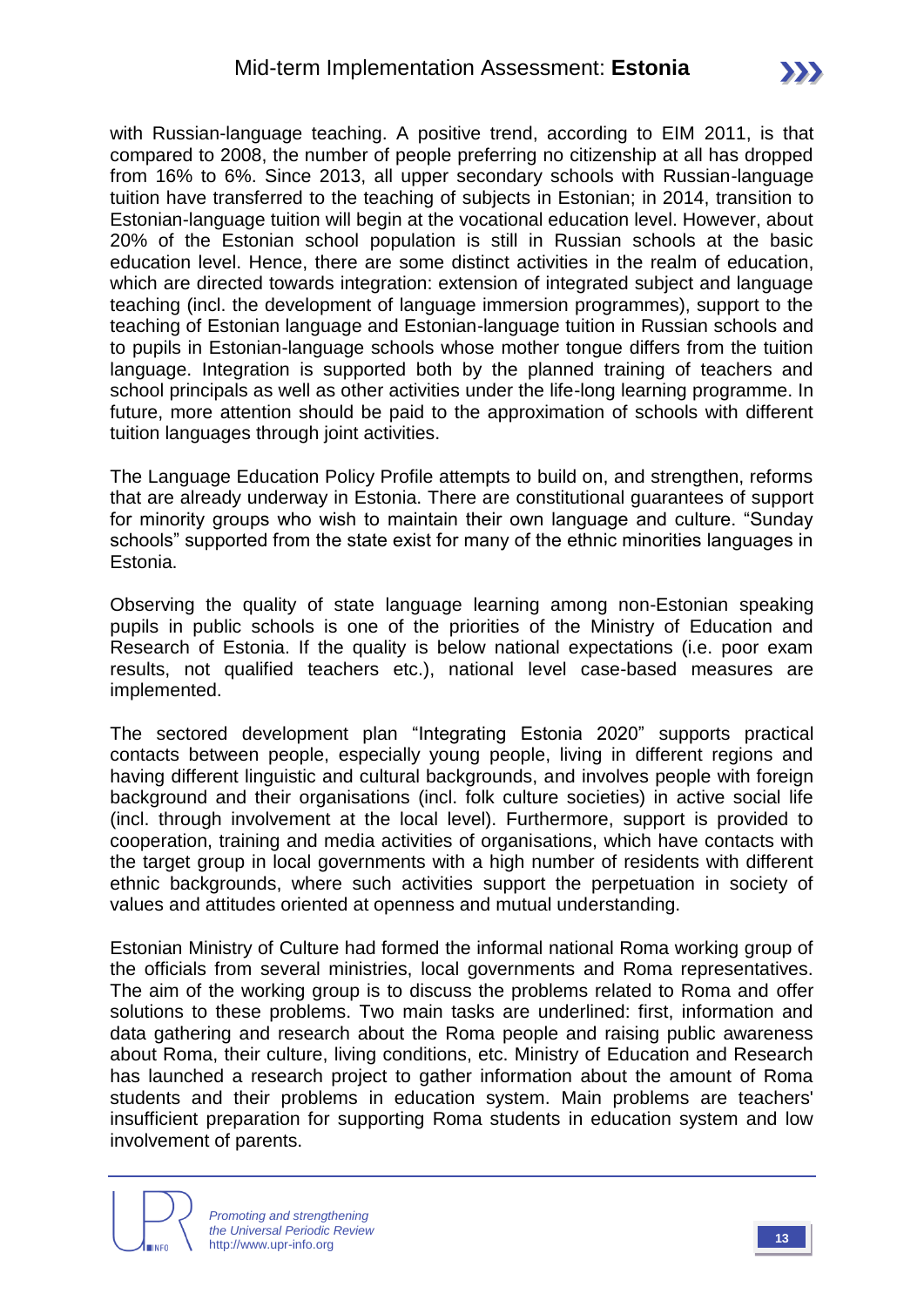with Russian-language teaching. A positive trend, according to EIM 2011, is that compared to 2008, the number of people preferring no citizenship at all has dropped from 16% to 6%. Since 2013, all upper secondary schools with Russian-language tuition have transferred to the teaching of subjects in Estonian; in 2014, transition to Estonian-language tuition will begin at the vocational education level. However, about 20% of the Estonian school population is still in Russian schools at the basic education level. Hence, there are some distinct activities in the realm of education, which are directed towards integration: extension of integrated subject and language teaching (incl. the development of language immersion programmes), support to the teaching of Estonian language and Estonian-language tuition in Russian schools and to pupils in Estonian-language schools whose mother tongue differs from the tuition language. Integration is supported both by the planned training of teachers and school principals as well as other activities under the life-long learning programme. In future, more attention should be paid to the approximation of schools with different tuition languages through joint activities.

The Language Education Policy Profile attempts to build on, and strengthen, reforms that are already underway in Estonia. There are constitutional guarantees of support for minority groups who wish to maintain their own language and culture. "Sunday schools" supported from the state exist for many of the ethnic minorities languages in Estonia.

Observing the quality of state language learning among non-Estonian speaking pupils in public schools is one of the priorities of the Ministry of Education and Research of Estonia. If the quality is below national expectations (i.e. poor exam results, not qualified teachers etc.), national level case-based measures are implemented.

The sectored development plan "Integrating Estonia 2020" supports practical contacts between people, especially young people, living in different regions and having different linguistic and cultural backgrounds, and involves people with foreign background and their organisations (incl. folk culture societies) in active social life (incl. through involvement at the local level). Furthermore, support is provided to cooperation, training and media activities of organisations, which have contacts with the target group in local governments with a high number of residents with different ethnic backgrounds, where such activities support the perpetuation in society of values and attitudes oriented at openness and mutual understanding.

Estonian Ministry of Culture had formed the informal national Roma working group of the officials from several ministries, local governments and Roma representatives. The aim of the working group is to discuss the problems related to Roma and offer solutions to these problems. Two main tasks are underlined: first, information and data gathering and research about the Roma people and raising public awareness about Roma, their culture, living conditions, etc. Ministry of Education and Research has launched a research project to gather information about the amount of Roma students and their problems in education system. Main problems are teachers' insufficient preparation for supporting Roma students in education system and low involvement of parents.

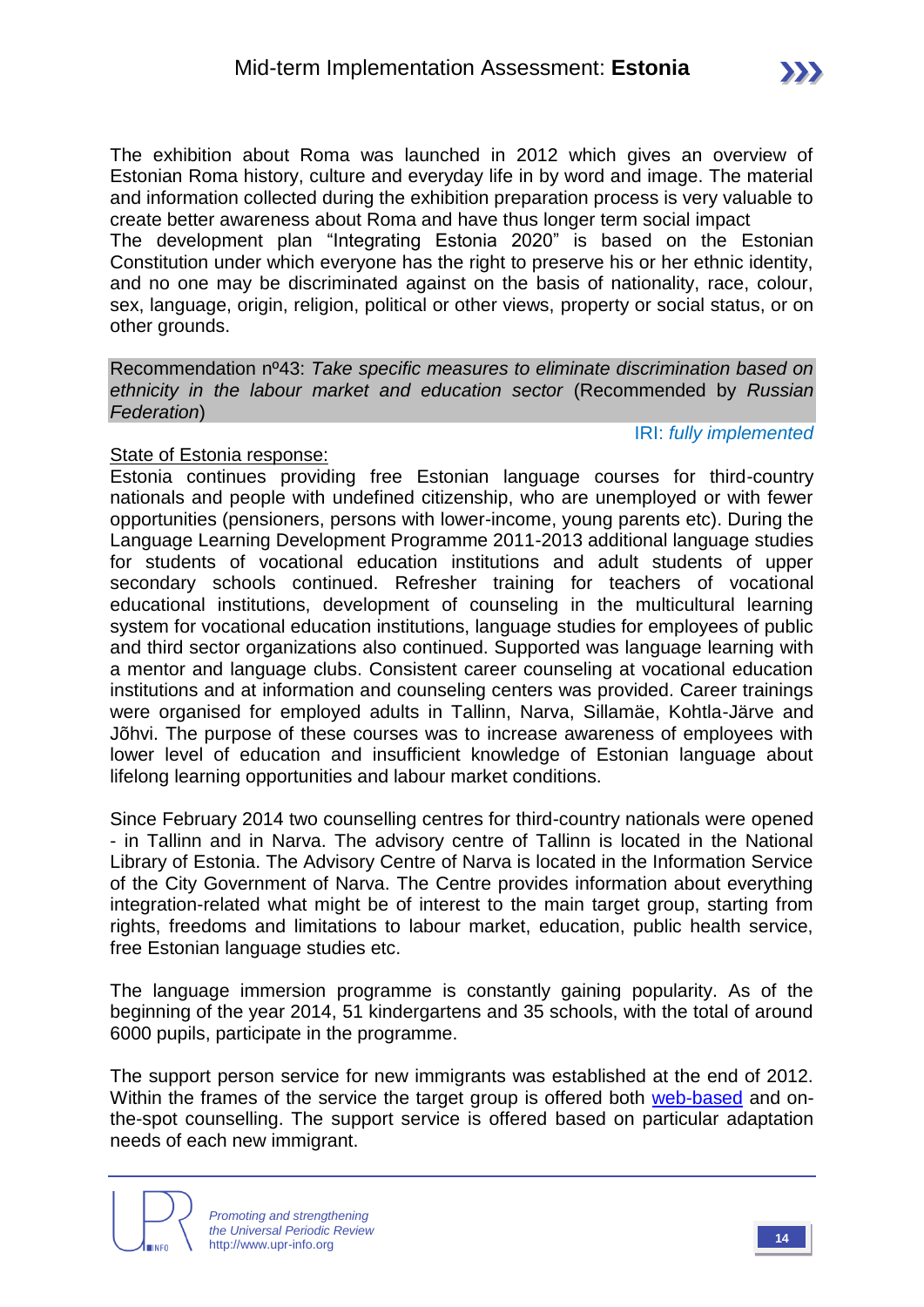IRI: *fully implemented*

The exhibition about Roma was launched in 2012 which gives an overview of Estonian Roma history, culture and everyday life in by word and image. The material and information collected during the exhibition preparation process is very valuable to create better awareness about Roma and have thus longer term social impact The development plan "Integrating Estonia 2020" is based on the Estonian

Constitution under which everyone has the right to preserve his or her ethnic identity, and no one may be discriminated against on the basis of nationality, race, colour, sex, language, origin, religion, political or other views, property or social status, or on other grounds.

Recommendation nº43: *Take specific measures to eliminate discrimination based on ethnicity in the labour market and education sector* (Recommended by *Russian Federation*)

#### State of Estonia response:

Estonia continues providing free Estonian language courses for third-country nationals and people with undefined citizenship, who are unemployed or with fewer opportunities (pensioners, persons with lower-income, young parents etc). During the Language Learning Development Programme 2011-2013 additional language studies for students of vocational education institutions and adult students of upper secondary schools continued. Refresher training for teachers of vocational educational institutions, development of counseling in the multicultural learning system for vocational education institutions, language studies for employees of public and third sector organizations also continued. Supported was language learning with a mentor and language clubs. Consistent career counseling at vocational education institutions and at information and counseling centers was provided. Career trainings were organised for employed adults in Tallinn, Narva, Sillamäe, Kohtla-Järve and Jõhvi. The purpose of these courses was to increase awareness of employees with lower level of education and insufficient knowledge of Estonian language about lifelong learning opportunities and labour market conditions.

Since February 2014 two counselling centres for third-country nationals were opened - in Tallinn and in Narva. The advisory centre of Tallinn is located in the National Library of Estonia. The Advisory Centre of Narva is located in the Information Service of the City Government of Narva. The Centre provides information about everything integration-related what might be of interest to the main target group, starting from rights, freedoms and limitations to labour market, education, public health service, free Estonian language studies etc.

The language immersion programme is constantly gaining popularity. As of the beginning of the year 2014, 51 kindergartens and 35 schools, with the total of around 6000 pupils, participate in the programme.

The support person service for new immigrants was established at the end of 2012. Within the frames of the service the target group is offered both [web-based](http://el-counselling.blogspot.com/) and onthe-spot counselling. The support service is offered based on particular adaptation needs of each new immigrant.



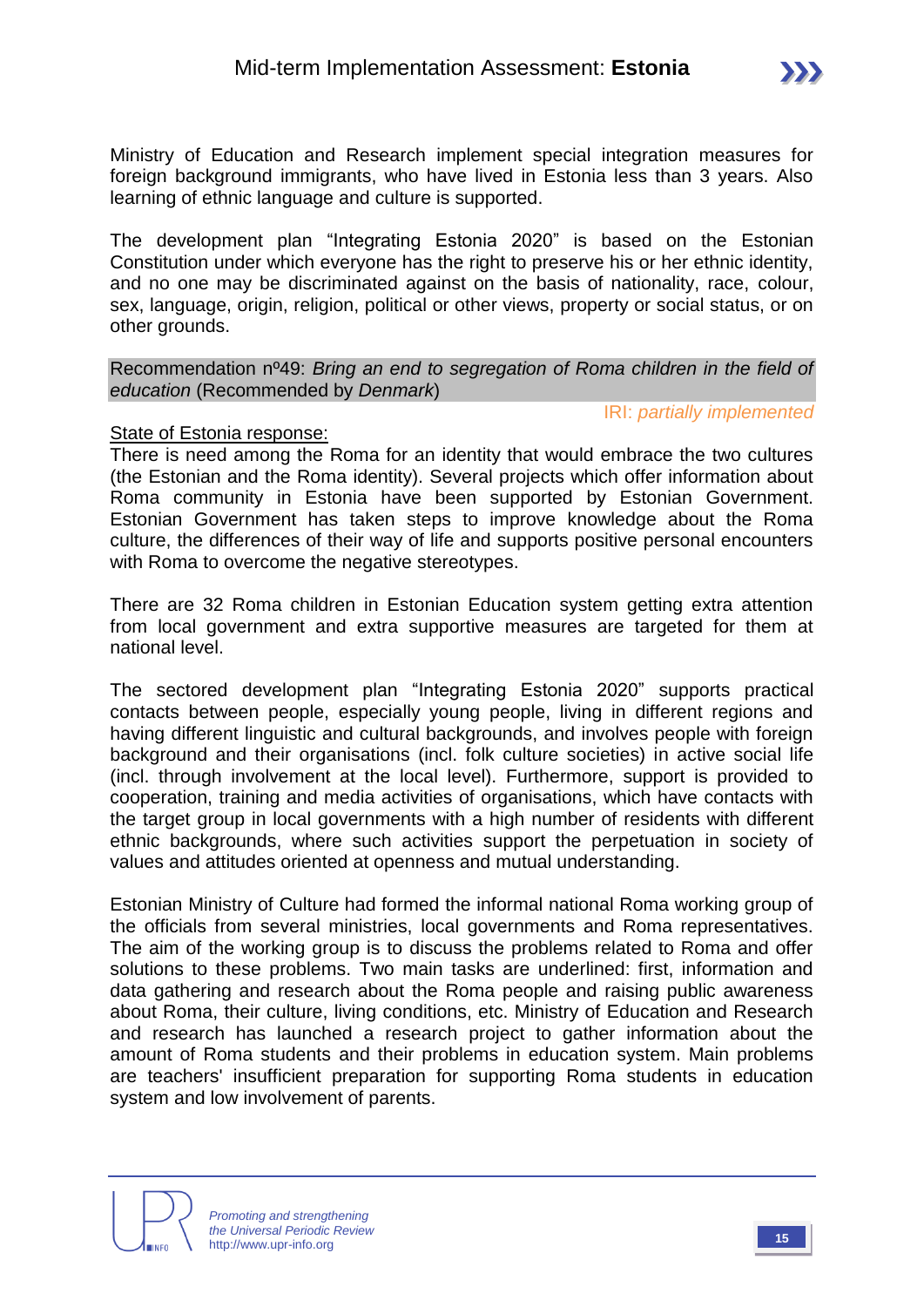Ministry of Education and Research implement special integration measures for foreign background immigrants, who have lived in Estonia less than 3 years. Also learning of ethnic language and culture is supported.

The development plan "Integrating Estonia 2020" is based on the Estonian Constitution under which everyone has the right to preserve his or her ethnic identity, and no one may be discriminated against on the basis of nationality, race, colour, sex, language, origin, religion, political or other views, property or social status, or on other grounds.

#### Recommendation nº49: *Bring an end to segregation of Roma children in the field of education* (Recommended by *Denmark*)

IRI: *partially implemented*

#### State of Estonia response:

There is need among the Roma for an identity that would embrace the two cultures (the Estonian and the Roma identity). Several projects which offer information about Roma community in Estonia have been supported by Estonian Government. Estonian Government has taken steps to improve knowledge about the Roma culture, the differences of their way of life and supports positive personal encounters with Roma to overcome the negative stereotypes.

There are 32 Roma children in Estonian Education system getting extra attention from local government and extra supportive measures are targeted for them at national level.

The sectored development plan "Integrating Estonia 2020" supports practical contacts between people, especially young people, living in different regions and having different linguistic and cultural backgrounds, and involves people with foreign background and their organisations (incl. folk culture societies) in active social life (incl. through involvement at the local level). Furthermore, support is provided to cooperation, training and media activities of organisations, which have contacts with the target group in local governments with a high number of residents with different ethnic backgrounds, where such activities support the perpetuation in society of values and attitudes oriented at openness and mutual understanding.

Estonian Ministry of Culture had formed the informal national Roma working group of the officials from several ministries, local governments and Roma representatives. The aim of the working group is to discuss the problems related to Roma and offer solutions to these problems. Two main tasks are underlined: first, information and data gathering and research about the Roma people and raising public awareness about Roma, their culture, living conditions, etc. Ministry of Education and Research and research has launched a research project to gather information about the amount of Roma students and their problems in education system. Main problems are teachers' insufficient preparation for supporting Roma students in education system and low involvement of parents.

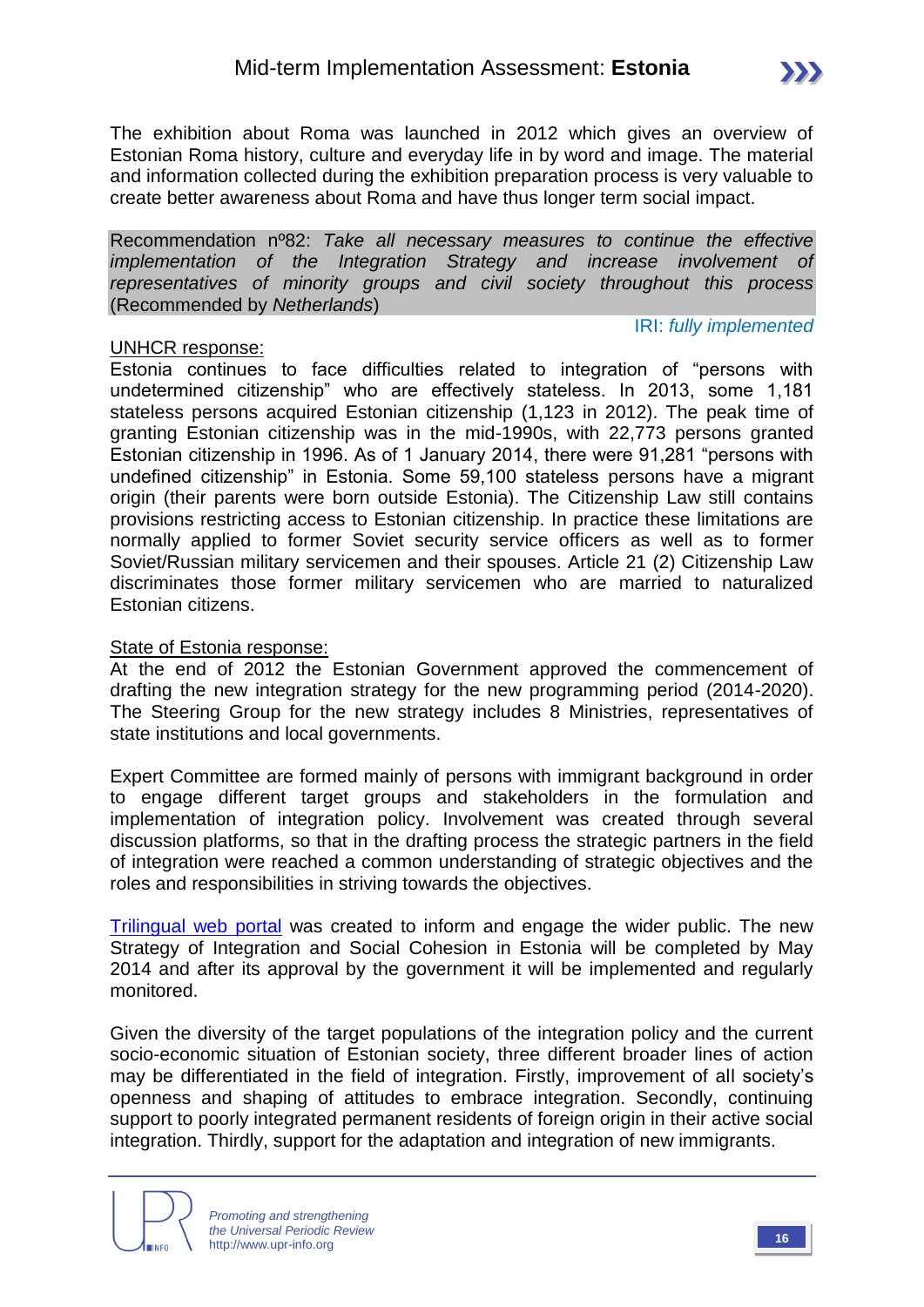IRI: *fully implemented*

The exhibition about Roma was launched in 2012 which gives an overview of Estonian Roma history, culture and everyday life in by word and image. The material and information collected during the exhibition preparation process is very valuable to create better awareness about Roma and have thus longer term social impact.

Recommendation nº82: *Take all necessary measures to continue the effective implementation of the Integration Strategy and increase involvement of representatives of minority groups and civil society throughout this process*  (Recommended by *Netherlands*)

#### UNHCR response:

Estonia continues to face difficulties related to integration of "persons with undetermined citizenship" who are effectively stateless. In 2013, some 1,181 stateless persons acquired Estonian citizenship (1,123 in 2012). The peak time of granting Estonian citizenship was in the mid-1990s, with 22,773 persons granted Estonian citizenship in 1996. As of 1 January 2014, there were 91,281 "persons with undefined citizenship" in Estonia. Some 59,100 stateless persons have a migrant origin (their parents were born outside Estonia). The Citizenship Law still contains provisions restricting access to Estonian citizenship. In practice these limitations are normally applied to former Soviet security service officers as well as to former Soviet/Russian military servicemen and their spouses. Article 21 (2) Citizenship Law discriminates those former military servicemen who are married to naturalized Estonian citizens.

#### State of Estonia response:

At the end of 2012 the Estonian Government approved the commencement of drafting the new integration strategy for the new programming period (2014-2020). The Steering Group for the new strategy includes 8 Ministries, representatives of state institutions and local governments.

Expert Committee are formed mainly of persons with immigrant background in order to engage different target groups and stakeholders in the formulation and implementation of integration policy. Involvement was created through several discussion platforms, so that in the drafting process the strategic partners in the field of integration were reached a common understanding of strategic objectives and the roles and responsibilities in striving towards the objectives.

[Trilingual web portal](http://www.integratsioon.ee/en) was created to inform and engage the wider public. The new Strategy of Integration and Social Cohesion in Estonia will be completed by May 2014 and after its approval by the government it will be implemented and regularly monitored.

Given the diversity of the target populations of the integration policy and the current socio-economic situation of Estonian society, three different broader lines of action may be differentiated in the field of integration. Firstly, improvement of all society's openness and shaping of attitudes to embrace integration. Secondly, continuing support to poorly integrated permanent residents of foreign origin in their active social integration. Thirdly, support for the adaptation and integration of new immigrants.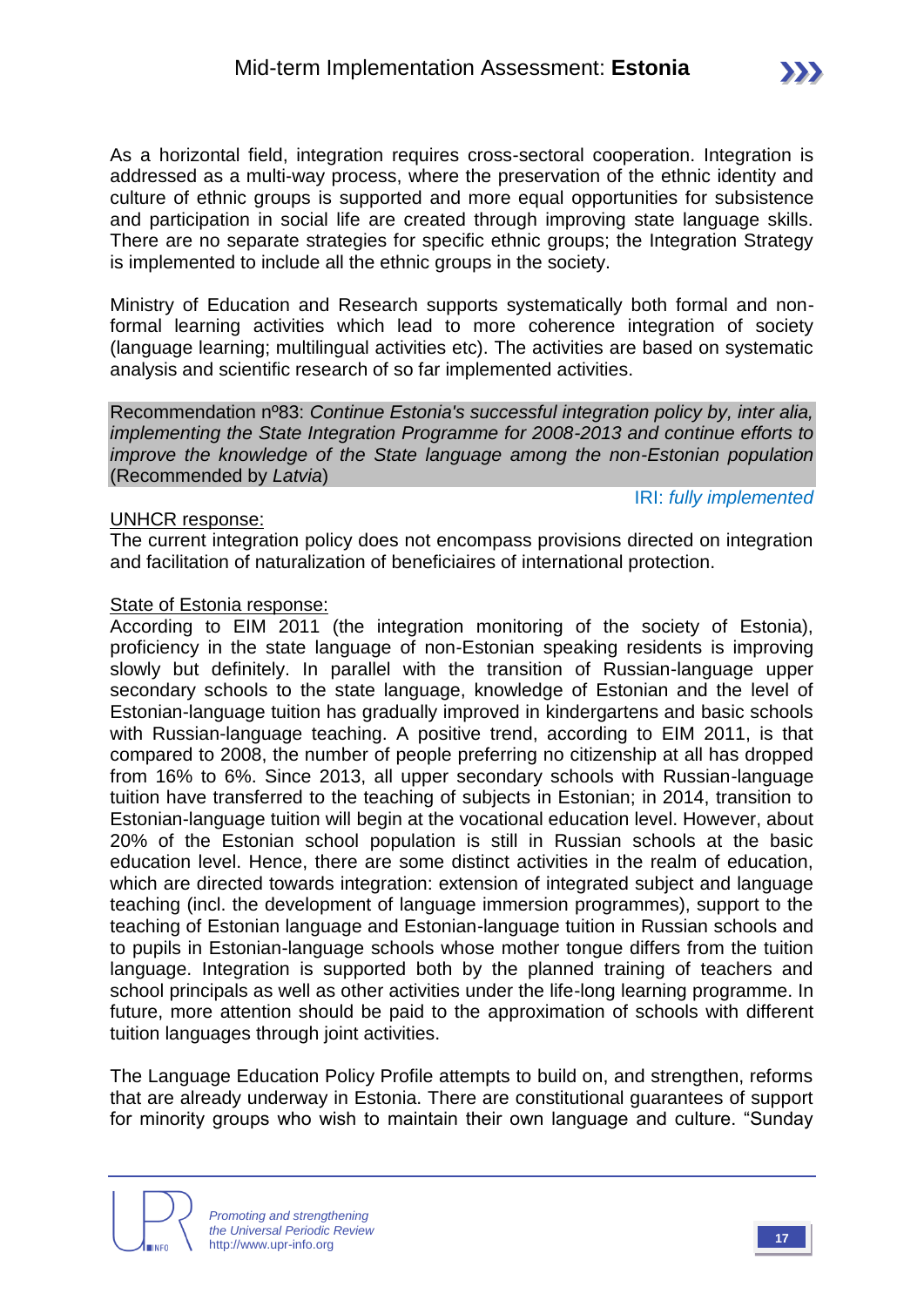As a horizontal field, integration requires cross-sectoral cooperation. Integration is addressed as a multi-way process, where the preservation of the ethnic identity and culture of ethnic groups is supported and more equal opportunities for subsistence and participation in social life are created through improving state language skills. There are no separate strategies for specific ethnic groups; the Integration Strategy is implemented to include all the ethnic groups in the society.

Ministry of Education and Research supports systematically both formal and nonformal learning activities which lead to more coherence integration of society (language learning; multilingual activities etc). The activities are based on systematic analysis and scientific research of so far implemented activities.

Recommendation nº83: *Continue Estonia's successful integration policy by, inter alia, implementing the State Integration Programme for 2008-2013 and continue efforts to improve the knowledge of the State language among the non-Estonian population*  (Recommended by *Latvia*)

#### UNHCR response:

IRI: *fully implemented*

The current integration policy does not encompass provisions directed on integration and facilitation of naturalization of beneficiaires of international protection.

#### State of Estonia response:

According to EIM 2011 (the integration monitoring of the society of Estonia), proficiency in the state language of non-Estonian speaking residents is improving slowly but definitely. In parallel with the transition of Russian-language upper secondary schools to the state language, knowledge of Estonian and the level of Estonian-language tuition has gradually improved in kindergartens and basic schools with Russian-language teaching. A positive trend, according to EIM 2011, is that compared to 2008, the number of people preferring no citizenship at all has dropped from 16% to 6%. Since 2013, all upper secondary schools with Russian-language tuition have transferred to the teaching of subjects in Estonian; in 2014, transition to Estonian-language tuition will begin at the vocational education level. However, about 20% of the Estonian school population is still in Russian schools at the basic education level. Hence, there are some distinct activities in the realm of education, which are directed towards integration: extension of integrated subject and language teaching (incl. the development of language immersion programmes), support to the teaching of Estonian language and Estonian-language tuition in Russian schools and to pupils in Estonian-language schools whose mother tongue differs from the tuition language. Integration is supported both by the planned training of teachers and school principals as well as other activities under the life-long learning programme. In future, more attention should be paid to the approximation of schools with different tuition languages through joint activities.

The Language Education Policy Profile attempts to build on, and strengthen, reforms that are already underway in Estonia. There are constitutional guarantees of support for minority groups who wish to maintain their own language and culture. "Sunday

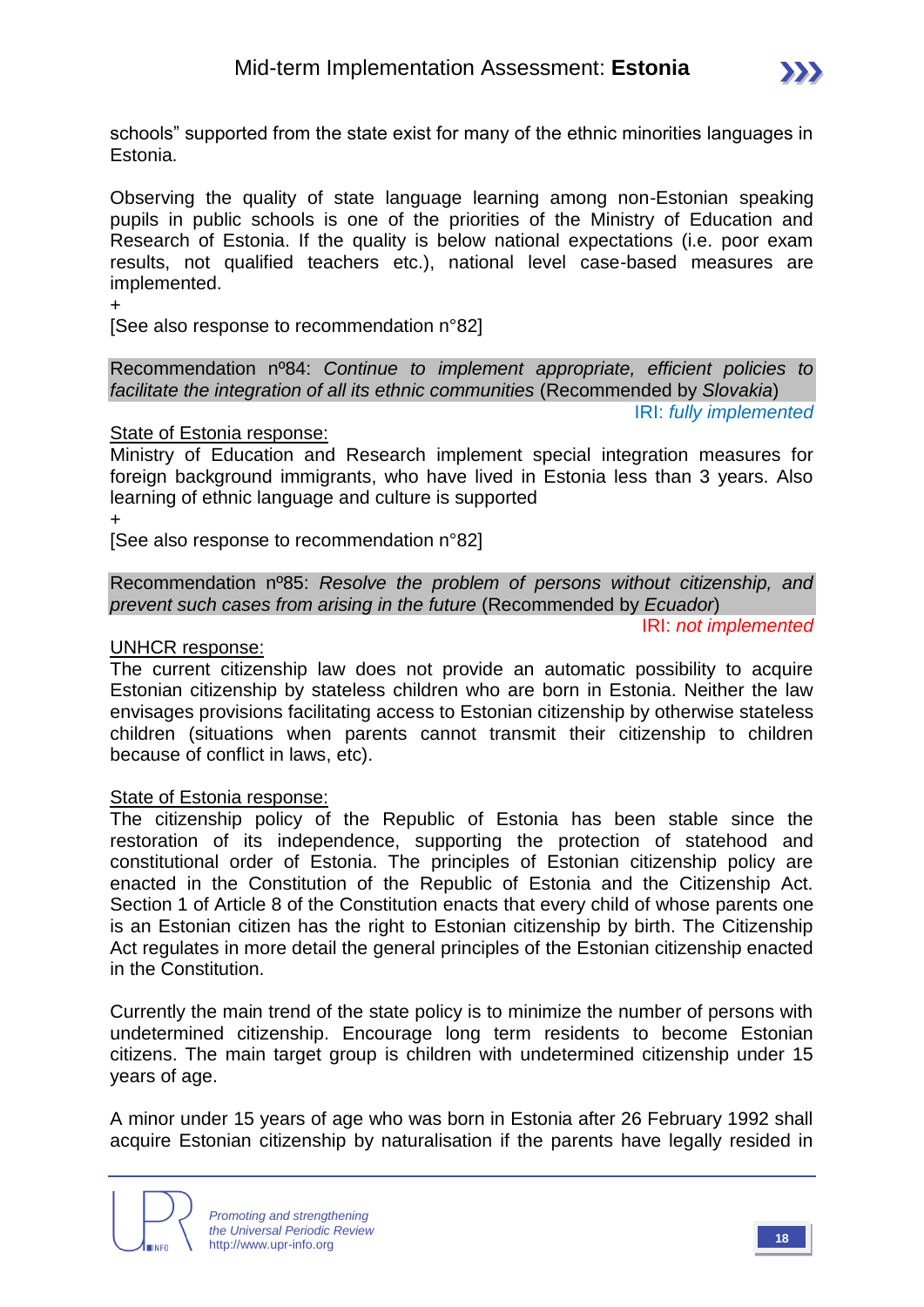

schools" supported from the state exist for many of the ethnic minorities languages in Estonia.

Observing the quality of state language learning among non-Estonian speaking pupils in public schools is one of the priorities of the Ministry of Education and Research of Estonia. If the quality is below national expectations (i.e. poor exam results, not qualified teachers etc.), national level case-based measures are implemented.

+

[See also response to recommendation n°82]

Recommendation nº84: *Continue to implement appropriate, efficient policies to facilitate the integration of all its ethnic communities* (Recommended by *Slovakia*) IRI: *fully implemented*

#### State of Estonia response:

Ministry of Education and Research implement special integration measures for foreign background immigrants, who have lived in Estonia less than 3 years. Also learning of ethnic language and culture is supported +

[See also response to recommendation n°82]

Recommendation nº85: *Resolve the problem of persons without citizenship, and prevent such cases from arising in the future* (Recommended by *Ecuador*)

IRI: *not implemented*

#### UNHCR response:

The current citizenship law does not provide an automatic possibility to acquire Estonian citizenship by stateless children who are born in Estonia. Neither the law envisages provisions facilitating access to Estonian citizenship by otherwise stateless children (situations when parents cannot transmit their citizenship to children because of conflict in laws, etc).

#### State of Estonia response:

The citizenship policy of the Republic of Estonia has been stable since the restoration of its independence, supporting the protection of statehood and constitutional order of Estonia. The principles of Estonian citizenship policy are enacted in the Constitution of the Republic of Estonia and the Citizenship Act. Section 1 of Article 8 of the Constitution enacts that every child of whose parents one is an Estonian citizen has the right to Estonian citizenship by birth. The Citizenship Act regulates in more detail the general principles of the Estonian citizenship enacted in the Constitution.

Currently the main trend of the state policy is to minimize the number of persons with undetermined citizenship. Encourage long term residents to become Estonian citizens. The main target group is children with undetermined citizenship under 15 years of age.

A minor under 15 years of age who was born in Estonia after 26 February 1992 shall acquire Estonian citizenship by naturalisation if the parents have legally resided in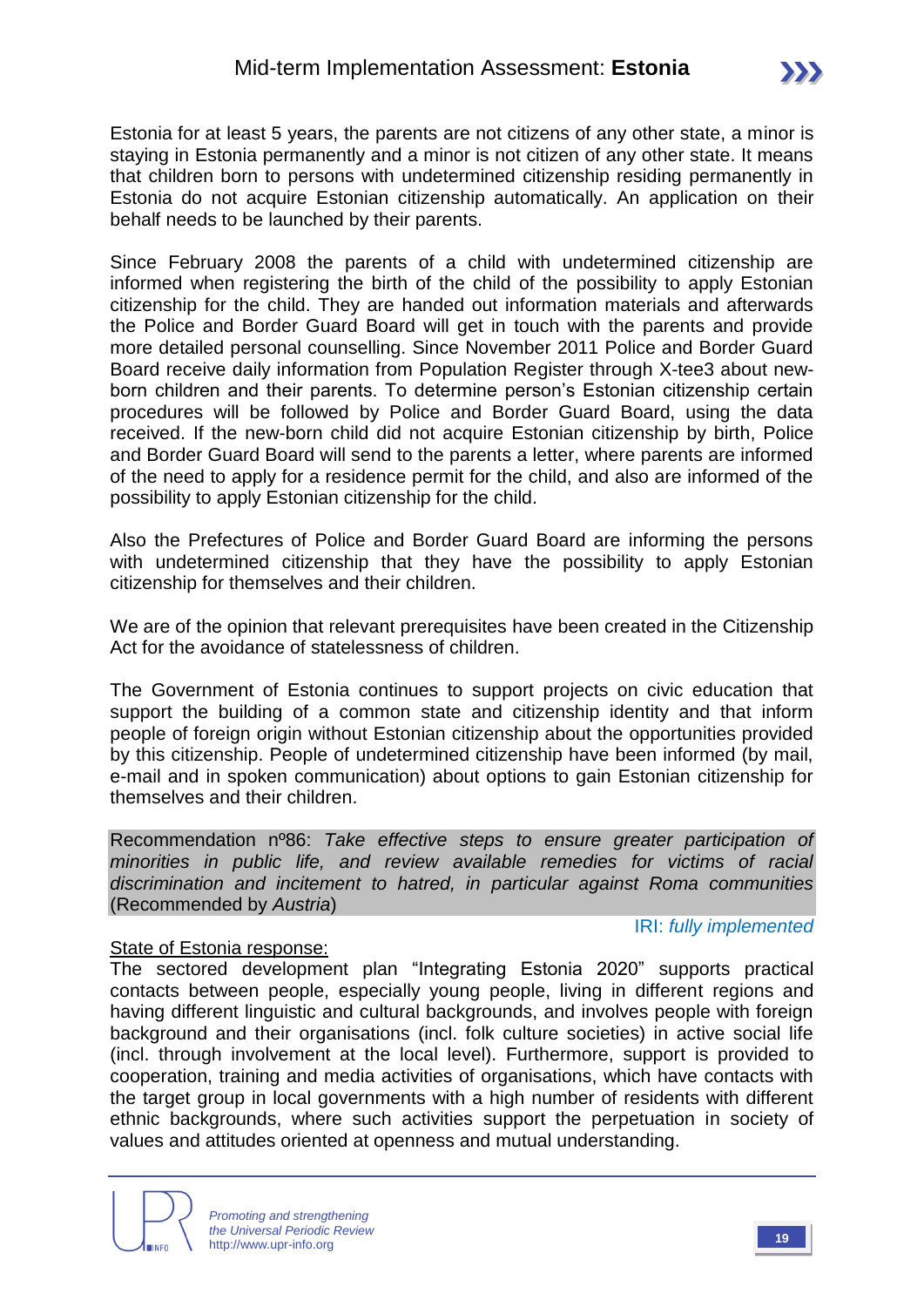Estonia for at least 5 years, the parents are not citizens of any other state, a minor is staying in Estonia permanently and a minor is not citizen of any other state. It means that children born to persons with undetermined citizenship residing permanently in Estonia do not acquire Estonian citizenship automatically. An application on their behalf needs to be launched by their parents.

Since February 2008 the parents of a child with undetermined citizenship are informed when registering the birth of the child of the possibility to apply Estonian citizenship for the child. They are handed out information materials and afterwards the Police and Border Guard Board will get in touch with the parents and provide more detailed personal counselling. Since November 2011 Police and Border Guard Board receive daily information from Population Register through X-tee3 about newborn children and their parents. To determine person's Estonian citizenship certain procedures will be followed by Police and Border Guard Board, using the data received. If the new-born child did not acquire Estonian citizenship by birth, Police and Border Guard Board will send to the parents a letter, where parents are informed of the need to apply for a residence permit for the child, and also are informed of the possibility to apply Estonian citizenship for the child.

Also the Prefectures of Police and Border Guard Board are informing the persons with undetermined citizenship that they have the possibility to apply Estonian citizenship for themselves and their children.

We are of the opinion that relevant prerequisites have been created in the Citizenship Act for the avoidance of statelessness of children.

The Government of Estonia continues to support projects on civic education that support the building of a common state and citizenship identity and that inform people of foreign origin without Estonian citizenship about the opportunities provided by this citizenship. People of undetermined citizenship have been informed (by mail, e-mail and in spoken communication) about options to gain Estonian citizenship for themselves and their children.

Recommendation nº86: *Take effective steps to ensure greater participation of minorities in public life, and review available remedies for victims of racial discrimination and incitement to hatred, in particular against Roma communities* (Recommended by *Austria*)

#### State of Estonia response:

#### IRI: *fully implemented*

The sectored development plan "Integrating Estonia 2020" supports practical contacts between people, especially young people, living in different regions and having different linguistic and cultural backgrounds, and involves people with foreign background and their organisations (incl. folk culture societies) in active social life (incl. through involvement at the local level). Furthermore, support is provided to cooperation, training and media activities of organisations, which have contacts with the target group in local governments with a high number of residents with different ethnic backgrounds, where such activities support the perpetuation in society of values and attitudes oriented at openness and mutual understanding.

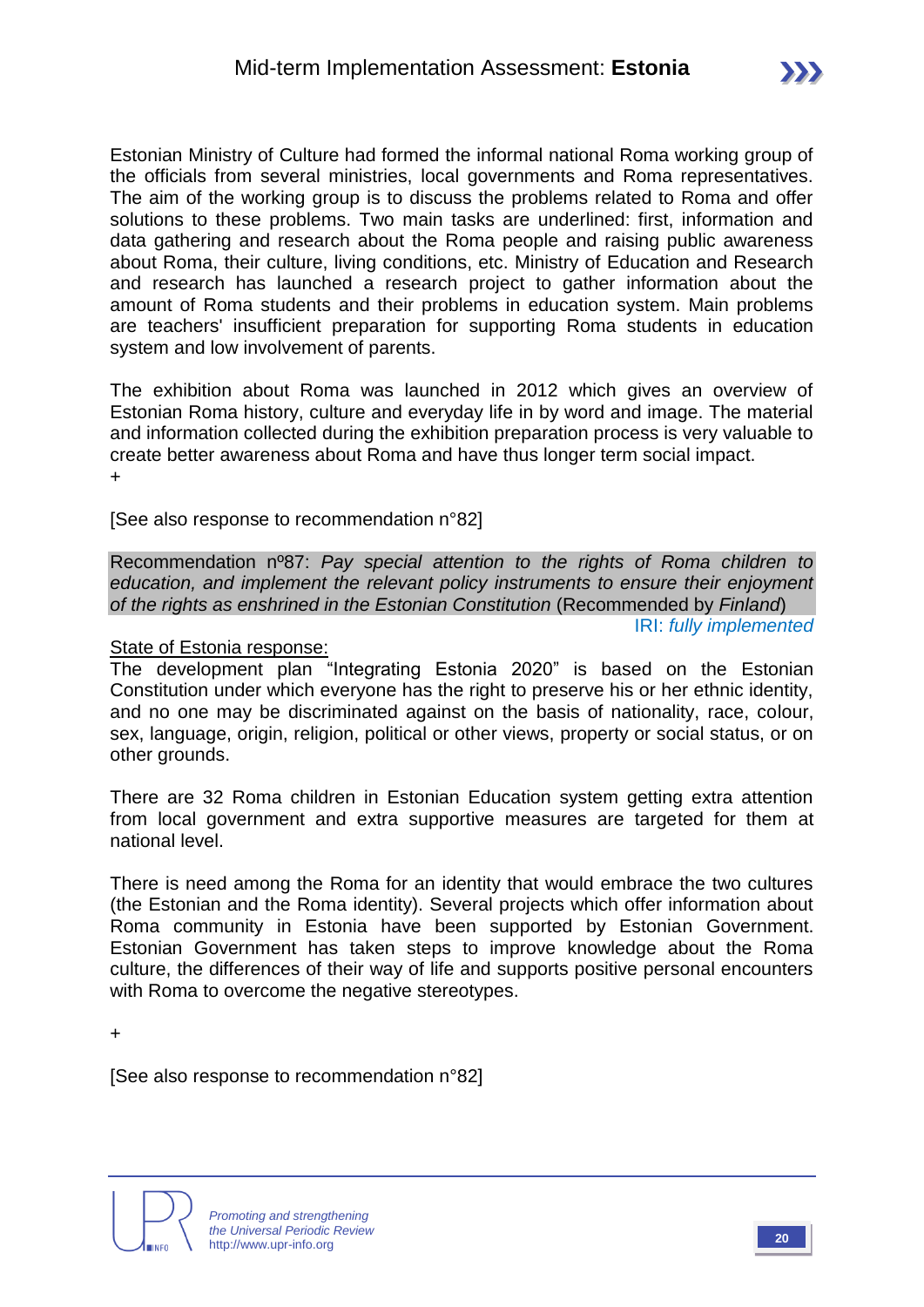Estonian Ministry of Culture had formed the informal national Roma working group of the officials from several ministries, local governments and Roma representatives. The aim of the working group is to discuss the problems related to Roma and offer solutions to these problems. Two main tasks are underlined: first, information and data gathering and research about the Roma people and raising public awareness about Roma, their culture, living conditions, etc. Ministry of Education and Research and research has launched a research project to gather information about the amount of Roma students and their problems in education system. Main problems are teachers' insufficient preparation for supporting Roma students in education system and low involvement of parents.

The exhibition about Roma was launched in 2012 which gives an overview of Estonian Roma history, culture and everyday life in by word and image. The material and information collected during the exhibition preparation process is very valuable to create better awareness about Roma and have thus longer term social impact. +

[See also response to recommendation n°82]

Recommendation nº87: *Pay special attention to the rights of Roma children to education, and implement the relevant policy instruments to ensure their enjoyment of the rights as enshrined in the Estonian Constitution* (Recommended by *Finland*)

IRI: *fully implemented*

#### State of Estonia response:

The development plan "Integrating Estonia 2020" is based on the Estonian Constitution under which everyone has the right to preserve his or her ethnic identity, and no one may be discriminated against on the basis of nationality, race, colour, sex, language, origin, religion, political or other views, property or social status, or on other grounds.

There are 32 Roma children in Estonian Education system getting extra attention from local government and extra supportive measures are targeted for them at national level.

There is need among the Roma for an identity that would embrace the two cultures (the Estonian and the Roma identity). Several projects which offer information about Roma community in Estonia have been supported by Estonian Government. Estonian Government has taken steps to improve knowledge about the Roma culture, the differences of their way of life and supports positive personal encounters with Roma to overcome the negative stereotypes.

+

[See also response to recommendation n°82]

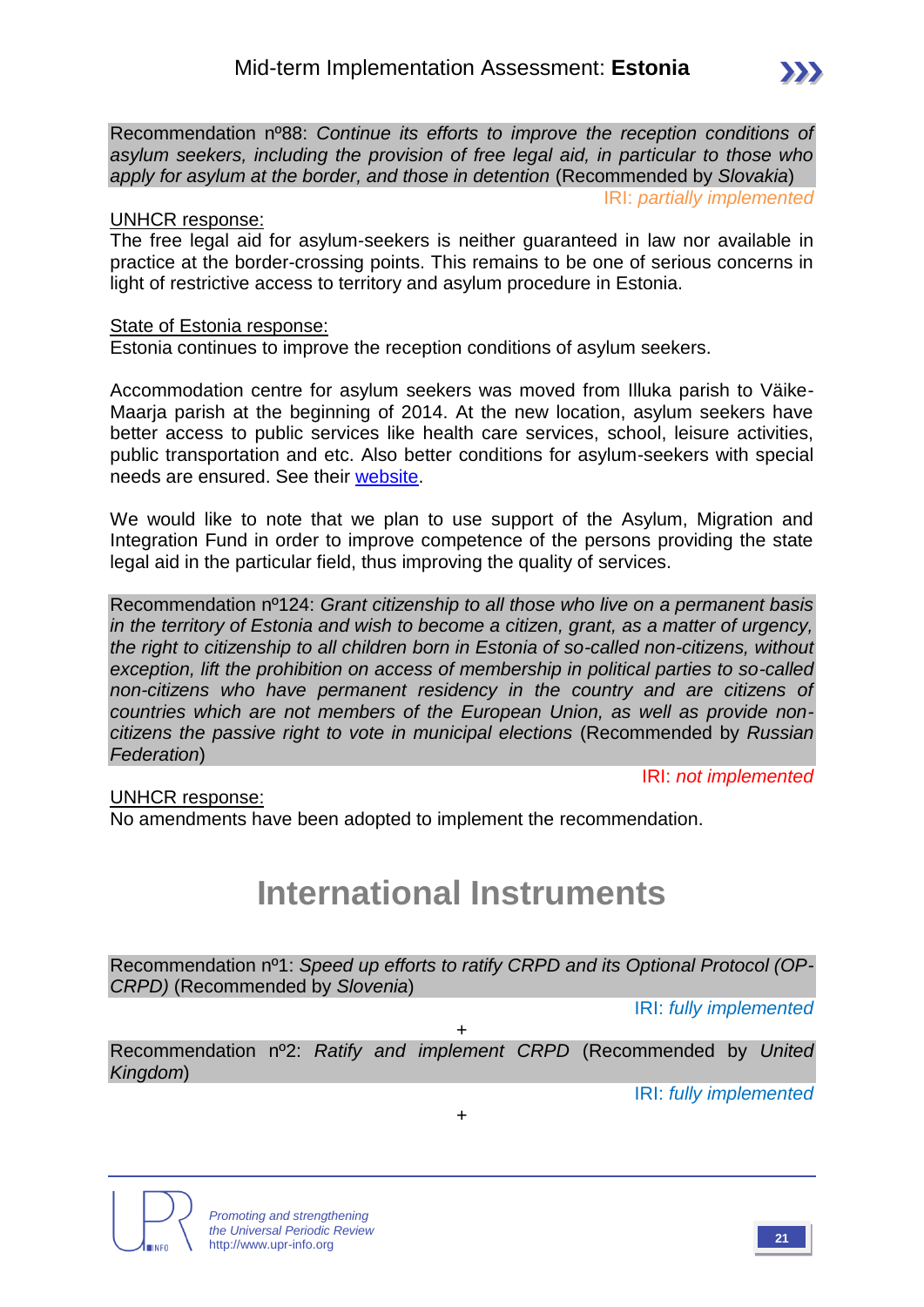Recommendation nº88: *Continue its efforts to improve the reception conditions of asylum seekers, including the provision of free legal aid, in particular to those who apply for asylum at the border, and those in detention* (Recommended by *Slovakia*)

IRI: *partially implemented*

 $\sum$ 

#### UNHCR response:

The free legal aid for asylum-seekers is neither guaranteed in law nor available in practice at the border-crossing points. This remains to be one of serious concerns in light of restrictive access to territory and asylum procedure in Estonia.

#### State of Estonia response:

Estonia continues to improve the reception conditions of asylum seekers.

Accommodation centre for asylum seekers was moved from Illuka parish to Väike-Maarja parish at the beginning of 2014. At the new location, asylum seekers have better access to public services like health care services, school, leisure activities, public transportation and etc. Also better conditions for asylum-seekers with special needs are ensured. See their [website.](http://www.hoolekandeteenused.ee/vk/pages/eng/accommodation-centre.php)

We would like to note that we plan to use support of the Asylum, Migration and Integration Fund in order to improve competence of the persons providing the state legal aid in the particular field, thus improving the quality of services.

Recommendation nº124: *Grant citizenship to all those who live on a permanent basis in the territory of Estonia and wish to become a citizen, grant, as a matter of urgency, the right to citizenship to all children born in Estonia of so-called non-citizens, without exception, lift the prohibition on access of membership in political parties to so-called non-citizens who have permanent residency in the country and are citizens of countries which are not members of the European Union, as well as provide noncitizens the passive right to vote in municipal elections* (Recommended by *Russian Federation*)

IRI: *not implemented*

#### UNHCR response:

No amendments have been adopted to implement the recommendation.

# **International Instruments**

Recommendation nº1: *Speed up efforts to ratify CRPD and its Optional Protocol (OP-CRPD)* (Recommended by *Slovenia*)

IRI: *fully implemented*

Recommendation nº2: *Ratify and implement CRPD* (Recommended by *United Kingdom*)

+

+

IRI: *fully implemented*



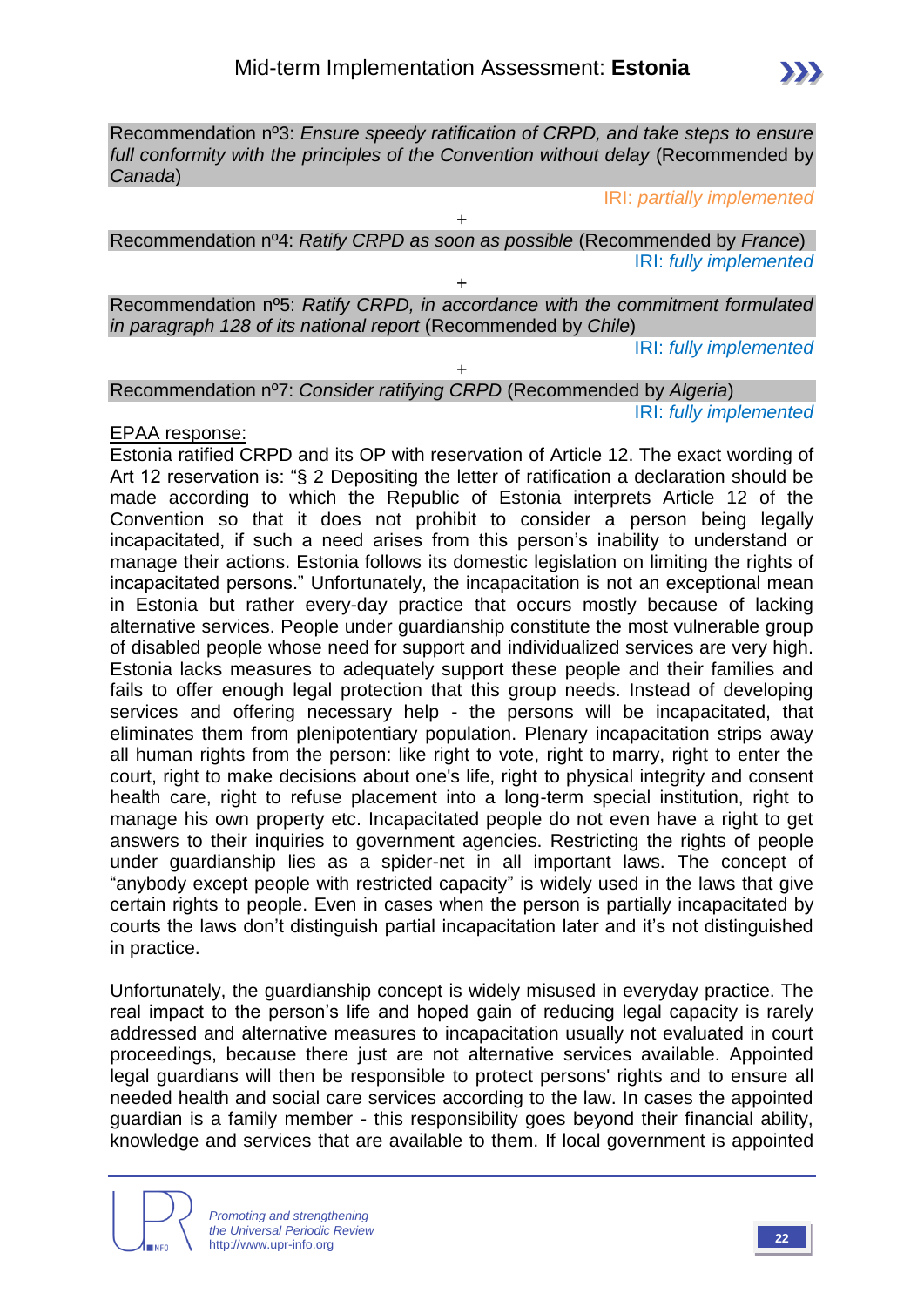Recommendation nº3: *Ensure speedy ratification of CRPD, and take steps to ensure full conformity with the principles of the Convention without delay* (Recommended by *Canada*)

IRI: *partially implemented*

Recommendation nº4: *Ratify CRPD as soon as possible* (Recommended by *France*) IRI: *fully implemented*

+

 $\ddot{\phantom{1}}$ 

Recommendation nº5: *Ratify CRPD, in accordance with the commitment formulated in paragraph 128 of its national report* (Recommended by *Chile*)

IRI: *fully implemented*

+ Recommendation nº7: *Consider ratifying CRPD* (Recommended by *Algeria*) IRI: *fully implemented*

#### EPAA response:

Estonia ratified CRPD and its OP with reservation of Article 12. The exact wording of Art 12 reservation is: "§ 2 Depositing the letter of ratification a declaration should be made according to which the Republic of Estonia interprets Article 12 of the Convention so that it does not prohibit to consider a person being legally incapacitated, if such a need arises from this person's inability to understand or manage their actions. Estonia follows its domestic legislation on limiting the rights of incapacitated persons." Unfortunately, the incapacitation is not an exceptional mean in Estonia but rather every-day practice that occurs mostly because of lacking alternative services. People under guardianship constitute the most vulnerable group of disabled people whose need for support and individualized services are very high. Estonia lacks measures to adequately support these people and their families and fails to offer enough legal protection that this group needs. Instead of developing services and offering necessary help - the persons will be incapacitated, that eliminates them from plenipotentiary population. Plenary incapacitation strips away all human rights from the person: like right to vote, right to marry, right to enter the court, right to make decisions about one's life, right to physical integrity and consent health care, right to refuse placement into a long-term special institution, right to manage his own property etc. Incapacitated people do not even have a right to get answers to their inquiries to government agencies. Restricting the rights of people under guardianship lies as a spider-net in all important laws. The concept of "anybody except people with restricted capacity" is widely used in the laws that give certain rights to people. Even in cases when the person is partially incapacitated by courts the laws don't distinguish partial incapacitation later and it's not distinguished in practice.

Unfortunately, the guardianship concept is widely misused in everyday practice. The real impact to the person's life and hoped gain of reducing legal capacity is rarely addressed and alternative measures to incapacitation usually not evaluated in court proceedings, because there just are not alternative services available. Appointed legal guardians will then be responsible to protect persons' rights and to ensure all needed health and social care services according to the law. In cases the appointed guardian is a family member - this responsibility goes beyond their financial ability, knowledge and services that are available to them. If local government is appointed

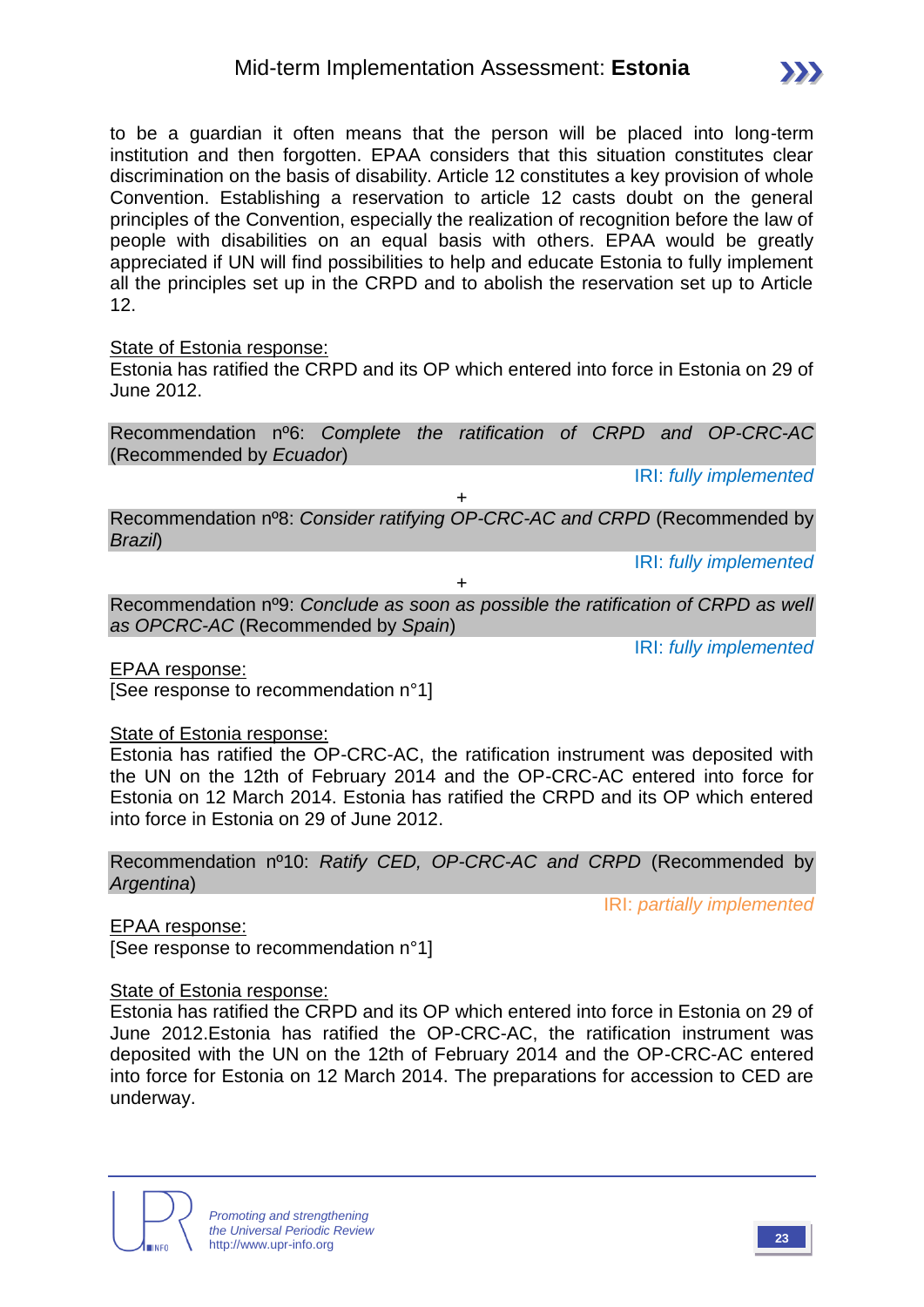

to be a guardian it often means that the person will be placed into long-term institution and then forgotten. EPAA considers that this situation constitutes clear discrimination on the basis of disability. Article 12 constitutes a key provision of whole Convention. Establishing a reservation to article 12 casts doubt on the general principles of the Convention, especially the realization of recognition before the law of people with disabilities on an equal basis with others. EPAA would be greatly appreciated if UN will find possibilities to help and educate Estonia to fully implement all the principles set up in the CRPD and to abolish the reservation set up to Article 12.

State of Estonia response:

Estonia has ratified the CRPD and its OP which entered into force in Estonia on 29 of June 2012.

Recommendation nº6: *Complete the ratification of CRPD and OP-CRC-AC* (Recommended by *Ecuador*)

IRI: *fully implemented*

Recommendation nº8: *Consider ratifying OP-CRC-AC and CRPD* (Recommended by *Brazil*)

 $+$ 

IRI: *fully implemented*

+

Recommendation nº9: *Conclude as soon as possible the ratification of CRPD as well as OPCRC-AC* (Recommended by *Spain*)

IRI: *fully implemented*

EPAA response: [See response to recommendation n°1]

State of Estonia response:

Estonia has ratified the OP-CRC-AC, the ratification instrument was deposited with the UN on the 12th of February 2014 and the OP-CRC-AC entered into force for Estonia on 12 March 2014. Estonia has ratified the CRPD and its OP which entered into force in Estonia on 29 of June 2012.

Recommendation nº10: *Ratify CED, OP-CRC-AC and CRPD* (Recommended by *Argentina*)

IRI: *partially implemented*

EPAA response:

[See response to recommendation n°1]

#### State of Estonia response:

Estonia has ratified the CRPD and its OP which entered into force in Estonia on 29 of June 2012.Estonia has ratified the OP-CRC-AC, the ratification instrument was deposited with the UN on the 12th of February 2014 and the OP-CRC-AC entered into force for Estonia on 12 March 2014. The preparations for accession to CED are underway.

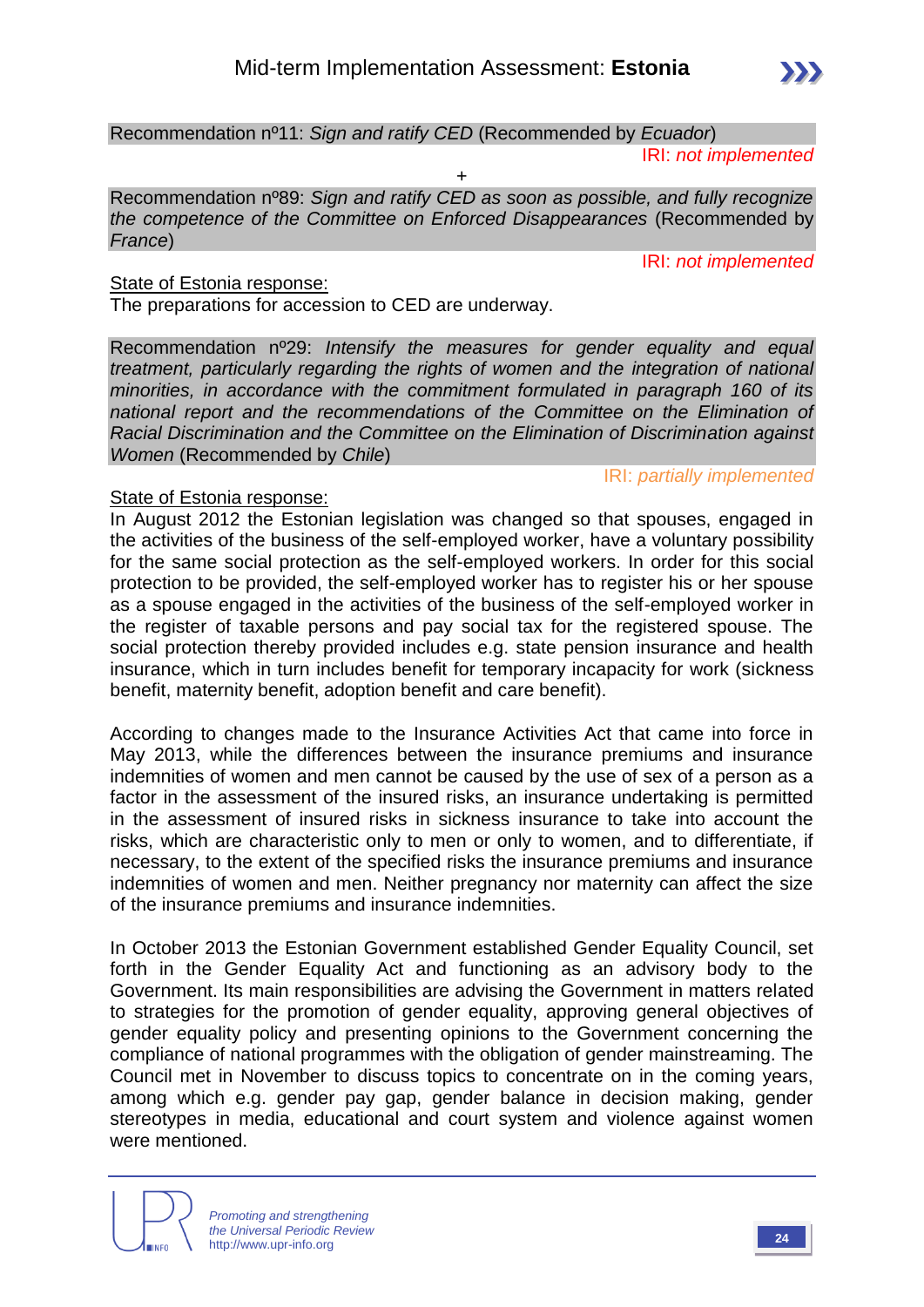Recommendation nº11: *Sign and ratify CED* (Recommended by *Ecuador*)

IRI: *not implemented*

IRI: *not implemented*

+ Recommendation nº89: *Sign and ratify CED as soon as possible, and fully recognize the competence of the Committee on Enforced Disappearances* (Recommended by *France*)

#### State of Estonia response:

The preparations for accession to CED are underway.

Recommendation nº29: *Intensify the measures for gender equality and equal treatment, particularly regarding the rights of women and the integration of national minorities, in accordance with the commitment formulated in paragraph 160 of its national report and the recommendations of the Committee on the Elimination of Racial Discrimination and the Committee on the Elimination of Discrimination against Women* (Recommended by *Chile*)

#### IRI: *partially implemented*

#### State of Estonia response:

In August 2012 the Estonian legislation was changed so that spouses, engaged in the activities of the business of the self-employed worker, have a voluntary possibility for the same social protection as the self-employed workers. In order for this social protection to be provided, the self-employed worker has to register his or her spouse as a spouse engaged in the activities of the business of the self-employed worker in the register of taxable persons and pay social tax for the registered spouse. The social protection thereby provided includes e.g. state pension insurance and health insurance, which in turn includes benefit for temporary incapacity for work (sickness benefit, maternity benefit, adoption benefit and care benefit).

According to changes made to the Insurance Activities Act that came into force in May 2013, while the differences between the insurance premiums and insurance indemnities of women and men cannot be caused by the use of sex of a person as a factor in the assessment of the insured risks, an insurance undertaking is permitted in the assessment of insured risks in sickness insurance to take into account the risks, which are characteristic only to men or only to women, and to differentiate, if necessary, to the extent of the specified risks the insurance premiums and insurance indemnities of women and men. Neither pregnancy nor maternity can affect the size of the insurance premiums and insurance indemnities.

In October 2013 the Estonian Government established Gender Equality Council, set forth in the Gender Equality Act and functioning as an advisory body to the Government. Its main responsibilities are advising the Government in matters related to strategies for the promotion of gender equality, approving general objectives of gender equality policy and presenting opinions to the Government concerning the compliance of national programmes with the obligation of gender mainstreaming. The Council met in November to discuss topics to concentrate on in the coming years, among which e.g. gender pay gap, gender balance in decision making, gender stereotypes in media, educational and court system and violence against women were mentioned.

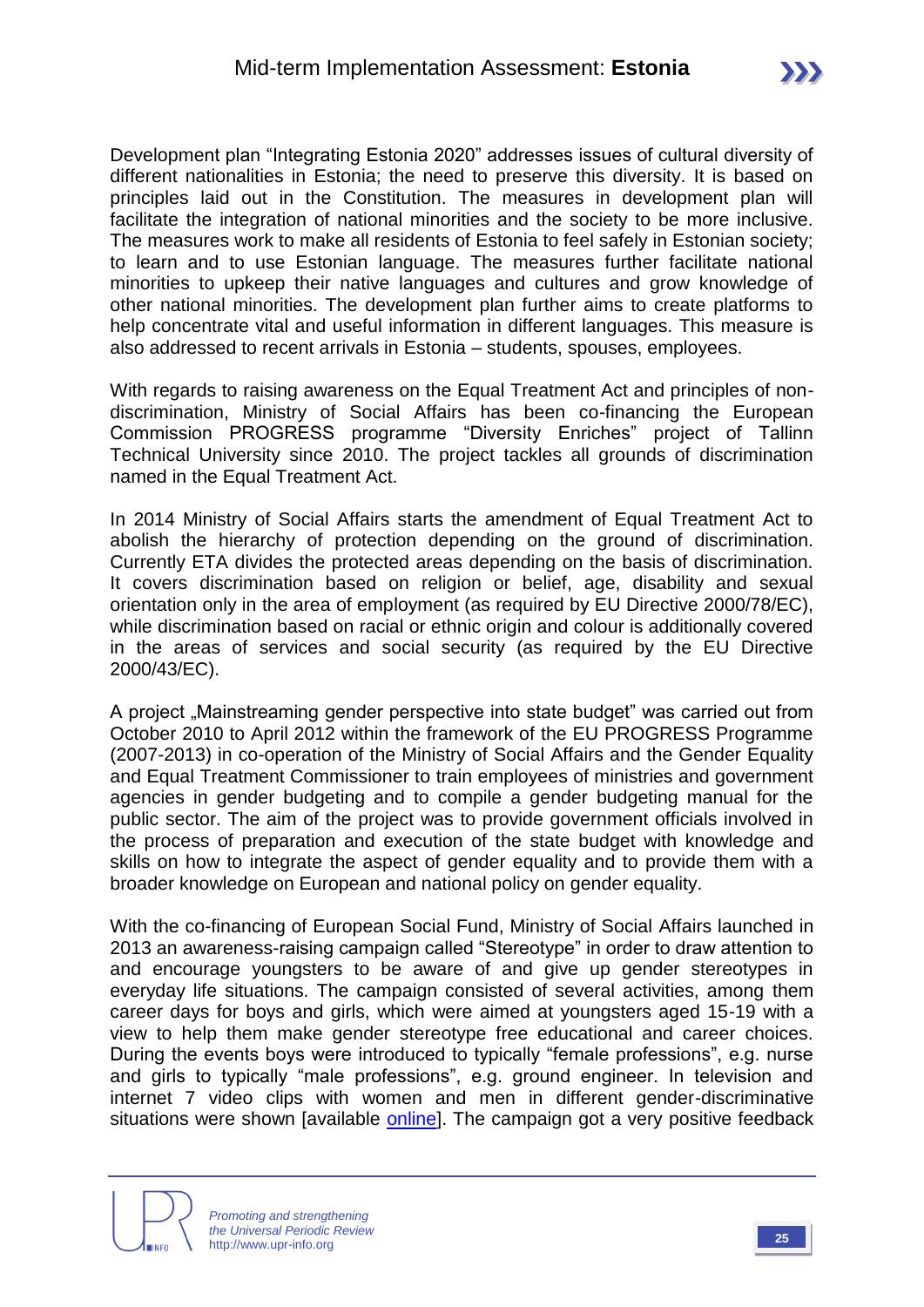Development plan "Integrating Estonia 2020" addresses issues of cultural diversity of different nationalities in Estonia; the need to preserve this diversity. It is based on principles laid out in the Constitution. The measures in development plan will facilitate the integration of national minorities and the society to be more inclusive. The measures work to make all residents of Estonia to feel safely in Estonian society; to learn and to use Estonian language. The measures further facilitate national minorities to upkeep their native languages and cultures and grow knowledge of other national minorities. The development plan further aims to create platforms to help concentrate vital and useful information in different languages. This measure is also addressed to recent arrivals in Estonia – students, spouses, employees.

With regards to raising awareness on the Equal Treatment Act and principles of nondiscrimination, Ministry of Social Affairs has been co-financing the European Commission PROGRESS programme "Diversity Enriches" project of Tallinn Technical University since 2010. The project tackles all grounds of discrimination named in the Equal Treatment Act.

In 2014 Ministry of Social Affairs starts the amendment of Equal Treatment Act to abolish the hierarchy of protection depending on the ground of discrimination. Currently ETA divides the protected areas depending on the basis of discrimination. It covers discrimination based on religion or belief, age, disability and sexual orientation only in the area of employment (as required by EU Directive 2000/78/EC), while discrimination based on racial or ethnic origin and colour is additionally covered in the areas of services and social security (as required by the EU Directive 2000/43/EC).

A project "Mainstreaming gender perspective into state budget" was carried out from October 2010 to April 2012 within the framework of the EU PROGRESS Programme (2007-2013) in co-operation of the Ministry of Social Affairs and the Gender Equality and Equal Treatment Commissioner to train employees of ministries and government agencies in gender budgeting and to compile a gender budgeting manual for the public sector. The aim of the project was to provide government officials involved in the process of preparation and execution of the state budget with knowledge and skills on how to integrate the aspect of gender equality and to provide them with a broader knowledge on European and national policy on gender equality.

With the co-financing of European Social Fund, Ministry of Social Affairs launched in 2013 an awareness-raising campaign called "Stereotype" in order to draw attention to and encourage youngsters to be aware of and give up gender stereotypes in everyday life situations. The campaign consisted of several activities, among them career days for boys and girls, which were aimed at youngsters aged 15-19 with a view to help them make gender stereotype free educational and career choices. During the events boys were introduced to typically "female professions", e.g. nurse and girls to typically "male professions", e.g. ground engineer. In television and internet 7 video clips with women and men in different gender-discriminative situations were shown [available [online\]](http://www.stereotyyp.ee/en/). The campaign got a very positive feedback

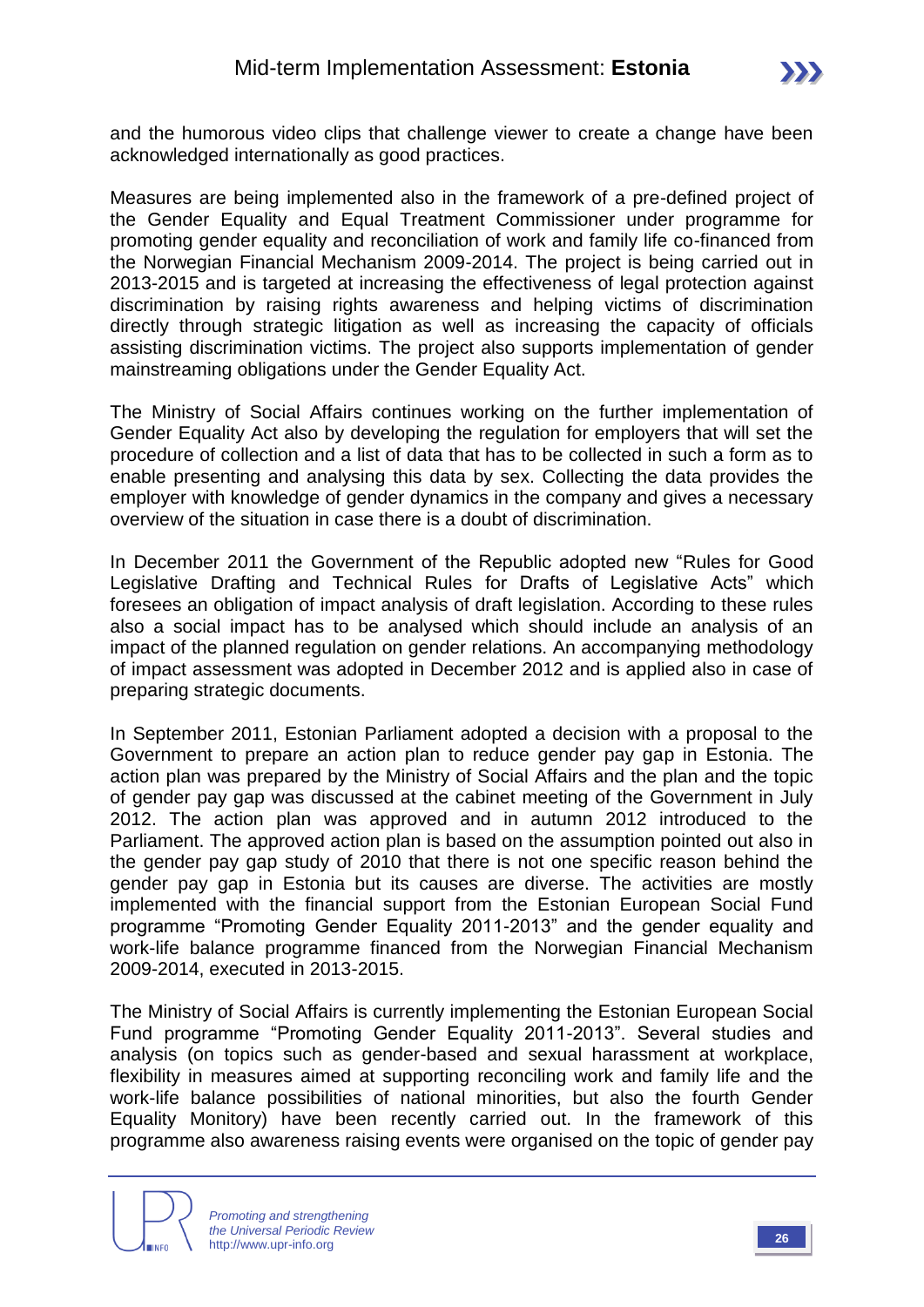and the humorous video clips that challenge viewer to create a change have been acknowledged internationally as good practices.

Measures are being implemented also in the framework of a pre-defined project of the Gender Equality and Equal Treatment Commissioner under programme for promoting gender equality and reconciliation of work and family life co-financed from the Norwegian Financial Mechanism 2009-2014. The project is being carried out in 2013-2015 and is targeted at increasing the effectiveness of legal protection against discrimination by raising rights awareness and helping victims of discrimination directly through strategic litigation as well as increasing the capacity of officials assisting discrimination victims. The project also supports implementation of gender mainstreaming obligations under the Gender Equality Act.

The Ministry of Social Affairs continues working on the further implementation of Gender Equality Act also by developing the regulation for employers that will set the procedure of collection and a list of data that has to be collected in such a form as to enable presenting and analysing this data by sex. Collecting the data provides the employer with knowledge of gender dynamics in the company and gives a necessary overview of the situation in case there is a doubt of discrimination.

In December 2011 the Government of the Republic adopted new "Rules for Good Legislative Drafting and Technical Rules for Drafts of Legislative Acts" which foresees an obligation of impact analysis of draft legislation. According to these rules also a social impact has to be analysed which should include an analysis of an impact of the planned regulation on gender relations. An accompanying methodology of impact assessment was adopted in December 2012 and is applied also in case of preparing strategic documents.

In September 2011, Estonian Parliament adopted a decision with a proposal to the Government to prepare an action plan to reduce gender pay gap in Estonia. The action plan was prepared by the Ministry of Social Affairs and the plan and the topic of gender pay gap was discussed at the cabinet meeting of the Government in July 2012. The action plan was approved and in autumn 2012 introduced to the Parliament. The approved action plan is based on the assumption pointed out also in the gender pay gap study of 2010 that there is not one specific reason behind the gender pay gap in Estonia but its causes are diverse. The activities are mostly implemented with the financial support from the Estonian European Social Fund programme "Promoting Gender Equality 2011-2013" and the gender equality and work-life balance programme financed from the Norwegian Financial Mechanism 2009-2014, executed in 2013-2015.

The Ministry of Social Affairs is currently implementing the Estonian European Social Fund programme "Promoting Gender Equality 2011-2013". Several studies and analysis (on topics such as gender-based and sexual harassment at workplace, flexibility in measures aimed at supporting reconciling work and family life and the work-life balance possibilities of national minorities, but also the fourth Gender Equality Monitory) have been recently carried out. In the framework of this programme also awareness raising events were organised on the topic of gender pay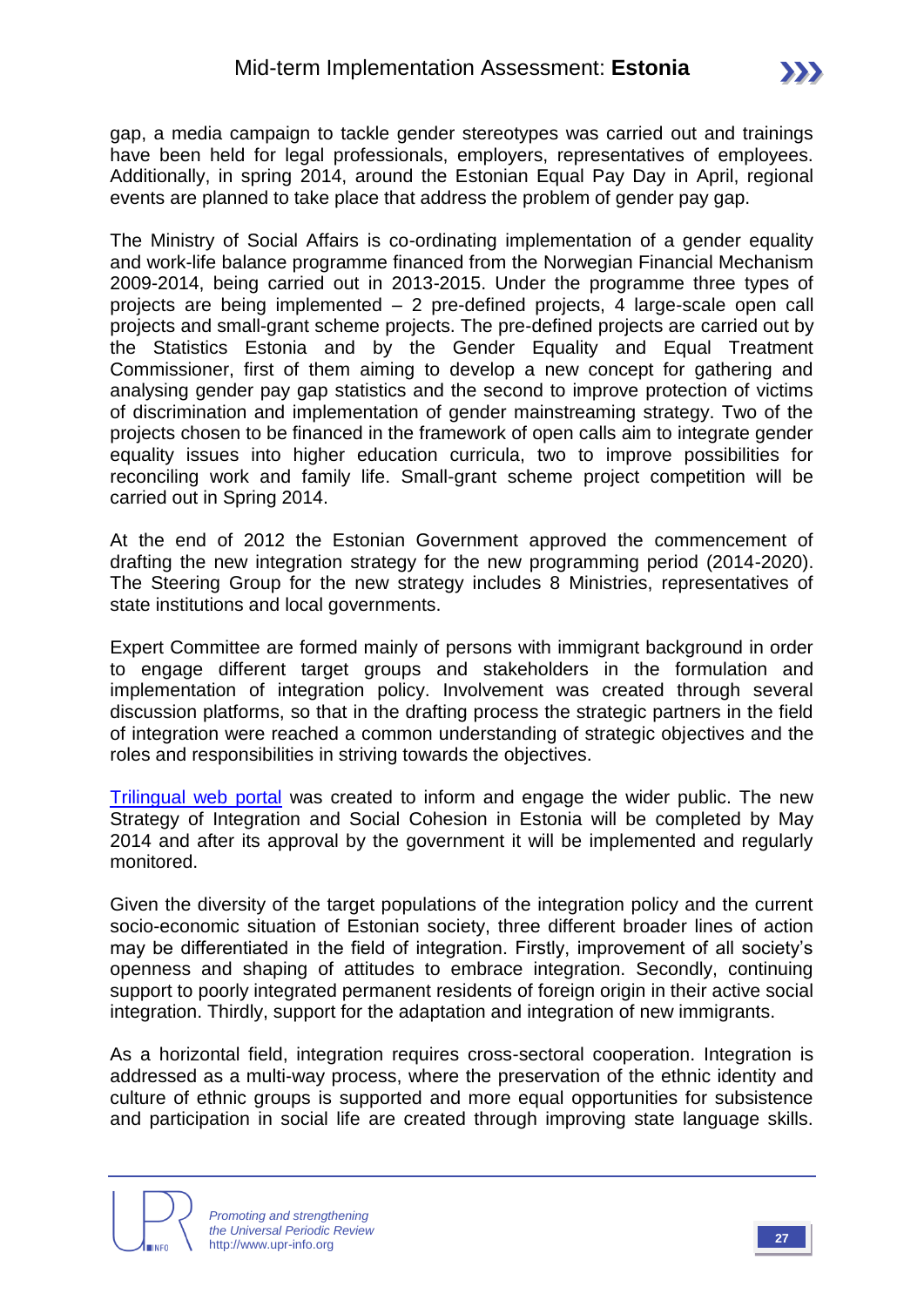gap, a media campaign to tackle gender stereotypes was carried out and trainings have been held for legal professionals, employers, representatives of employees. Additionally, in spring 2014, around the Estonian Equal Pay Day in April, regional events are planned to take place that address the problem of gender pay gap.

The Ministry of Social Affairs is co-ordinating implementation of a gender equality and work-life balance programme financed from the Norwegian Financial Mechanism 2009-2014, being carried out in 2013-2015. Under the programme three types of projects are being implemented – 2 pre-defined projects, 4 large-scale open call projects and small-grant scheme projects. The pre-defined projects are carried out by the Statistics Estonia and by the Gender Equality and Equal Treatment Commissioner, first of them aiming to develop a new concept for gathering and analysing gender pay gap statistics and the second to improve protection of victims of discrimination and implementation of gender mainstreaming strategy. Two of the projects chosen to be financed in the framework of open calls aim to integrate gender equality issues into higher education curricula, two to improve possibilities for reconciling work and family life. Small-grant scheme project competition will be carried out in Spring 2014.

At the end of 2012 the Estonian Government approved the commencement of drafting the new integration strategy for the new programming period (2014-2020). The Steering Group for the new strategy includes 8 Ministries, representatives of state institutions and local governments.

Expert Committee are formed mainly of persons with immigrant background in order to engage different target groups and stakeholders in the formulation and implementation of integration policy. Involvement was created through several discussion platforms, so that in the drafting process the strategic partners in the field of integration were reached a common understanding of strategic objectives and the roles and responsibilities in striving towards the objectives.

[Trilingual web portal](http://www.integratsioon.ee/en) was created to inform and engage the wider public. The new Strategy of Integration and Social Cohesion in Estonia will be completed by May 2014 and after its approval by the government it will be implemented and regularly monitored.

Given the diversity of the target populations of the integration policy and the current socio-economic situation of Estonian society, three different broader lines of action may be differentiated in the field of integration. Firstly, improvement of all society's openness and shaping of attitudes to embrace integration. Secondly, continuing support to poorly integrated permanent residents of foreign origin in their active social integration. Thirdly, support for the adaptation and integration of new immigrants.

As a horizontal field, integration requires cross-sectoral cooperation. Integration is addressed as a multi-way process, where the preservation of the ethnic identity and culture of ethnic groups is supported and more equal opportunities for subsistence and participation in social life are created through improving state language skills.

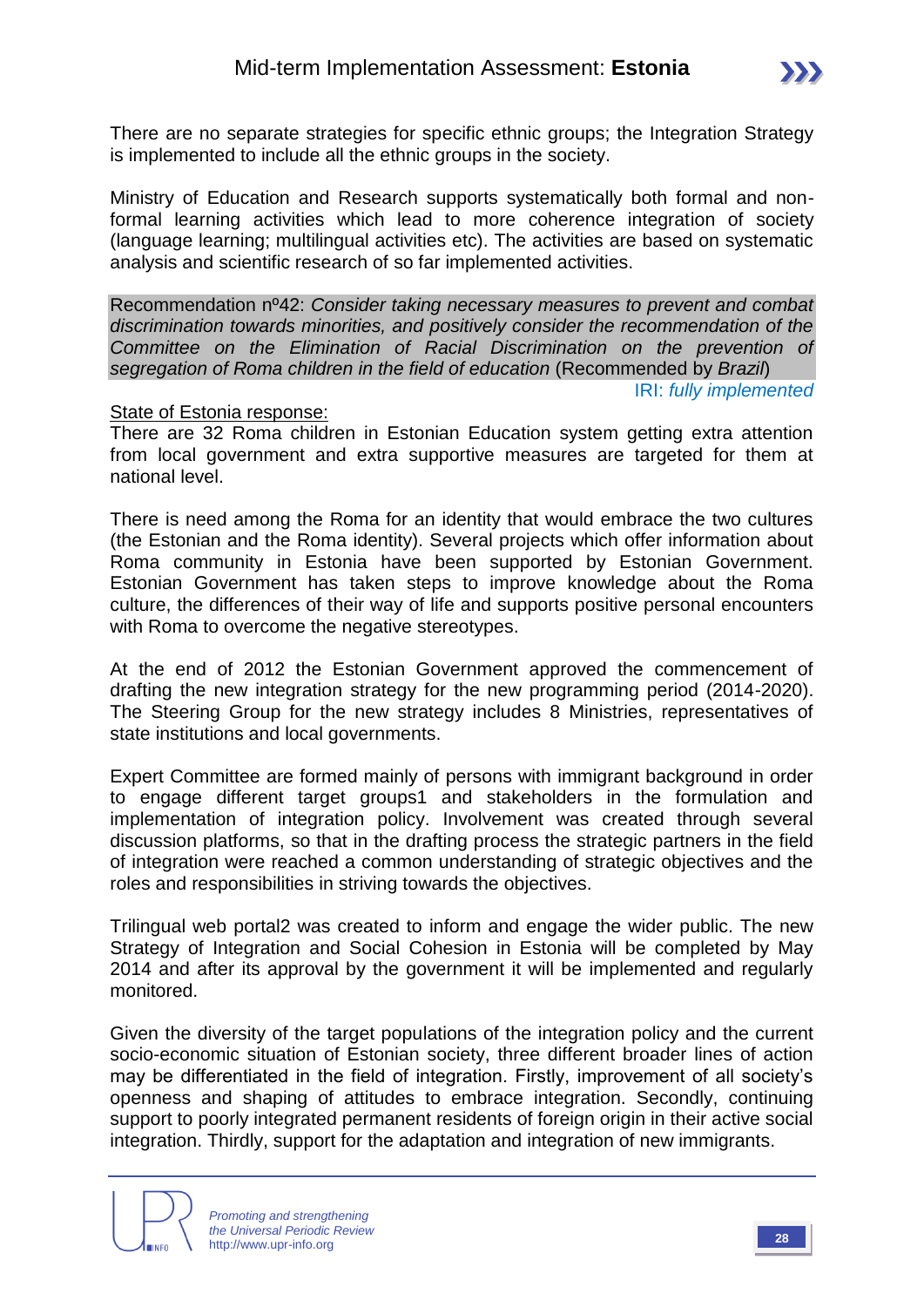There are no separate strategies for specific ethnic groups; the Integration Strategy is implemented to include all the ethnic groups in the society.

Ministry of Education and Research supports systematically both formal and nonformal learning activities which lead to more coherence integration of society (language learning; multilingual activities etc). The activities are based on systematic analysis and scientific research of so far implemented activities.

Recommendation nº42: *Consider taking necessary measures to prevent and combat discrimination towards minorities, and positively consider the recommendation of the Committee on the Elimination of Racial Discrimination on the prevention of segregation of Roma children in the field of education* (Recommended by *Brazil*)

IRI: *fully implemented*

#### State of Estonia response:

There are 32 Roma children in Estonian Education system getting extra attention from local government and extra supportive measures are targeted for them at national level.

There is need among the Roma for an identity that would embrace the two cultures (the Estonian and the Roma identity). Several projects which offer information about Roma community in Estonia have been supported by Estonian Government. Estonian Government has taken steps to improve knowledge about the Roma culture, the differences of their way of life and supports positive personal encounters with Roma to overcome the negative stereotypes.

At the end of 2012 the Estonian Government approved the commencement of drafting the new integration strategy for the new programming period (2014-2020). The Steering Group for the new strategy includes 8 Ministries, representatives of state institutions and local governments.

Expert Committee are formed mainly of persons with immigrant background in order to engage different target groups1 and stakeholders in the formulation and implementation of integration policy. Involvement was created through several discussion platforms, so that in the drafting process the strategic partners in the field of integration were reached a common understanding of strategic objectives and the roles and responsibilities in striving towards the objectives.

Trilingual web portal2 was created to inform and engage the wider public. The new Strategy of Integration and Social Cohesion in Estonia will be completed by May 2014 and after its approval by the government it will be implemented and regularly monitored.

Given the diversity of the target populations of the integration policy and the current socio-economic situation of Estonian society, three different broader lines of action may be differentiated in the field of integration. Firstly, improvement of all society's openness and shaping of attitudes to embrace integration. Secondly, continuing support to poorly integrated permanent residents of foreign origin in their active social integration. Thirdly, support for the adaptation and integration of new immigrants.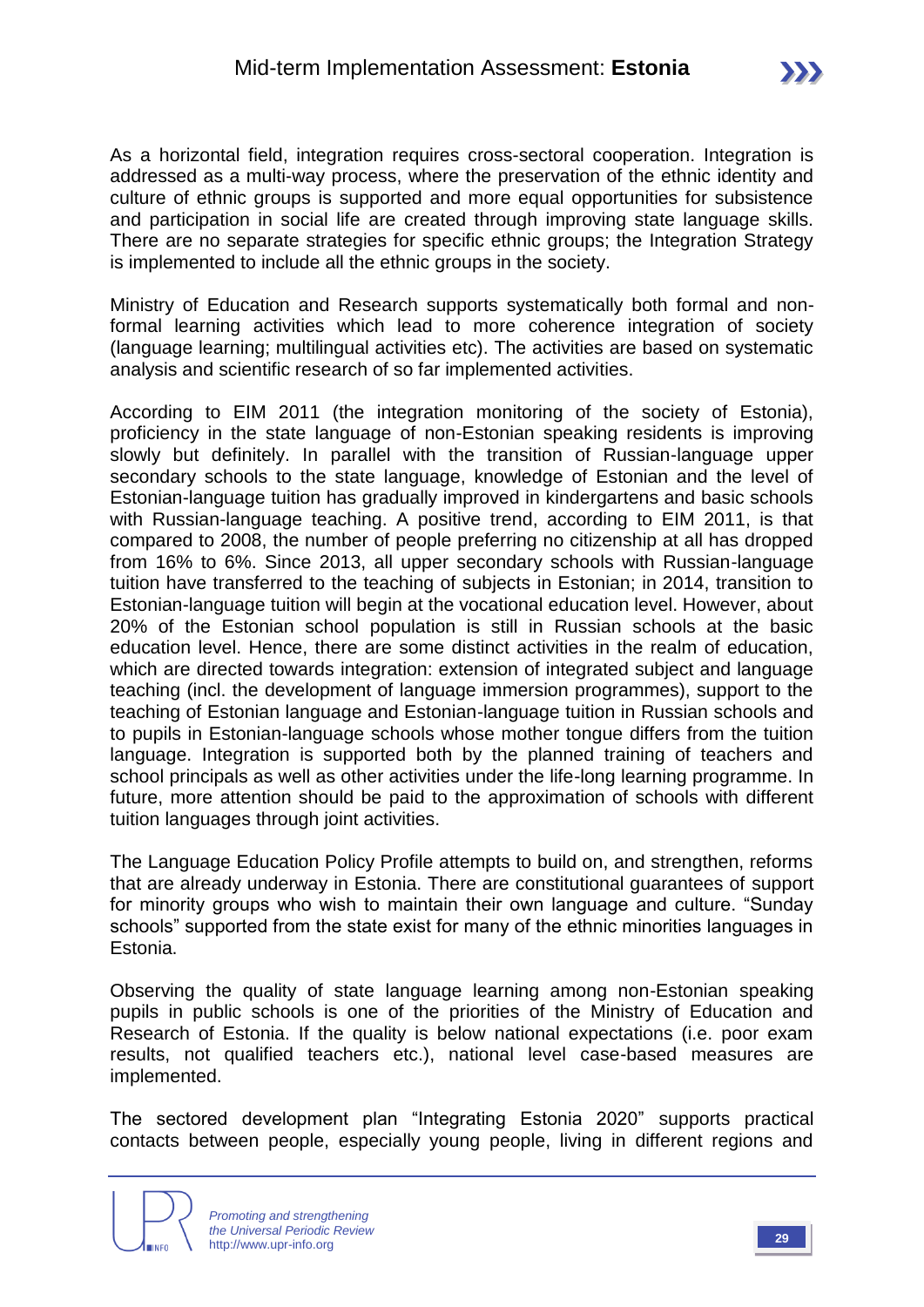As a horizontal field, integration requires cross-sectoral cooperation. Integration is addressed as a multi-way process, where the preservation of the ethnic identity and culture of ethnic groups is supported and more equal opportunities for subsistence and participation in social life are created through improving state language skills. There are no separate strategies for specific ethnic groups; the Integration Strategy is implemented to include all the ethnic groups in the society.

Ministry of Education and Research supports systematically both formal and nonformal learning activities which lead to more coherence integration of society (language learning; multilingual activities etc). The activities are based on systematic analysis and scientific research of so far implemented activities.

According to EIM 2011 (the integration monitoring of the society of Estonia), proficiency in the state language of non-Estonian speaking residents is improving slowly but definitely. In parallel with the transition of Russian-language upper secondary schools to the state language, knowledge of Estonian and the level of Estonian-language tuition has gradually improved in kindergartens and basic schools with Russian-language teaching. A positive trend, according to EIM 2011, is that compared to 2008, the number of people preferring no citizenship at all has dropped from 16% to 6%. Since 2013, all upper secondary schools with Russian-language tuition have transferred to the teaching of subjects in Estonian; in 2014, transition to Estonian-language tuition will begin at the vocational education level. However, about 20% of the Estonian school population is still in Russian schools at the basic education level. Hence, there are some distinct activities in the realm of education, which are directed towards integration: extension of integrated subject and language teaching (incl. the development of language immersion programmes), support to the teaching of Estonian language and Estonian-language tuition in Russian schools and to pupils in Estonian-language schools whose mother tongue differs from the tuition language. Integration is supported both by the planned training of teachers and school principals as well as other activities under the life-long learning programme. In future, more attention should be paid to the approximation of schools with different tuition languages through joint activities.

The Language Education Policy Profile attempts to build on, and strengthen, reforms that are already underway in Estonia. There are constitutional guarantees of support for minority groups who wish to maintain their own language and culture. "Sunday schools" supported from the state exist for many of the ethnic minorities languages in Estonia.

Observing the quality of state language learning among non-Estonian speaking pupils in public schools is one of the priorities of the Ministry of Education and Research of Estonia. If the quality is below national expectations (i.e. poor exam results, not qualified teachers etc.), national level case-based measures are implemented.

The sectored development plan "Integrating Estonia 2020" supports practical contacts between people, especially young people, living in different regions and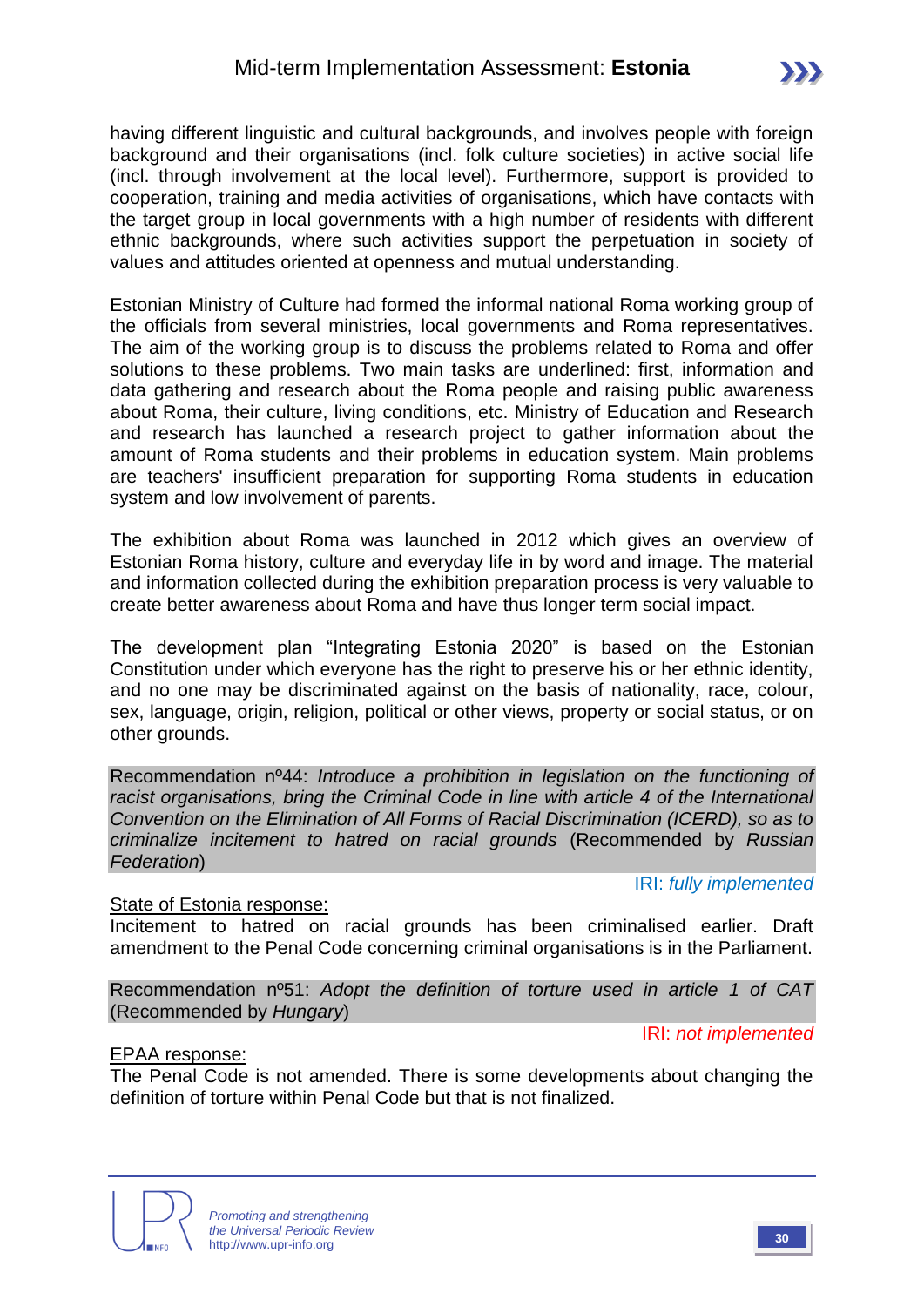having different linguistic and cultural backgrounds, and involves people with foreign background and their organisations (incl. folk culture societies) in active social life (incl. through involvement at the local level). Furthermore, support is provided to cooperation, training and media activities of organisations, which have contacts with the target group in local governments with a high number of residents with different ethnic backgrounds, where such activities support the perpetuation in society of values and attitudes oriented at openness and mutual understanding.

Estonian Ministry of Culture had formed the informal national Roma working group of the officials from several ministries, local governments and Roma representatives. The aim of the working group is to discuss the problems related to Roma and offer solutions to these problems. Two main tasks are underlined: first, information and data gathering and research about the Roma people and raising public awareness about Roma, their culture, living conditions, etc. Ministry of Education and Research and research has launched a research project to gather information about the amount of Roma students and their problems in education system. Main problems are teachers' insufficient preparation for supporting Roma students in education system and low involvement of parents.

The exhibition about Roma was launched in 2012 which gives an overview of Estonian Roma history, culture and everyday life in by word and image. The material and information collected during the exhibition preparation process is very valuable to create better awareness about Roma and have thus longer term social impact.

The development plan "Integrating Estonia 2020" is based on the Estonian Constitution under which everyone has the right to preserve his or her ethnic identity, and no one may be discriminated against on the basis of nationality, race, colour, sex, language, origin, religion, political or other views, property or social status, or on other grounds.

Recommendation nº44: *Introduce a prohibition in legislation on the functioning of racist organisations, bring the Criminal Code in line with article 4 of the International Convention on the Elimination of All Forms of Racial Discrimination (ICERD), so as to criminalize incitement to hatred on racial grounds* (Recommended by *Russian Federation*)

IRI: *fully implemented*

#### State of Estonia response:

Incitement to hatred on racial grounds has been criminalised earlier. Draft amendment to the Penal Code concerning criminal organisations is in the Parliament.

Recommendation nº51: *Adopt the definition of torture used in article 1 of CAT*  (Recommended by *Hungary*)

IRI: *not implemented*

#### EPAA response:

The Penal Code is not amended. There is some developments about changing the definition of torture within Penal Code but that is not finalized.

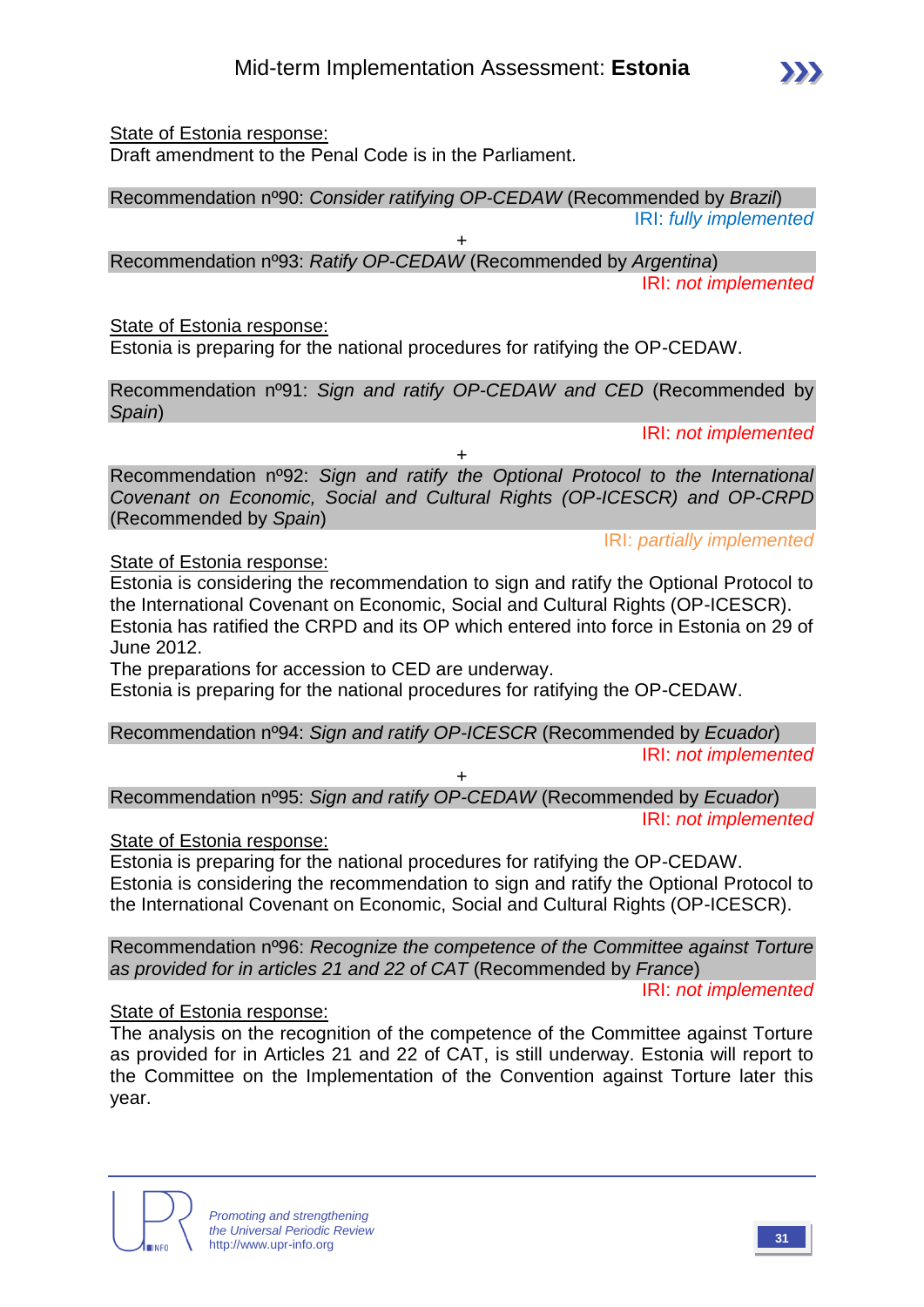#### State of Estonia response:

Draft amendment to the Penal Code is in the Parliament.

### Recommendation nº90: *Consider ratifying OP-CEDAW* (Recommended by *Brazil*)

IRI: *fully implemented*

+ Recommendation nº93: *Ratify OP-CEDAW* (Recommended by *Argentina*) IRI: *not implemented*

#### State of Estonia response:

Estonia is preparing for the national procedures for ratifying the OP-CEDAW.

Recommendation nº91: *Sign and ratify OP-CEDAW and CED* (Recommended by *Spain*)

IRI: *not implemented*

IRI: *partially implemented*

Recommendation nº92: *Sign and ratify the Optional Protocol to the International Covenant on Economic, Social and Cultural Rights (OP-ICESCR) and OP-CRPD*  (Recommended by *Spain*)

 $\overline{+}$ 

#### State of Estonia response:

Estonia is considering the recommendation to sign and ratify the Optional Protocol to the International Covenant on Economic, Social and Cultural Rights (OP-ICESCR). Estonia has ratified the CRPD and its OP which entered into force in Estonia on 29 of June 2012.

The preparations for accession to CED are underway.

Estonia is preparing for the national procedures for ratifying the OP-CEDAW.

Recommendation nº94: *Sign and ratify OP-ICESCR* (Recommended by *Ecuador*) IRI: *not implemented* +

Recommendation nº95: *Sign and ratify OP-CEDAW* (Recommended by *Ecuador*) IRI: *not implemented*

#### State of Estonia response:

Estonia is preparing for the national procedures for ratifying the OP-CEDAW. Estonia is considering the recommendation to sign and ratify the Optional Protocol to the International Covenant on Economic, Social and Cultural Rights (OP-ICESCR).

Recommendation nº96: *Recognize the competence of the Committee against Torture as provided for in articles 21 and 22 of CAT* (Recommended by *France*)

IRI: *not implemented*

#### State of Estonia response:

The analysis on the recognition of the competence of the Committee against Torture as provided for in Articles 21 and 22 of CAT, is still underway. Estonia will report to the Committee on the Implementation of the Convention against Torture later this year.



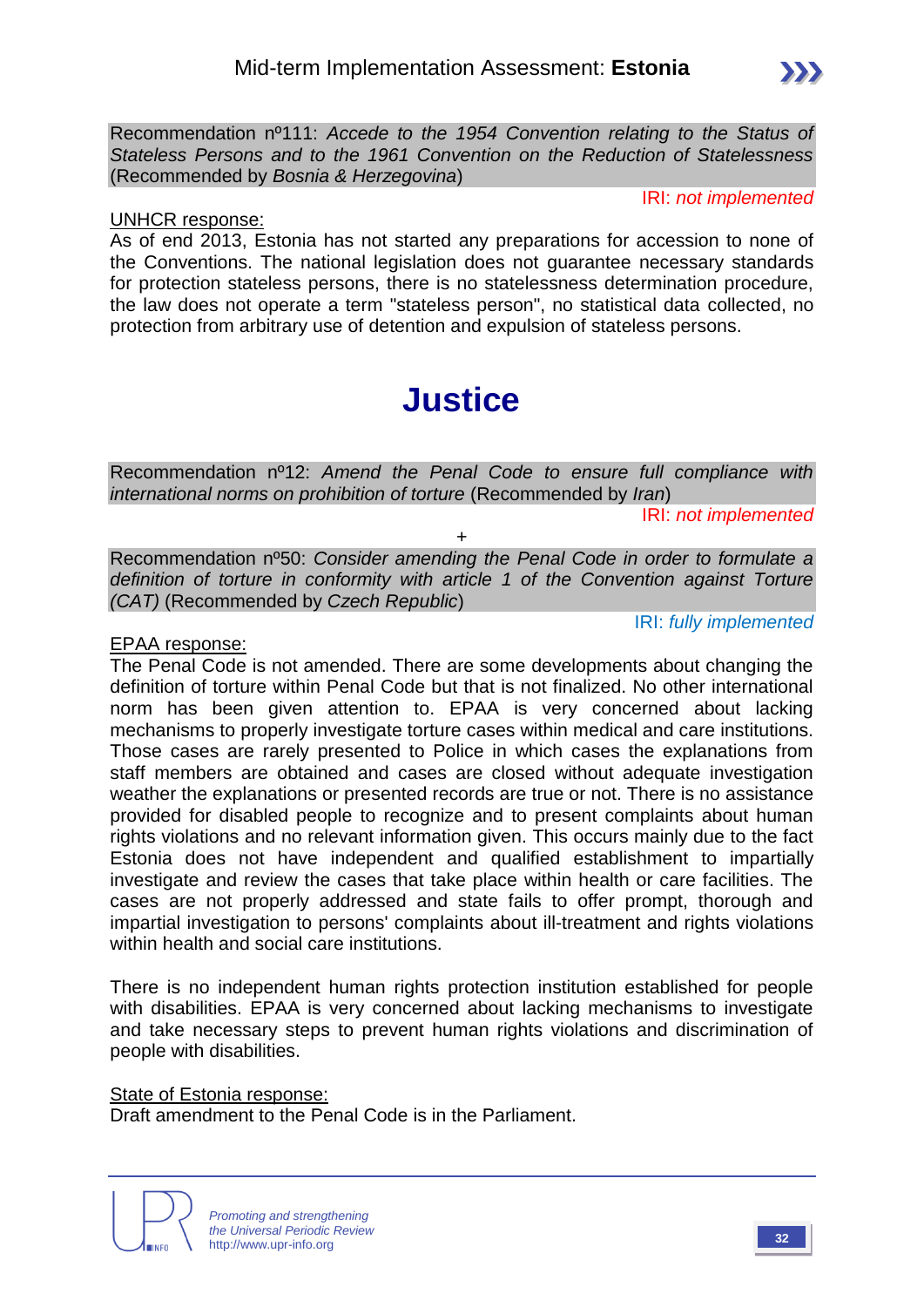Recommendation nº111: *Accede to the 1954 Convention relating to the Status of Stateless Persons and to the 1961 Convention on the Reduction of Statelessness*  (Recommended by *Bosnia & Herzegovina*)

IRI: *not implemented*

#### UNHCR response:

As of end 2013, Estonia has not started any preparations for accession to none of the Conventions. The national legislation does not guarantee necessary standards for protection stateless persons, there is no statelessness determination procedure, the law does not operate a term "stateless person", no statistical data collected, no protection from arbitrary use of detention and expulsion of stateless persons.

# **Justice**

Recommendation nº12: *Amend the Penal Code to ensure full compliance with international norms on prohibition of torture* (Recommended by *Iran*)

IRI: *not implemented*

Recommendation nº50: *Consider amending the Penal Code in order to formulate a definition of torture in conformity with article 1 of the Convention against Torture (CAT)* (Recommended by *Czech Republic*)

+

IRI: *fully implemented*

#### EPAA response:

The Penal Code is not amended. There are some developments about changing the definition of torture within Penal Code but that is not finalized. No other international norm has been given attention to. EPAA is very concerned about lacking mechanisms to properly investigate torture cases within medical and care institutions. Those cases are rarely presented to Police in which cases the explanations from staff members are obtained and cases are closed without adequate investigation weather the explanations or presented records are true or not. There is no assistance provided for disabled people to recognize and to present complaints about human rights violations and no relevant information given. This occurs mainly due to the fact Estonia does not have independent and qualified establishment to impartially investigate and review the cases that take place within health or care facilities. The cases are not properly addressed and state fails to offer prompt, thorough and impartial investigation to persons' complaints about ill-treatment and rights violations within health and social care institutions.

There is no independent human rights protection institution established for people with disabilities. EPAA is very concerned about lacking mechanisms to investigate and take necessary steps to prevent human rights violations and discrimination of people with disabilities.

#### State of Estonia response:

Draft amendment to the Penal Code is in the Parliament.

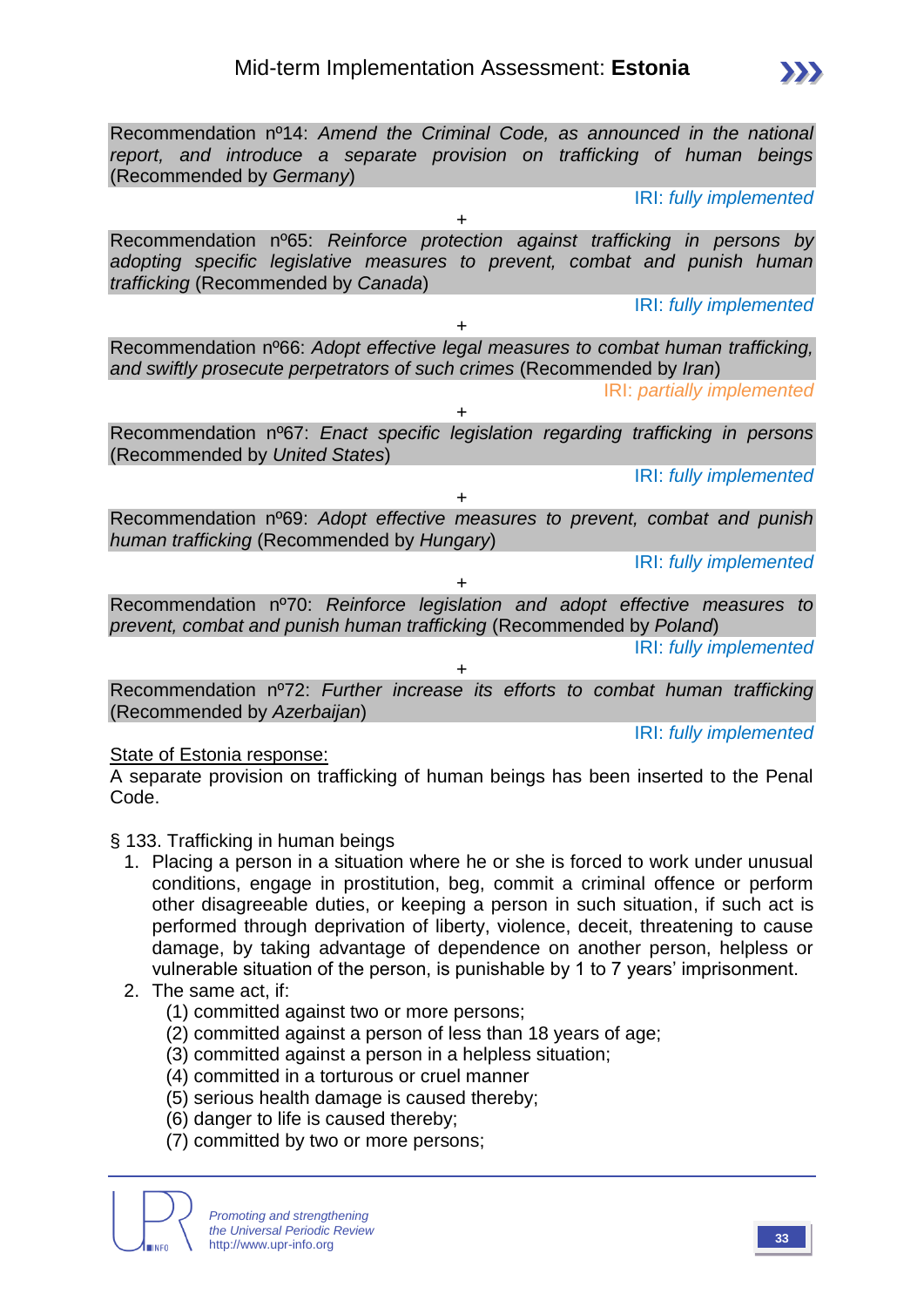Recommendation nº14: *Amend the Criminal Code, as announced in the national report, and introduce a separate provision on trafficking of human beings* (Recommended by *Germany*) IRI: *fully implemented* + Recommendation nº65: *Reinforce protection against trafficking in persons by adopting specific legislative measures to prevent, combat and punish human trafficking* (Recommended by *Canada*) IRI: *fully implemented* + Recommendation nº66: *Adopt effective legal measures to combat human trafficking, and swiftly prosecute perpetrators of such crimes* (Recommended by *Iran*) IRI: *partially implemented* + Recommendation nº67: *Enact specific legislation regarding trafficking in persons*  (Recommended by *United States*) IRI: *fully implemented* + Recommendation nº69: *Adopt effective measures to prevent, combat and punish human trafficking* (Recommended by *Hungary*) IRI: *fully implemented* + Recommendation nº70: *Reinforce legislation and adopt effective measures to prevent, combat and punish human trafficking* (Recommended by *Poland*) IRI: *fully implemented* + Recommendation nº72: *Further increase its efforts to combat human trafficking*  (Recommended by *Azerbaijan*)

#### State of Estonia response:

A separate provision on trafficking of human beings has been inserted to the Penal Code.

- § 133. Trafficking in human beings
	- 1. Placing a person in a situation where he or she is forced to work under unusual conditions, engage in prostitution, beg, commit a criminal offence or perform other disagreeable duties, or keeping a person in such situation, if such act is performed through deprivation of liberty, violence, deceit, threatening to cause damage, by taking advantage of dependence on another person, helpless or vulnerable situation of the person, is punishable by 1 to 7 years' imprisonment.
	- 2. The same act, if:
		- (1) committed against two or more persons;
		- (2) committed against a person of less than 18 years of age;
		- (3) committed against a person in a helpless situation;
		- (4) committed in a torturous or cruel manner
		- (5) serious health damage is caused thereby;
		- (6) danger to life is caused thereby;
		- (7) committed by two or more persons;

*Promoting and strengthening the Universal Periodic Review* http://www.upr-info.org **<sup>33</sup>**

IRI: *fully implemented*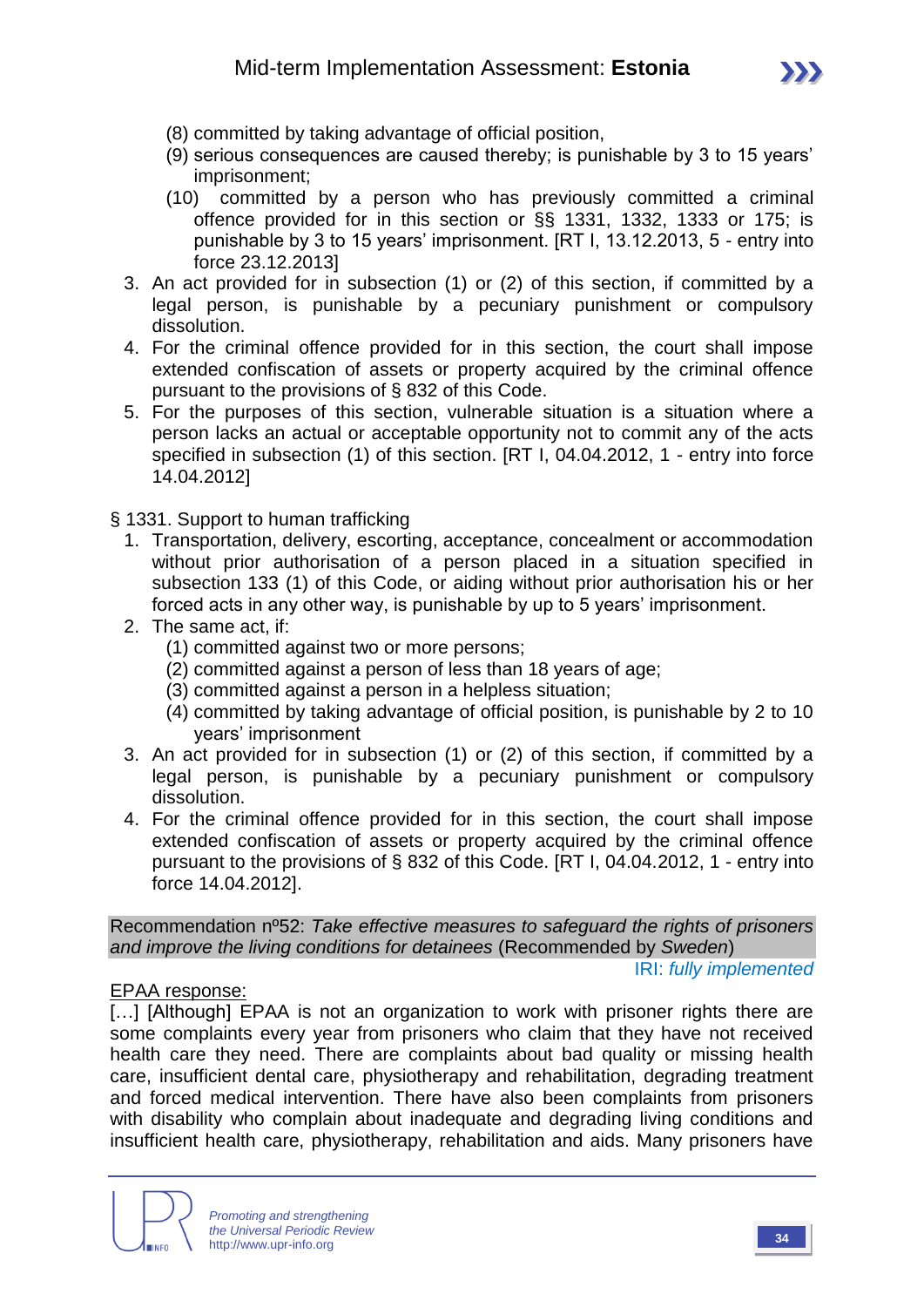

- (8) committed by taking advantage of official position,
- (9) serious consequences are caused thereby; is punishable by 3 to 15 years' imprisonment;
- (10) committed by a person who has previously committed a criminal offence provided for in this section or §§ 1331, 1332, 1333 or 175; is punishable by 3 to 15 years' imprisonment. [RT I, 13.12.2013, 5 - entry into force 23.12.2013]
- 3. An act provided for in subsection (1) or (2) of this section, if committed by a legal person, is punishable by a pecuniary punishment or compulsory dissolution.
- 4. For the criminal offence provided for in this section, the court shall impose extended confiscation of assets or property acquired by the criminal offence pursuant to the provisions of § 832 of this Code.
- 5. For the purposes of this section, vulnerable situation is a situation where a person lacks an actual or acceptable opportunity not to commit any of the acts specified in subsection (1) of this section. [RT I, 04.04.2012, 1 - entry into force 14.04.2012]

§ 1331. Support to human trafficking

- 1. Transportation, delivery, escorting, acceptance, concealment or accommodation without prior authorisation of a person placed in a situation specified in subsection 133 (1) of this Code, or aiding without prior authorisation his or her forced acts in any other way, is punishable by up to 5 years' imprisonment.
- 2. The same act, if:
	- (1) committed against two or more persons;
	- (2) committed against a person of less than 18 years of age;
	- (3) committed against a person in a helpless situation;
	- (4) committed by taking advantage of official position, is punishable by 2 to 10 years' imprisonment
- 3. An act provided for in subsection (1) or (2) of this section, if committed by a legal person, is punishable by a pecuniary punishment or compulsory dissolution.
- 4. For the criminal offence provided for in this section, the court shall impose extended confiscation of assets or property acquired by the criminal offence pursuant to the provisions of § 832 of this Code. [RT I, 04.04.2012, 1 - entry into force 14.04.2012].

Recommendation nº52: *Take effective measures to safeguard the rights of prisoners and improve the living conditions for detainees* (Recommended by *Sweden*) IRI: *fully implemented*

#### EPAA response:

[...] [Although] EPAA is not an organization to work with prisoner rights there are some complaints every year from prisoners who claim that they have not received health care they need. There are complaints about bad quality or missing health care, insufficient dental care, physiotherapy and rehabilitation, degrading treatment and forced medical intervention. There have also been complaints from prisoners with disability who complain about inadequate and degrading living conditions and insufficient health care, physiotherapy, rehabilitation and aids. Many prisoners have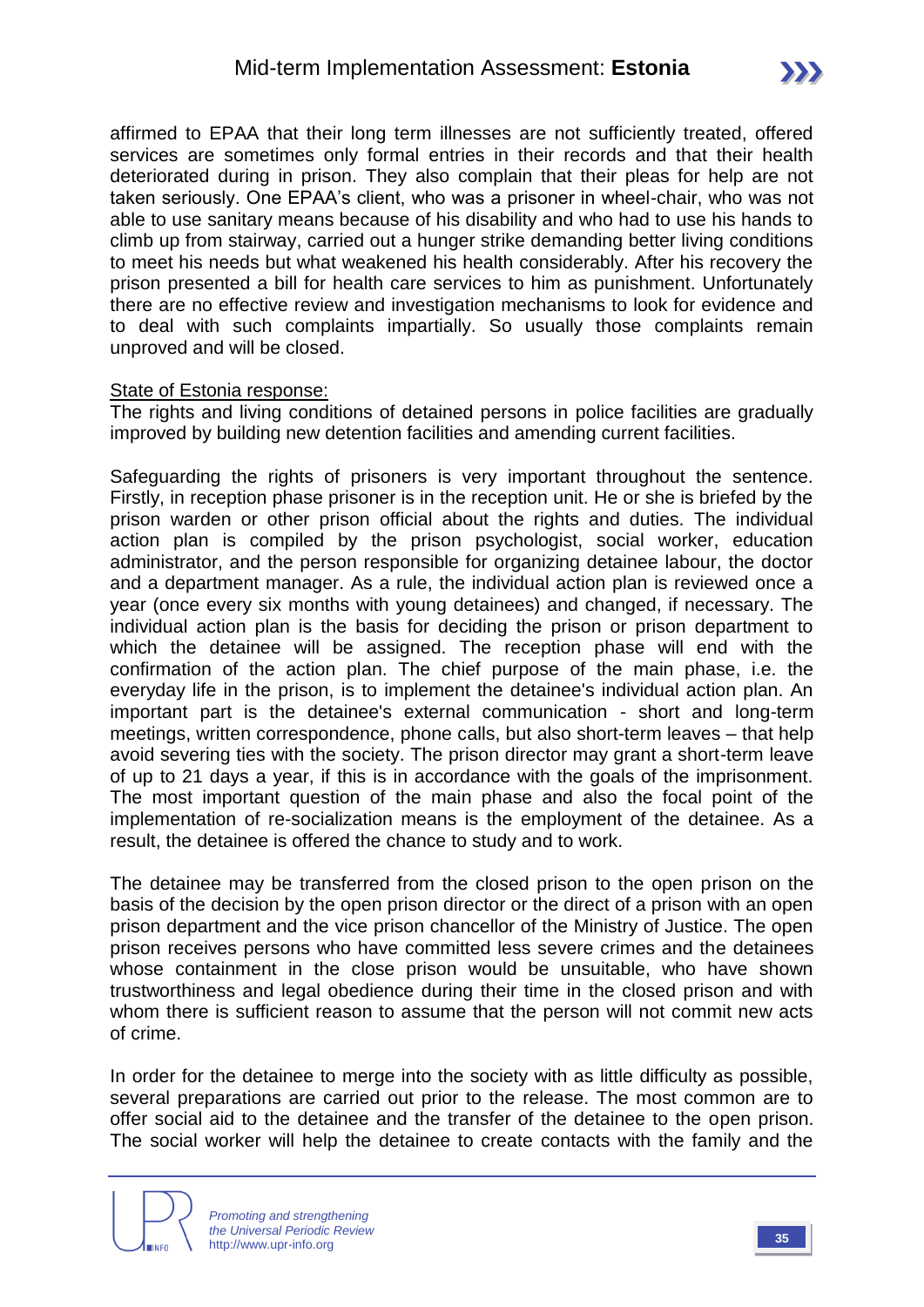affirmed to EPAA that their long term illnesses are not sufficiently treated, offered services are sometimes only formal entries in their records and that their health deteriorated during in prison. They also complain that their pleas for help are not taken seriously. One EPAA's client, who was a prisoner in wheel-chair, who was not able to use sanitary means because of his disability and who had to use his hands to climb up from stairway, carried out a hunger strike demanding better living conditions to meet his needs but what weakened his health considerably. After his recovery the prison presented a bill for health care services to him as punishment. Unfortunately there are no effective review and investigation mechanisms to look for evidence and to deal with such complaints impartially. So usually those complaints remain unproved and will be closed.

#### State of Estonia response:

The rights and living conditions of detained persons in police facilities are gradually improved by building new detention facilities and amending current facilities.

Safeguarding the rights of prisoners is very important throughout the sentence. Firstly, in reception phase prisoner is in the reception unit. He or she is briefed by the prison warden or other prison official about the rights and duties. The individual action plan is compiled by the prison psychologist, social worker, education administrator, and the person responsible for organizing detainee labour, the doctor and a department manager. As a rule, the individual action plan is reviewed once a year (once every six months with young detainees) and changed, if necessary. The individual action plan is the basis for deciding the prison or prison department to which the detainee will be assigned. The reception phase will end with the confirmation of the action plan. The chief purpose of the main phase, i.e. the everyday life in the prison, is to implement the detainee's individual action plan. An important part is the detainee's external communication - short and long-term meetings, written correspondence, phone calls, but also short-term leaves – that help avoid severing ties with the society. The prison director may grant a short-term leave of up to 21 days a year, if this is in accordance with the goals of the imprisonment. The most important question of the main phase and also the focal point of the implementation of re-socialization means is the employment of the detainee. As a result, the detainee is offered the chance to study and to work.

The detainee may be transferred from the closed prison to the open prison on the basis of the decision by the open prison director or the direct of a prison with an open prison department and the vice prison chancellor of the Ministry of Justice. The open prison receives persons who have committed less severe crimes and the detainees whose containment in the close prison would be unsuitable, who have shown trustworthiness and legal obedience during their time in the closed prison and with whom there is sufficient reason to assume that the person will not commit new acts of crime.

In order for the detainee to merge into the society with as little difficulty as possible, several preparations are carried out prior to the release. The most common are to offer social aid to the detainee and the transfer of the detainee to the open prison. The social worker will help the detainee to create contacts with the family and the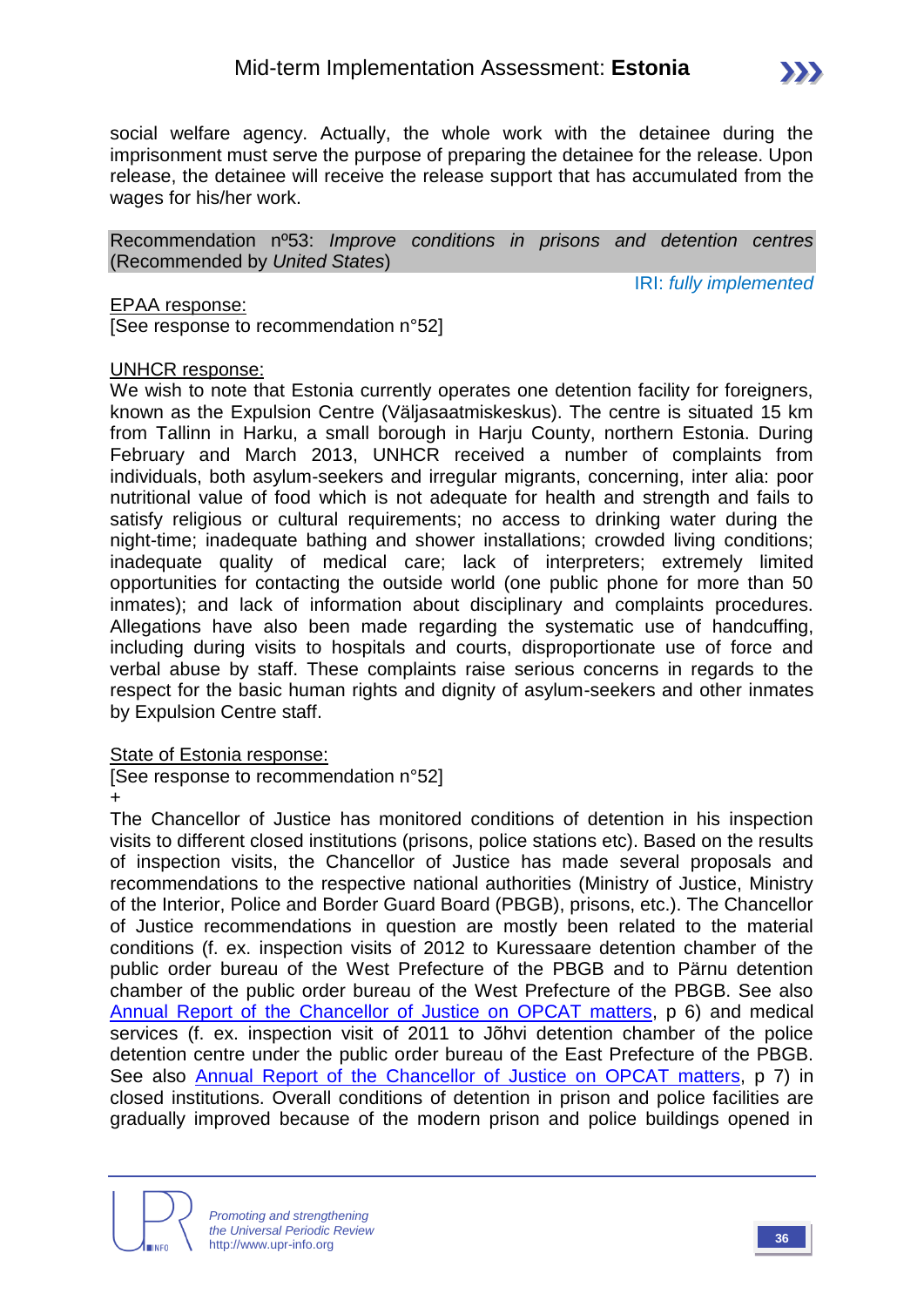

social welfare agency. Actually, the whole work with the detainee during the imprisonment must serve the purpose of preparing the detainee for the release. Upon release, the detainee will receive the release support that has accumulated from the wages for his/her work.

Recommendation nº53: *Improve conditions in prisons and detention centres*  (Recommended by *United States*)

IRI: *fully implemented*

#### EPAA response:

[See response to recommendation n°52]

#### UNHCR response:

We wish to note that Estonia currently operates one detention facility for foreigners, known as the Expulsion Centre (Väljasaatmiskeskus). The centre is situated 15 km from Tallinn in Harku, a small borough in Harju County, northern Estonia. During February and March 2013, UNHCR received a number of complaints from individuals, both asylum-seekers and irregular migrants, concerning, inter alia: poor nutritional value of food which is not adequate for health and strength and fails to satisfy religious or cultural requirements; no access to drinking water during the night-time; inadequate bathing and shower installations; crowded living conditions; inadequate quality of medical care; lack of interpreters; extremely limited opportunities for contacting the outside world (one public phone for more than 50 inmates); and lack of information about disciplinary and complaints procedures. Allegations have also been made regarding the systematic use of handcuffing, including during visits to hospitals and courts, disproportionate use of force and verbal abuse by staff. These complaints raise serious concerns in regards to the respect for the basic human rights and dignity of asylum-seekers and other inmates by Expulsion Centre staff.

#### State of Estonia response:

[See response to recommendation n°52] +

The Chancellor of Justice has monitored conditions of detention in his inspection visits to different closed institutions (prisons, police stations etc). Based on the results of inspection visits, the Chancellor of Justice has made several proposals and recommendations to the respective national authorities (Ministry of Justice, Ministry of the Interior, Police and Border Guard Board (PBGB), prisons, etc.). The Chancellor of Justice recommendations in question are mostly been related to the material conditions (f. ex. inspection visits of 2012 to Kuressaare detention chamber of the public order bureau of the West Prefecture of the PBGB and to Pärnu detention chamber of the public order bureau of the West Prefecture of the PBGB. See also [Annual Report of the Chancellor of Justice on OPCAT matters,](http://oiguskantsler.ee/sites/default/files/annual_report_2012.pdf) p 6) and medical services (f. ex. inspection visit of 2011 to Jõhvi detention chamber of the police detention centre under the public order bureau of the East Prefecture of the PBGB. See also [Annual Report of the Chancellor of Justice on OPCAT matters,](http://oiguskantsler.ee/sites/default/files/annual_report_2011_.pdf) p 7) in closed institutions. Overall conditions of detention in prison and police facilities are gradually improved because of the modern prison and police buildings opened in

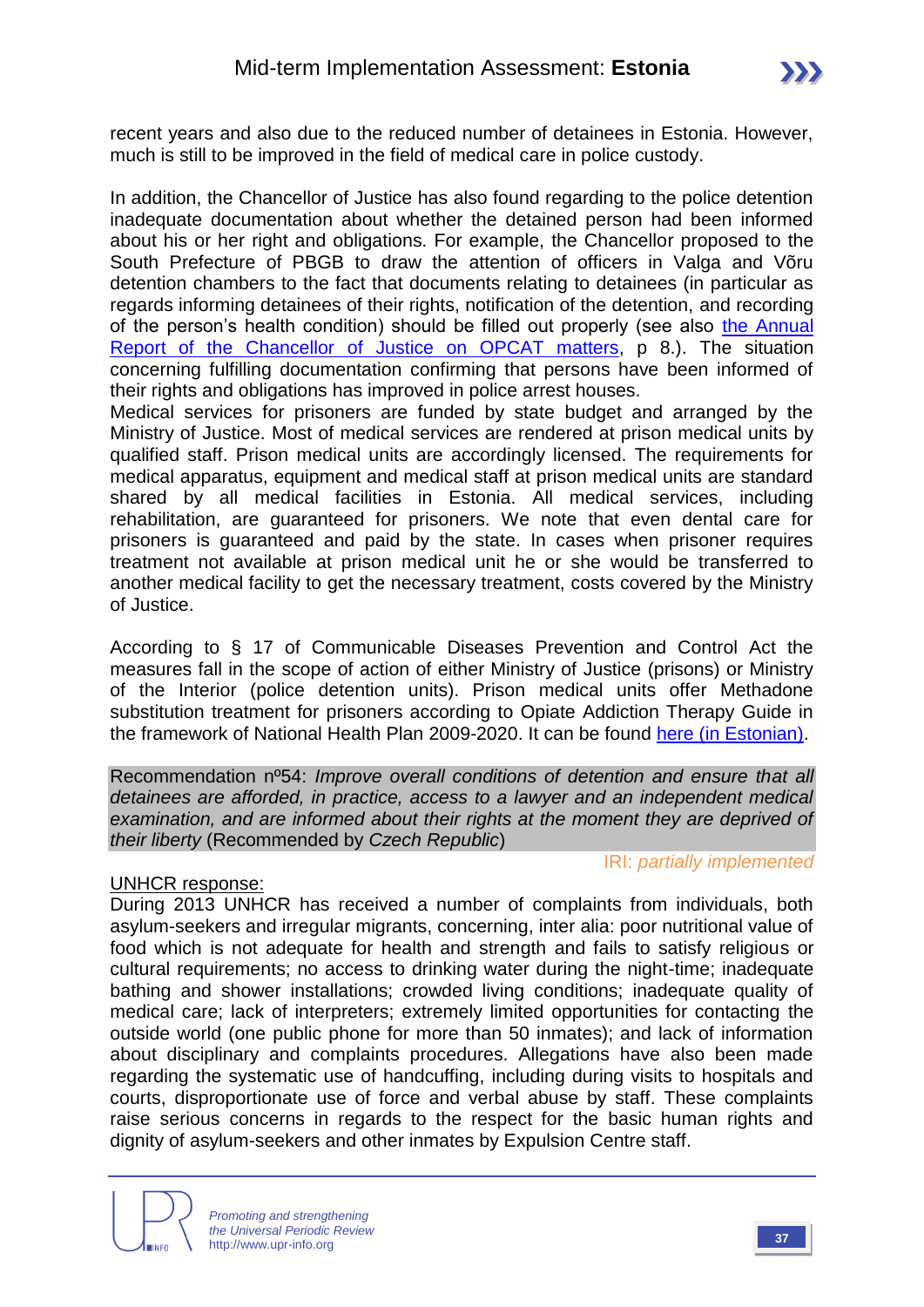recent years and also due to the reduced number of detainees in Estonia. However, much is still to be improved in the field of medical care in police custody.

In addition, the Chancellor of Justice has also found regarding to the police detention inadequate documentation about whether the detained person had been informed about his or her right and obligations. For example, the Chancellor proposed to the South Prefecture of PBGB to draw the attention of officers in Valga and Võru detention chambers to the fact that documents relating to detainees (in particular as regards informing detainees of their rights, notification of the detention, and recording of the person's health condition) should be filled out properly (see also [the Annual](http://oiguskantsler.ee/sites/default/files/annual_report_2011_.pdf)  [Report of the Chancellor of Justice on OPCAT matters,](http://oiguskantsler.ee/sites/default/files/annual_report_2011_.pdf) p 8.). The situation concerning fulfilling documentation confirming that persons have been informed of their rights and obligations has improved in police arrest houses.

Medical services for prisoners are funded by state budget and arranged by the Ministry of Justice. Most of medical services are rendered at prison medical units by qualified staff. Prison medical units are accordingly licensed. The requirements for medical apparatus, equipment and medical staff at prison medical units are standard shared by all medical facilities in Estonia. All medical services, including rehabilitation, are guaranteed for prisoners. We note that even dental care for prisoners is guaranteed and paid by the state. In cases when prisoner requires treatment not available at prison medical unit he or she would be transferred to another medical facility to get the necessary treatment, costs covered by the Ministry of Justice.

According to § 17 of Communicable Diseases Prevention and Control Act the measures fall in the scope of action of either Ministry of Justice (prisons) or Ministry of the Interior (police detention units). Prison medical units offer Methadone substitution treatment for prisoners according to Opiate Addiction Therapy Guide in the framework of National Health Plan 2009-2020. It can be found [here \(in Estonian\).](http://www.kliinikum.ee/psyhhiaatriakliinik/images/stories/ravijuhised/Opiaat-fin-ver.pdf)

Recommendation nº54: *Improve overall conditions of detention and ensure that all detainees are afforded, in practice, access to a lawyer and an independent medical examination, and are informed about their rights at the moment they are deprived of their liberty* (Recommended by *Czech Republic*)

#### UNHCR response:

During 2013 UNHCR has received a number of complaints from individuals, both asylum-seekers and irregular migrants, concerning, inter alia: poor nutritional value of food which is not adequate for health and strength and fails to satisfy religious or cultural requirements; no access to drinking water during the night-time; inadequate bathing and shower installations; crowded living conditions; inadequate quality of medical care; lack of interpreters; extremely limited opportunities for contacting the outside world (one public phone for more than 50 inmates); and lack of information about disciplinary and complaints procedures. Allegations have also been made regarding the systematic use of handcuffing, including during visits to hospitals and courts, disproportionate use of force and verbal abuse by staff. These complaints raise serious concerns in regards to the respect for the basic human rights and dignity of asylum-seekers and other inmates by Expulsion Centre staff.

IRI: *partially implemented*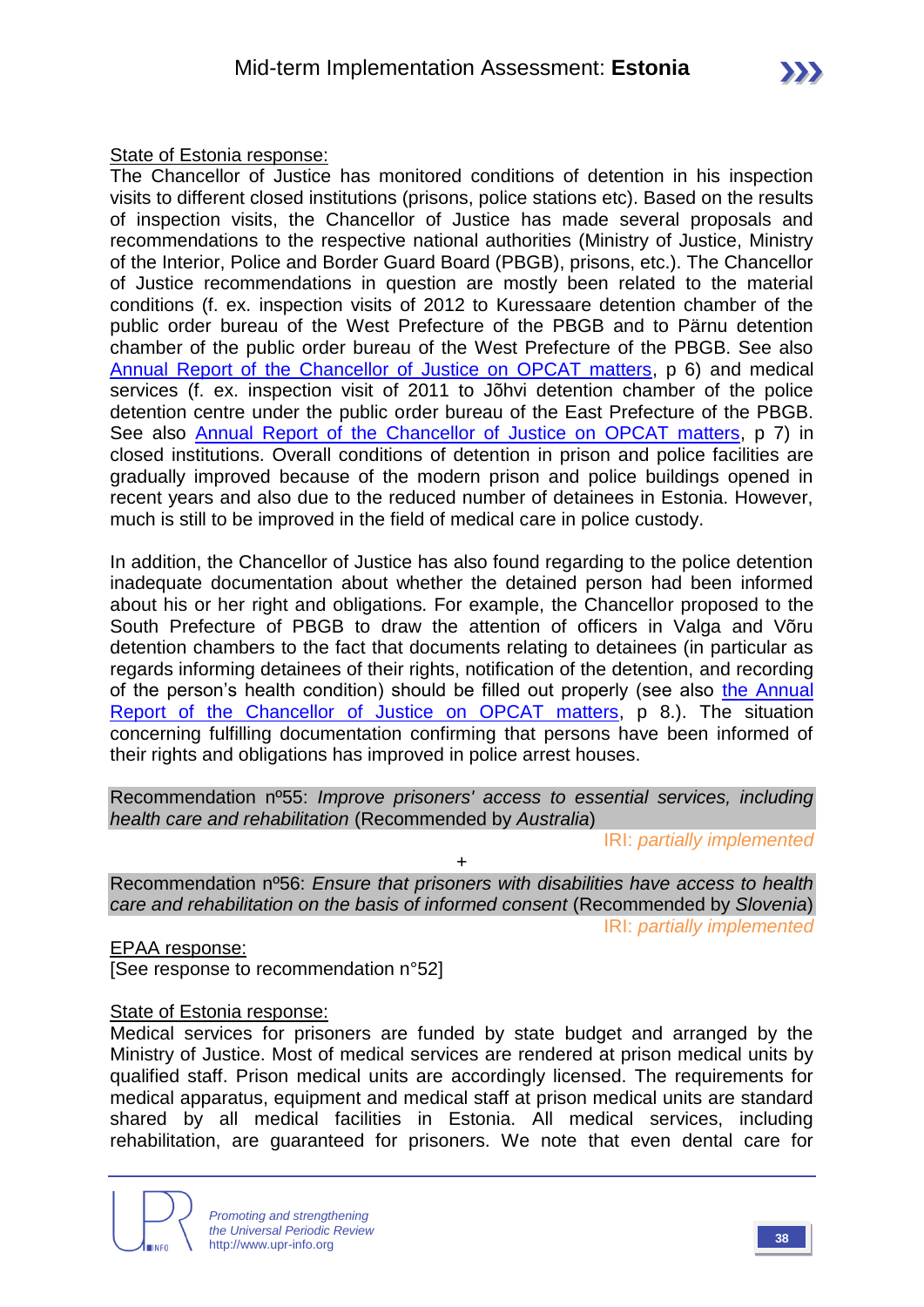#### State of Estonia response:

The Chancellor of Justice has monitored conditions of detention in his inspection visits to different closed institutions (prisons, police stations etc). Based on the results of inspection visits, the Chancellor of Justice has made several proposals and recommendations to the respective national authorities (Ministry of Justice, Ministry of the Interior, Police and Border Guard Board (PBGB), prisons, etc.). The Chancellor of Justice recommendations in question are mostly been related to the material conditions (f. ex. inspection visits of 2012 to Kuressaare detention chamber of the public order bureau of the West Prefecture of the PBGB and to Pärnu detention chamber of the public order bureau of the West Prefecture of the PBGB. See also [Annual Report of the Chancellor of Justice on OPCAT matters,](http://oiguskantsler.ee/sites/default/files/annual_report_2012.pdf) p 6) and medical services (f. ex. inspection visit of 2011 to Jõhvi detention chamber of the police detention centre under the public order bureau of the East Prefecture of the PBGB. See also [Annual Report of the Chancellor of Justice on OPCAT matters,](http://oiguskantsler.ee/sites/default/files/annual_report_2011_.pdf) p 7) in closed institutions. Overall conditions of detention in prison and police facilities are gradually improved because of the modern prison and police buildings opened in recent years and also due to the reduced number of detainees in Estonia. However, much is still to be improved in the field of medical care in police custody.

In addition, the Chancellor of Justice has also found regarding to the police detention inadequate documentation about whether the detained person had been informed about his or her right and obligations. For example, the Chancellor proposed to the South Prefecture of PBGB to draw the attention of officers in Valga and Võru detention chambers to the fact that documents relating to detainees (in particular as regards informing detainees of their rights, notification of the detention, and recording of the person's health condition) should be filled out properly (see also [the Annual](http://oiguskantsler.ee/sites/default/files/annual_report_2011_.pdf)  [Report of the Chancellor of Justice on OPCAT matters,](http://oiguskantsler.ee/sites/default/files/annual_report_2011_.pdf) p 8.). The situation concerning fulfilling documentation confirming that persons have been informed of their rights and obligations has improved in police arrest houses.

Recommendation nº55: *Improve prisoners' access to essential services, including health care and rehabilitation* (Recommended by *Australia*)

IRI: *partially implemented*

Recommendation nº56: *Ensure that prisoners with disabilities have access to health care and rehabilitation on the basis of informed consent* (Recommended by *Slovenia*) IRI: *partially implemented*

+

EPAA response:

[See response to recommendation n°52]

#### State of Estonia response:

Medical services for prisoners are funded by state budget and arranged by the Ministry of Justice. Most of medical services are rendered at prison medical units by qualified staff. Prison medical units are accordingly licensed. The requirements for medical apparatus, equipment and medical staff at prison medical units are standard shared by all medical facilities in Estonia. All medical services, including rehabilitation, are guaranteed for prisoners. We note that even dental care for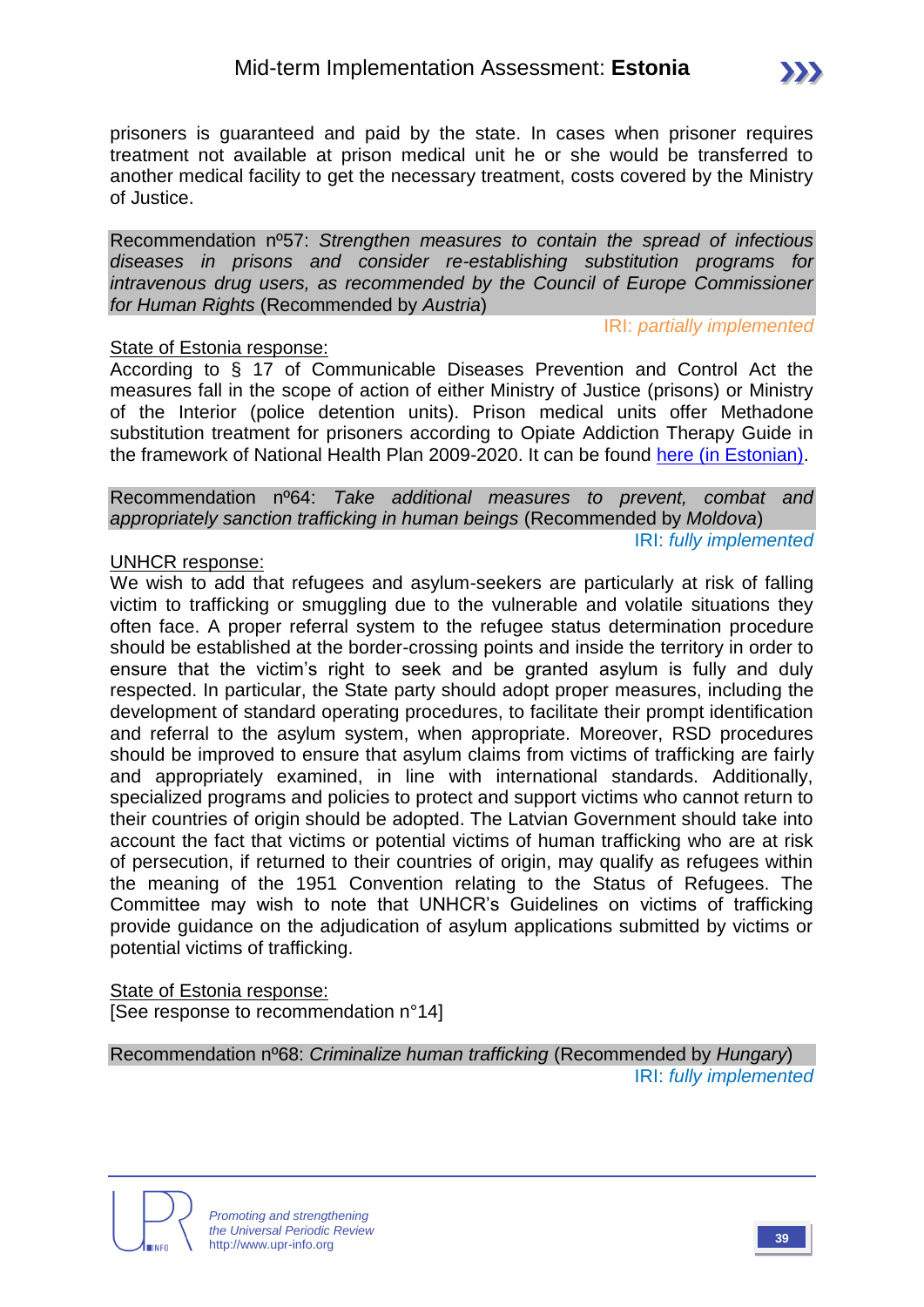

Recommendation nº57: *Strengthen measures to contain the spread of infectious diseases in prisons and consider re-establishing substitution programs for intravenous drug users, as recommended by the Council of Europe Commissioner for Human Rights* (Recommended by *Austria*)

#### State of Estonia response:

IRI: *partially implemented*

According to § 17 of Communicable Diseases Prevention and Control Act the measures fall in the scope of action of either Ministry of Justice (prisons) or Ministry of the Interior (police detention units). Prison medical units offer Methadone substitution treatment for prisoners according to Opiate Addiction Therapy Guide in the framework of National Health Plan 2009-2020. It can be found [here \(in Estonian\).](http://www.kliinikum.ee/psyhhiaatriakliinik/images/stories/ravijuhised/Opiaat-fin-ver.pdf.)

Recommendation nº64: *Take additional measures to prevent, combat and appropriately sanction trafficking in human beings* (Recommended by *Moldova*) IRI: *fully implemented*

#### UNHCR response:

We wish to add that refugees and asylum-seekers are particularly at risk of falling victim to trafficking or smuggling due to the vulnerable and volatile situations they often face. A proper referral system to the refugee status determination procedure should be established at the border-crossing points and inside the territory in order to ensure that the victim's right to seek and be granted asylum is fully and duly respected. In particular, the State party should adopt proper measures, including the development of standard operating procedures, to facilitate their prompt identification and referral to the asylum system, when appropriate. Moreover, RSD procedures should be improved to ensure that asylum claims from victims of trafficking are fairly and appropriately examined, in line with international standards. Additionally, specialized programs and policies to protect and support victims who cannot return to their countries of origin should be adopted. The Latvian Government should take into account the fact that victims or potential victims of human trafficking who are at risk of persecution, if returned to their countries of origin, may qualify as refugees within the meaning of the 1951 Convention relating to the Status of Refugees. The Committee may wish to note that UNHCR's Guidelines on victims of trafficking provide guidance on the adjudication of asylum applications submitted by victims or potential victims of trafficking.

State of Estonia response: [See response to recommendation n°14]

Recommendation nº68: *Criminalize human trafficking* (Recommended by *Hungary*) IRI: *fully implemented*



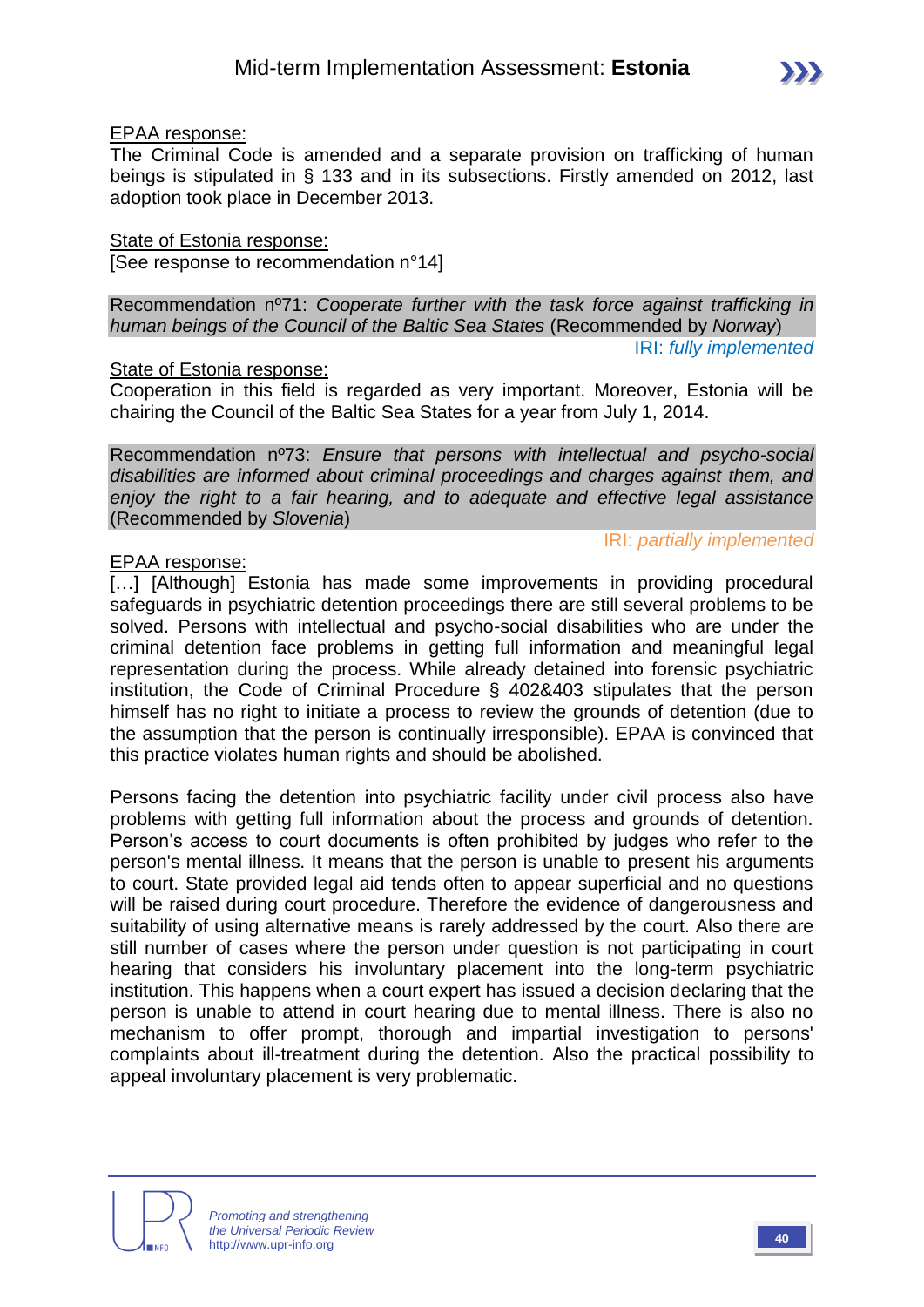The Criminal Code is amended and a separate provision on trafficking of human beings is stipulated in § 133 and in its subsections. Firstly amended on 2012, last adoption took place in December 2013.

State of Estonia response:

[See response to recommendation n°14]

Recommendation nº71: *Cooperate further with the task force against trafficking in human beings of the Council of the Baltic Sea States* (Recommended by *Norway*) IRI: *fully implemented*

State of Estonia response:

Cooperation in this field is regarded as very important. Moreover, Estonia will be chairing the Council of the Baltic Sea States for a year from July 1, 2014.

Recommendation nº73: *Ensure that persons with intellectual and psycho-social disabilities are informed about criminal proceedings and charges against them, and enjoy the right to a fair hearing, and to adequate and effective legal assistance*  (Recommended by *Slovenia*)

#### EPAA response:

[...] [Although] Estonia has made some improvements in providing procedural safeguards in psychiatric detention proceedings there are still several problems to be solved. Persons with intellectual and psycho-social disabilities who are under the criminal detention face problems in getting full information and meaningful legal representation during the process. While already detained into forensic psychiatric institution, the Code of Criminal Procedure § 402&403 stipulates that the person himself has no right to initiate a process to review the grounds of detention (due to the assumption that the person is continually irresponsible). EPAA is convinced that this practice violates human rights and should be abolished.

Persons facing the detention into psychiatric facility under civil process also have problems with getting full information about the process and grounds of detention. Person's access to court documents is often prohibited by judges who refer to the person's mental illness. It means that the person is unable to present his arguments to court. State provided legal aid tends often to appear superficial and no questions will be raised during court procedure. Therefore the evidence of dangerousness and suitability of using alternative means is rarely addressed by the court. Also there are still number of cases where the person under question is not participating in court hearing that considers his involuntary placement into the long-term psychiatric institution. This happens when a court expert has issued a decision declaring that the person is unable to attend in court hearing due to mental illness. There is also no mechanism to offer prompt, thorough and impartial investigation to persons' complaints about ill-treatment during the detention. Also the practical possibility to appeal involuntary placement is very problematic.



IRI: *partially implemented*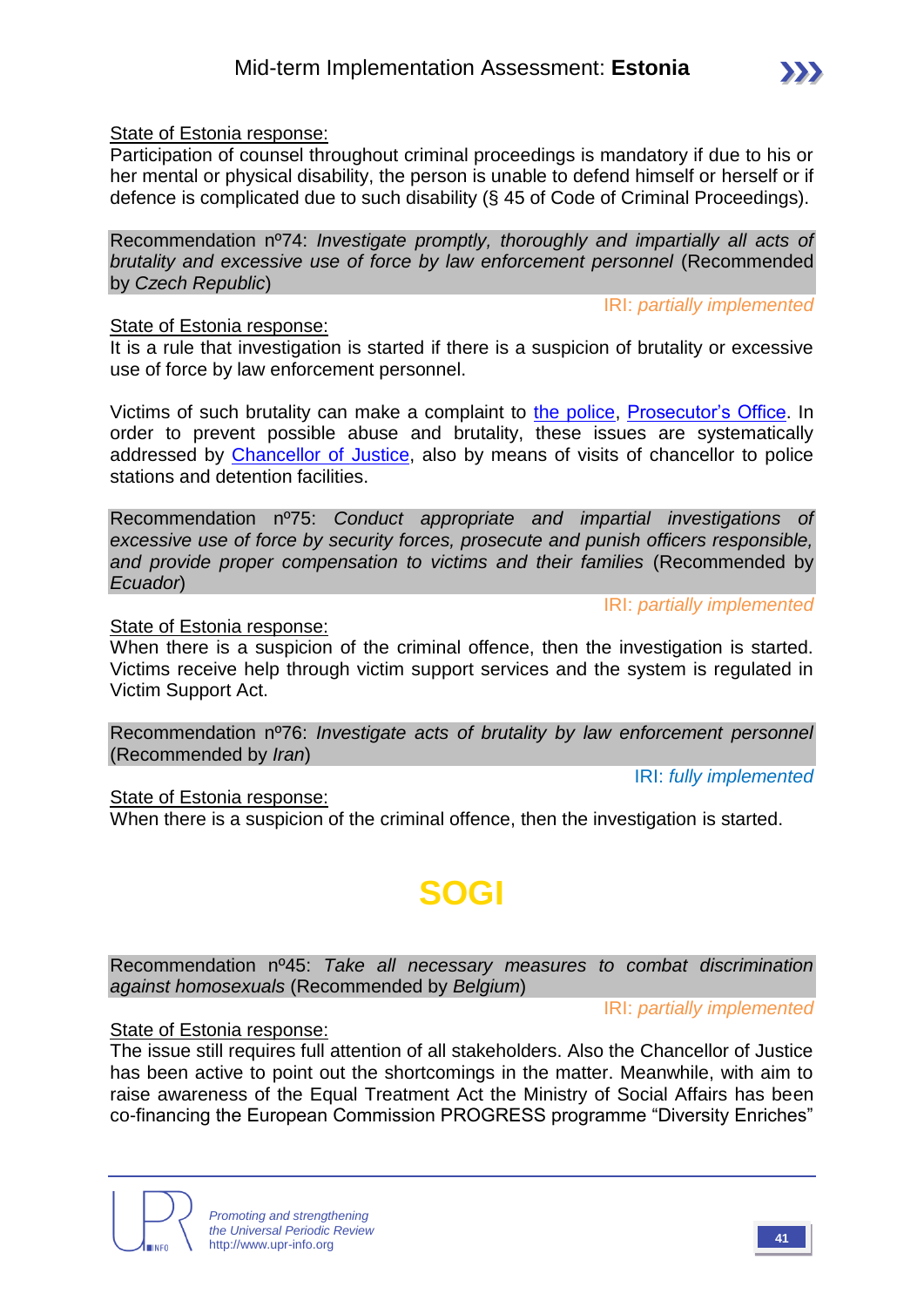#### State of Estonia response:

Participation of counsel throughout criminal proceedings is mandatory if due to his or her mental or physical disability, the person is unable to defend himself or herself or if defence is complicated due to such disability (§ 45 of Code of Criminal Proceedings).

Recommendation nº74: *Investigate promptly, thoroughly and impartially all acts of brutality and excessive use of force by law enforcement personnel* (Recommended by *Czech Republic*)

IRI: *partially implemented*

#### State of Estonia response:

It is a rule that investigation is started if there is a suspicion of brutality or excessive use of force by law enforcement personnel.

Victims of such brutality can make a complaint to [the police,](http://www.politsei.ee/) [Prosecutor's Office.](http://www.prokuratuur.ee/) In order to prevent possible abuse and brutality, these issues are systematically addressed by [Chancellor of Justice,](http://www.oiguskantsler.ee/) also by means of visits of chancellor to police stations and detention facilities.

Recommendation nº75: *Conduct appropriate and impartial investigations of excessive use of force by security forces, prosecute and punish officers responsible, and provide proper compensation to victims and their families* (Recommended by *Ecuador*)

IRI: *partially implemented*

#### State of Estonia response:

When there is a suspicion of the criminal offence, then the investigation is started. Victims receive help through victim support services and the system is regulated in Victim Support Act.

Recommendation nº76: *Investigate acts of brutality by law enforcement personnel*  (Recommended by *Iran*)

IRI: *fully implemented*

IRI: *partially implemented*

#### State of Estonia response:

When there is a suspicion of the criminal offence, then the investigation is started.

# **SOGI**

Recommendation nº45: *Take all necessary measures to combat discrimination against homosexuals* (Recommended by *Belgium*)

#### State of Estonia response:

The issue still requires full attention of all stakeholders. Also the Chancellor of Justice has been active to point out the shortcomings in the matter. Meanwhile, with aim to raise awareness of the Equal Treatment Act the Ministry of Social Affairs has been co-financing the European Commission PROGRESS programme "Diversity Enriches"



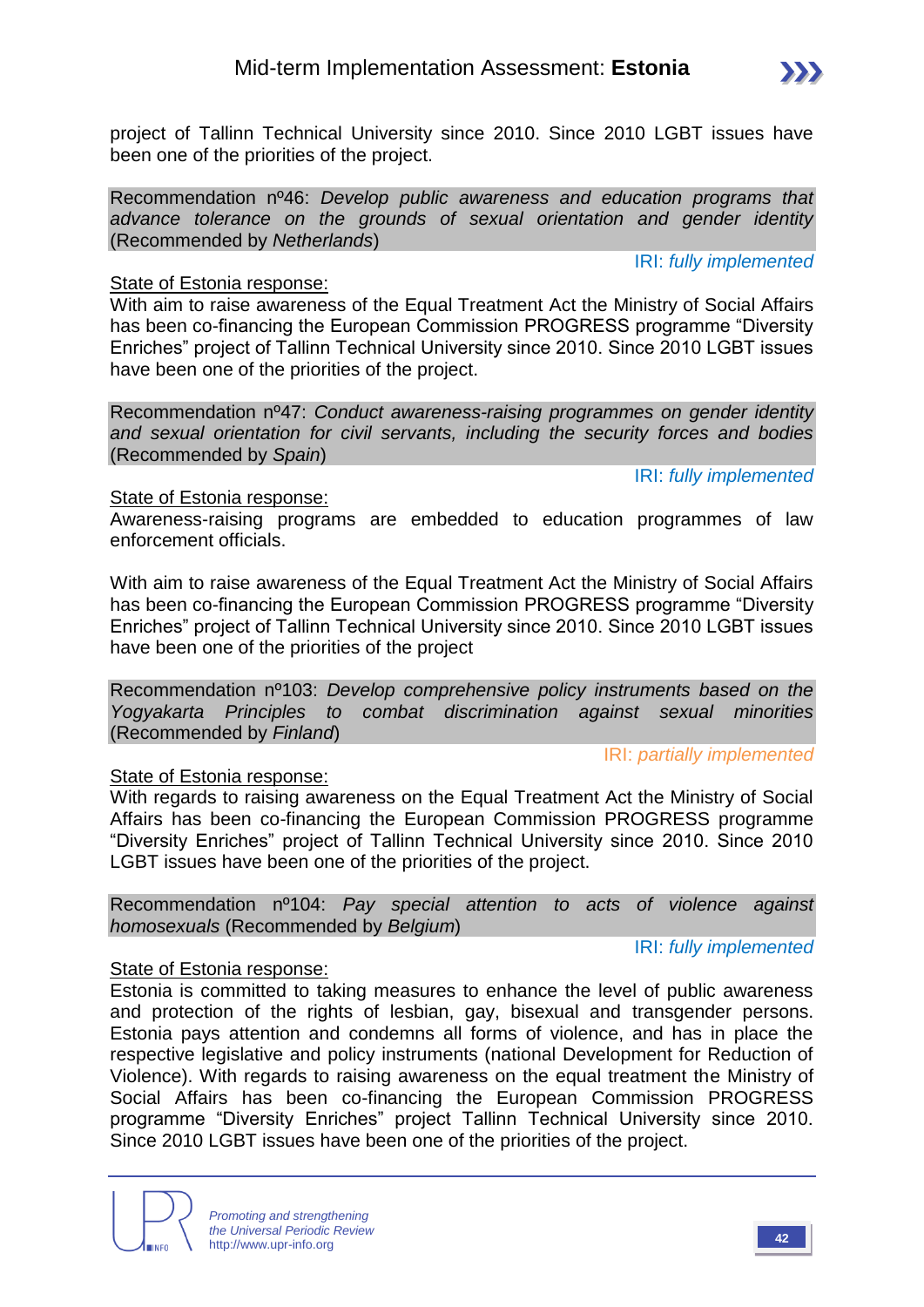

project of Tallinn Technical University since 2010. Since 2010 LGBT issues have been one of the priorities of the project.

Recommendation nº46: *Develop public awareness and education programs that advance tolerance on the grounds of sexual orientation and gender identity* (Recommended by *Netherlands*)

#### State of Estonia response:

With aim to raise awareness of the Equal Treatment Act the Ministry of Social Affairs has been co-financing the European Commission PROGRESS programme "Diversity Enriches" project of Tallinn Technical University since 2010. Since 2010 LGBT issues have been one of the priorities of the project.

Recommendation nº47: *Conduct awareness-raising programmes on gender identity and sexual orientation for civil servants, including the security forces and bodies*  (Recommended by *Spain*)

IRI: *fully implemented*

IRI: *fully implemented*

#### State of Estonia response:

Awareness-raising programs are embedded to education programmes of law enforcement officials.

With aim to raise awareness of the Equal Treatment Act the Ministry of Social Affairs has been co-financing the European Commission PROGRESS programme "Diversity Enriches" project of Tallinn Technical University since 2010. Since 2010 LGBT issues have been one of the priorities of the project

Recommendation nº103: *Develop comprehensive policy instruments based on the Yogyakarta Principles to combat discrimination against sexual minorities*  (Recommended by *Finland*)

IRI: *partially implemented*

#### State of Estonia response:

With regards to raising awareness on the Equal Treatment Act the Ministry of Social Affairs has been co-financing the European Commission PROGRESS programme "Diversity Enriches" project of Tallinn Technical University since 2010. Since 2010 LGBT issues have been one of the priorities of the project.

Recommendation nº104: *Pay special attention to acts of violence against homosexuals* (Recommended by *Belgium*)

IRI: *fully implemented*

#### State of Estonia response:

Estonia is committed to taking measures to enhance the level of public awareness and protection of the rights of lesbian, gay, bisexual and transgender persons. Estonia pays attention and condemns all forms of violence, and has in place the respective legislative and policy instruments (national Development for Reduction of Violence). With regards to raising awareness on the equal treatment the Ministry of Social Affairs has been co-financing the European Commission PROGRESS programme "Diversity Enriches" project Tallinn Technical University since 2010. Since 2010 LGBT issues have been one of the priorities of the project.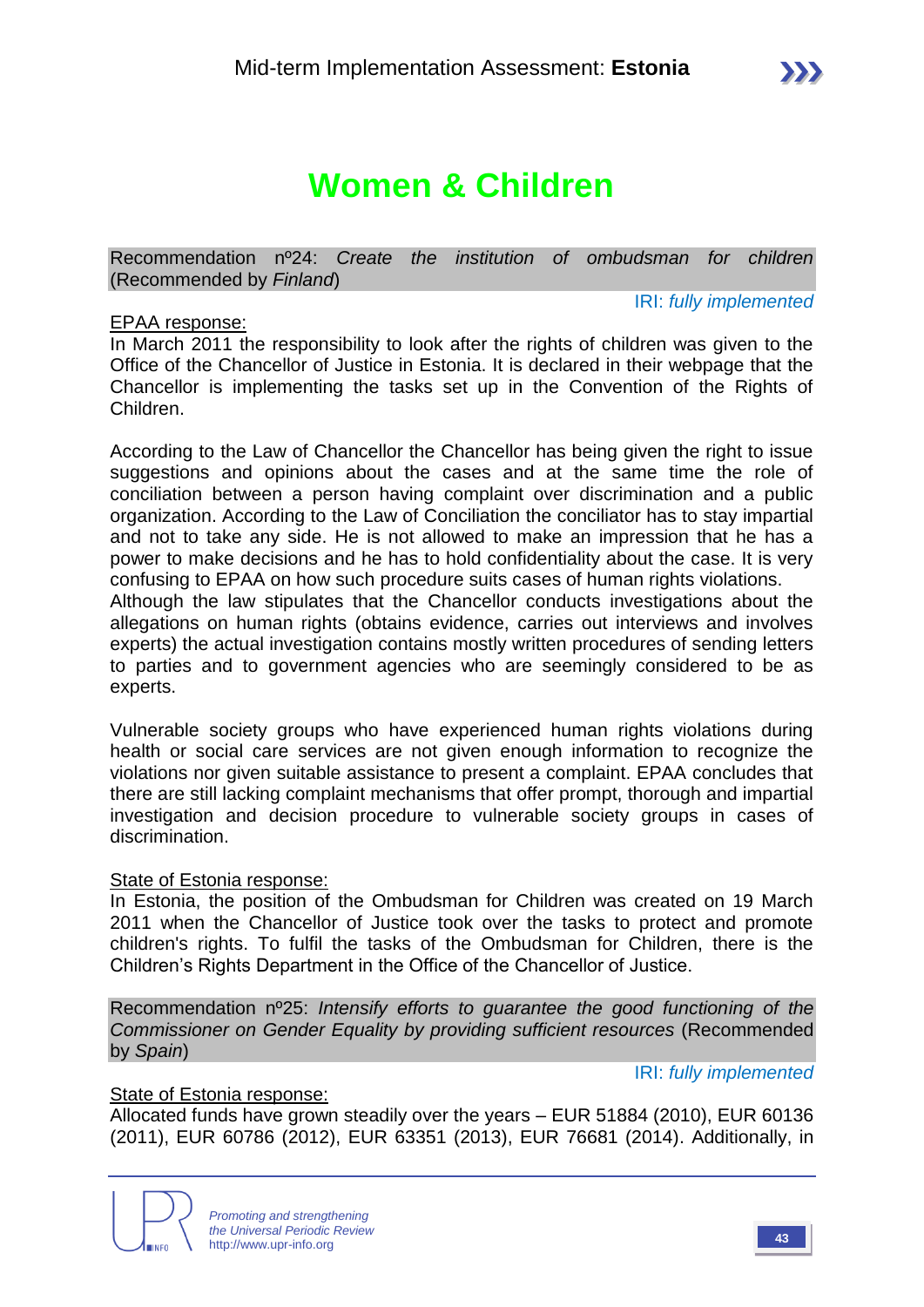Recommendation nº24: *Create the institution of ombudsman for children* (Recommended by *Finland*)

#### EPAA response:

IRI: *fully implemented*

In March 2011 the responsibility to look after the rights of children was given to the Office of the Chancellor of Justice in Estonia. It is declared in their webpage that the Chancellor is implementing the tasks set up in the Convention of the Rights of Children.

According to the Law of Chancellor the Chancellor has being given the right to issue suggestions and opinions about the cases and at the same time the role of conciliation between a person having complaint over discrimination and a public organization. According to the Law of Conciliation the conciliator has to stay impartial and not to take any side. He is not allowed to make an impression that he has a power to make decisions and he has to hold confidentiality about the case. It is very confusing to EPAA on how such procedure suits cases of human rights violations. Although the law stipulates that the Chancellor conducts investigations about the

allegations on human rights (obtains evidence, carries out interviews and involves experts) the actual investigation contains mostly written procedures of sending letters to parties and to government agencies who are seemingly considered to be as experts.

Vulnerable society groups who have experienced human rights violations during health or social care services are not given enough information to recognize the violations nor given suitable assistance to present a complaint. EPAA concludes that there are still lacking complaint mechanisms that offer prompt, thorough and impartial investigation and decision procedure to vulnerable society groups in cases of discrimination.

#### State of Estonia response:

In Estonia, the position of the Ombudsman for Children was created on 19 March 2011 when the Chancellor of Justice took over the tasks to protect and promote children's rights. To fulfil the tasks of the Ombudsman for Children, there is the Children's Rights Department in the Office of the Chancellor of Justice.

Recommendation nº25: *Intensify efforts to guarantee the good functioning of the Commissioner on Gender Equality by providing sufficient resources* (Recommended by *Spain*)

IRI: *fully implemented*

#### State of Estonia response:

Allocated funds have grown steadily over the years – EUR 51884 (2010), EUR 60136 (2011), EUR 60786 (2012), EUR 63351 (2013), EUR 76681 (2014). Additionally, in

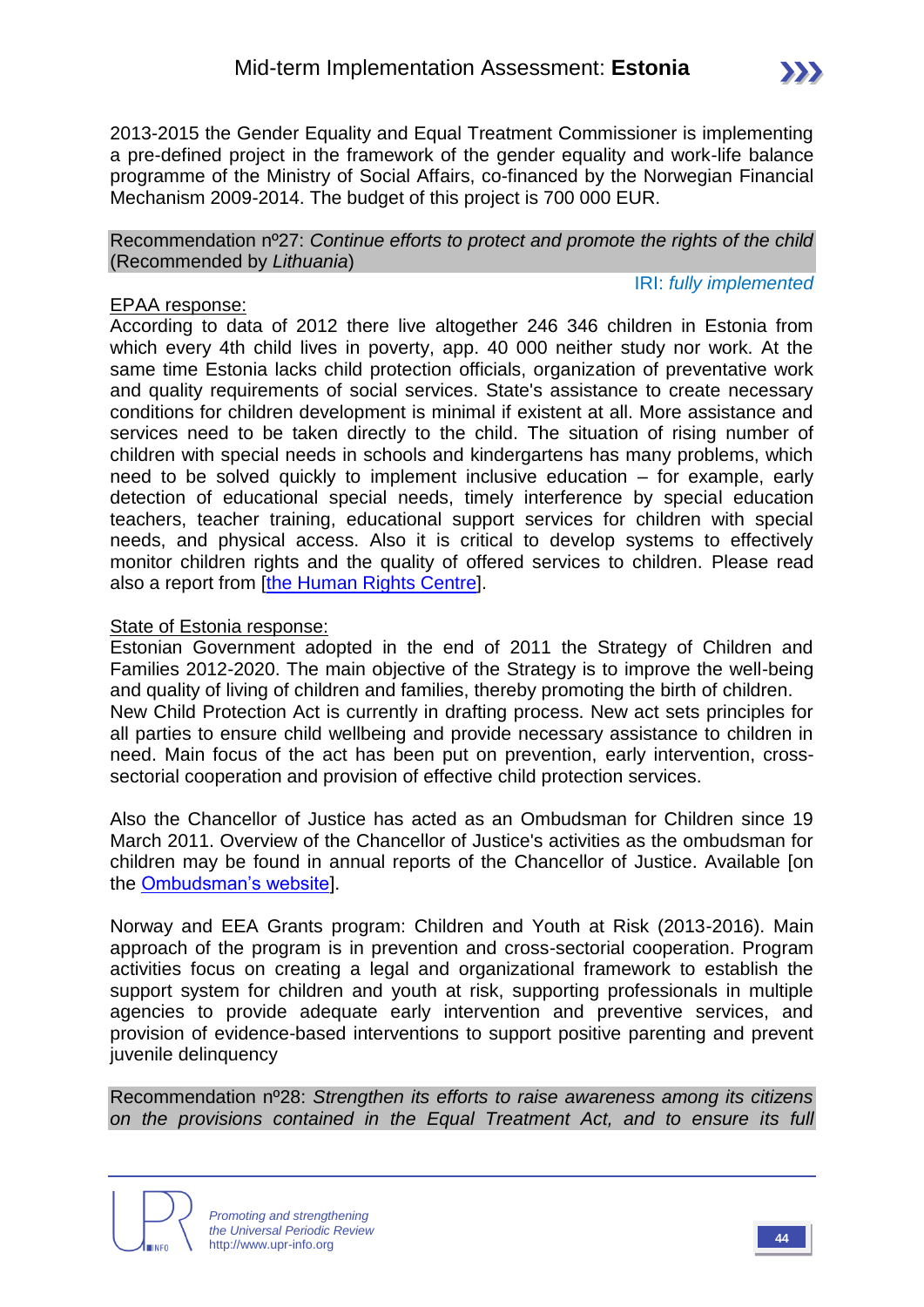Recommendation nº27: *Continue efforts to protect and promote the rights of the child*  (Recommended by *Lithuania*)

Mechanism 2009-2014. The budget of this project is 700 000 EUR.

#### IRI: *fully implemented*

 $\sum$ 

#### EPAA response:

According to data of 2012 there live altogether 246 346 children in Estonia from which every 4th child lives in poverty, app. 40 000 neither study nor work. At the same time Estonia lacks child protection officials, organization of preventative work and quality requirements of social services. State's assistance to create necessary conditions for children development is minimal if existent at all. More assistance and services need to be taken directly to the child. The situation of rising number of children with special needs in schools and kindergartens has many problems, which need to be solved quickly to implement inclusive education – for example, early detection of educational special needs, timely interference by special education teachers, teacher training, educational support services for children with special needs, and physical access. Also it is critical to develop systems to effectively monitor children rights and the quality of offered services to children. Please read also a report from [\[the Human Rights Centre\]](http://humanrights.ee/en/annual-human-rights-report/5030-2/rights-of-the-child/).

#### State of Estonia response:

Estonian Government adopted in the end of 2011 the Strategy of Children and Families 2012-2020. The main objective of the Strategy is to improve the well-being and quality of living of children and families, thereby promoting the birth of children. New Child Protection Act is currently in drafting process. New act sets principles for all parties to ensure child wellbeing and provide necessary assistance to children in need. Main focus of the act has been put on prevention, early intervention, crosssectorial cooperation and provision of effective child protection services.

Also the Chancellor of Justice has acted as an Ombudsman for Children since 19 March 2011. Overview of the Chancellor of Justice's activities as the ombudsman for children may be found in annual reports of the Chancellor of Justice. Available [on the [Ombudsman's website\]](http://lasteombudsman.ee/en/annual-reports).

Norway and EEA Grants program: Children and Youth at Risk (2013-2016). Main approach of the program is in prevention and cross-sectorial cooperation. Program activities focus on creating a legal and organizational framework to establish the support system for children and youth at risk, supporting professionals in multiple agencies to provide adequate early intervention and preventive services, and provision of evidence-based interventions to support positive parenting and prevent juvenile delinquency

Recommendation nº28: *Strengthen its efforts to raise awareness among its citizens on the provisions contained in the Equal Treatment Act, and to ensure its full* 



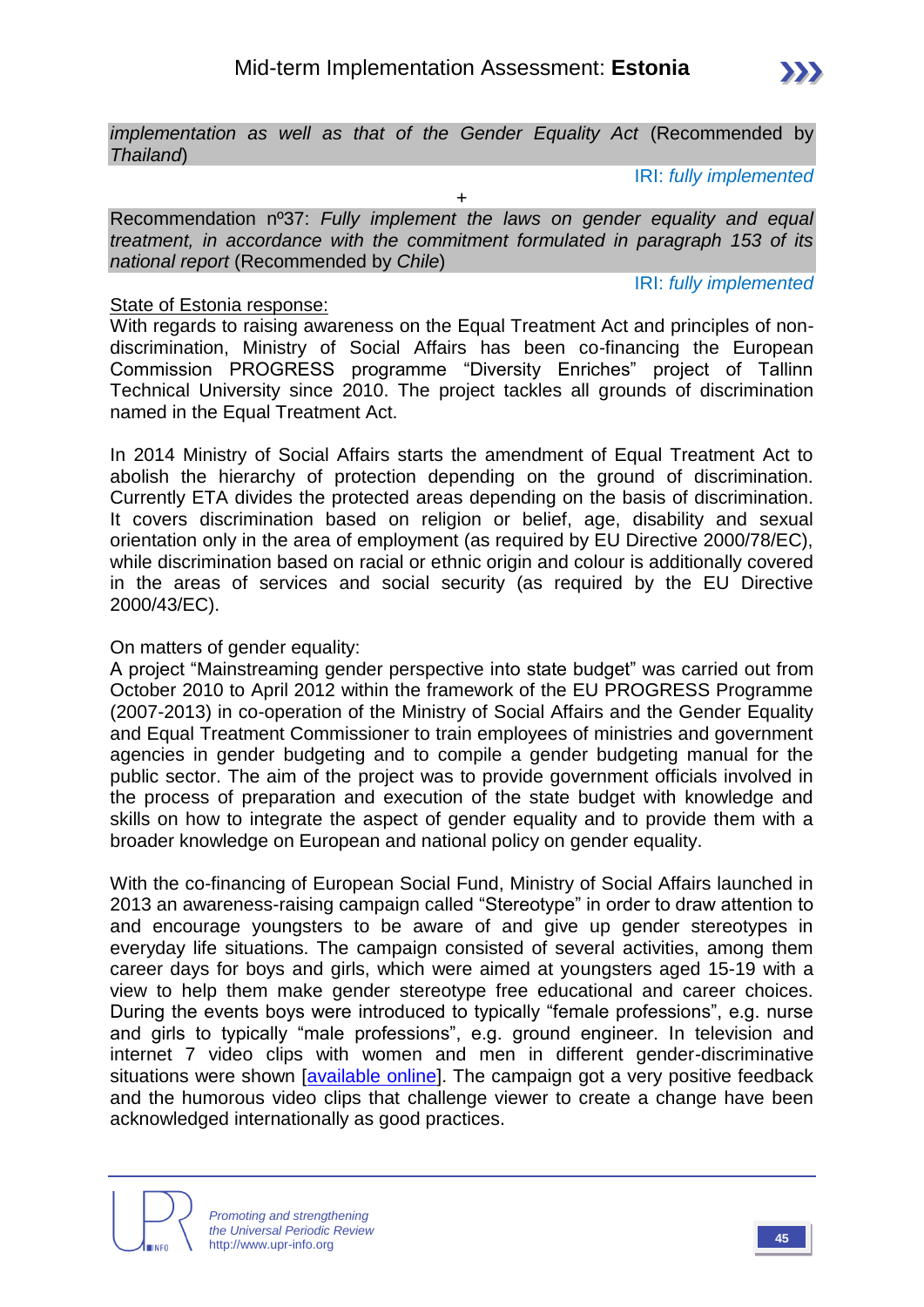

*implementation as well as that of the Gender Equality Act* (Recommended by *Thailand*)

IRI: *fully implemented*

+

Recommendation nº37: *Fully implement the laws on gender equality and equal treatment, in accordance with the commitment formulated in paragraph 153 of its national report* (Recommended by *Chile*)

IRI: *fully implemented*

#### State of Estonia response:

With regards to raising awareness on the Equal Treatment Act and principles of nondiscrimination, Ministry of Social Affairs has been co-financing the European Commission PROGRESS programme "Diversity Enriches" project of Tallinn Technical University since 2010. The project tackles all grounds of discrimination named in the Equal Treatment Act.

In 2014 Ministry of Social Affairs starts the amendment of Equal Treatment Act to abolish the hierarchy of protection depending on the ground of discrimination. Currently ETA divides the protected areas depending on the basis of discrimination. It covers discrimination based on religion or belief, age, disability and sexual orientation only in the area of employment (as required by EU Directive 2000/78/EC), while discrimination based on racial or ethnic origin and colour is additionally covered in the areas of services and social security (as required by the EU Directive 2000/43/EC).

#### On matters of gender equality:

A project "Mainstreaming gender perspective into state budget" was carried out from October 2010 to April 2012 within the framework of the EU PROGRESS Programme (2007-2013) in co-operation of the Ministry of Social Affairs and the Gender Equality and Equal Treatment Commissioner to train employees of ministries and government agencies in gender budgeting and to compile a gender budgeting manual for the public sector. The aim of the project was to provide government officials involved in the process of preparation and execution of the state budget with knowledge and skills on how to integrate the aspect of gender equality and to provide them with a broader knowledge on European and national policy on gender equality.

With the co-financing of European Social Fund, Ministry of Social Affairs launched in 2013 an awareness-raising campaign called "Stereotype" in order to draw attention to and encourage youngsters to be aware of and give up gender stereotypes in everyday life situations. The campaign consisted of several activities, among them career days for boys and girls, which were aimed at youngsters aged 15-19 with a view to help them make gender stereotype free educational and career choices. During the events boys were introduced to typically "female professions", e.g. nurse and girls to typically "male professions", e.g. ground engineer. In television and internet 7 video clips with women and men in different gender-discriminative situations were shown *[\[available online\]](http://www.stereotyyp.ee/en/)*. The campaign got a very positive feedback and the humorous video clips that challenge viewer to create a change have been acknowledged internationally as good practices.

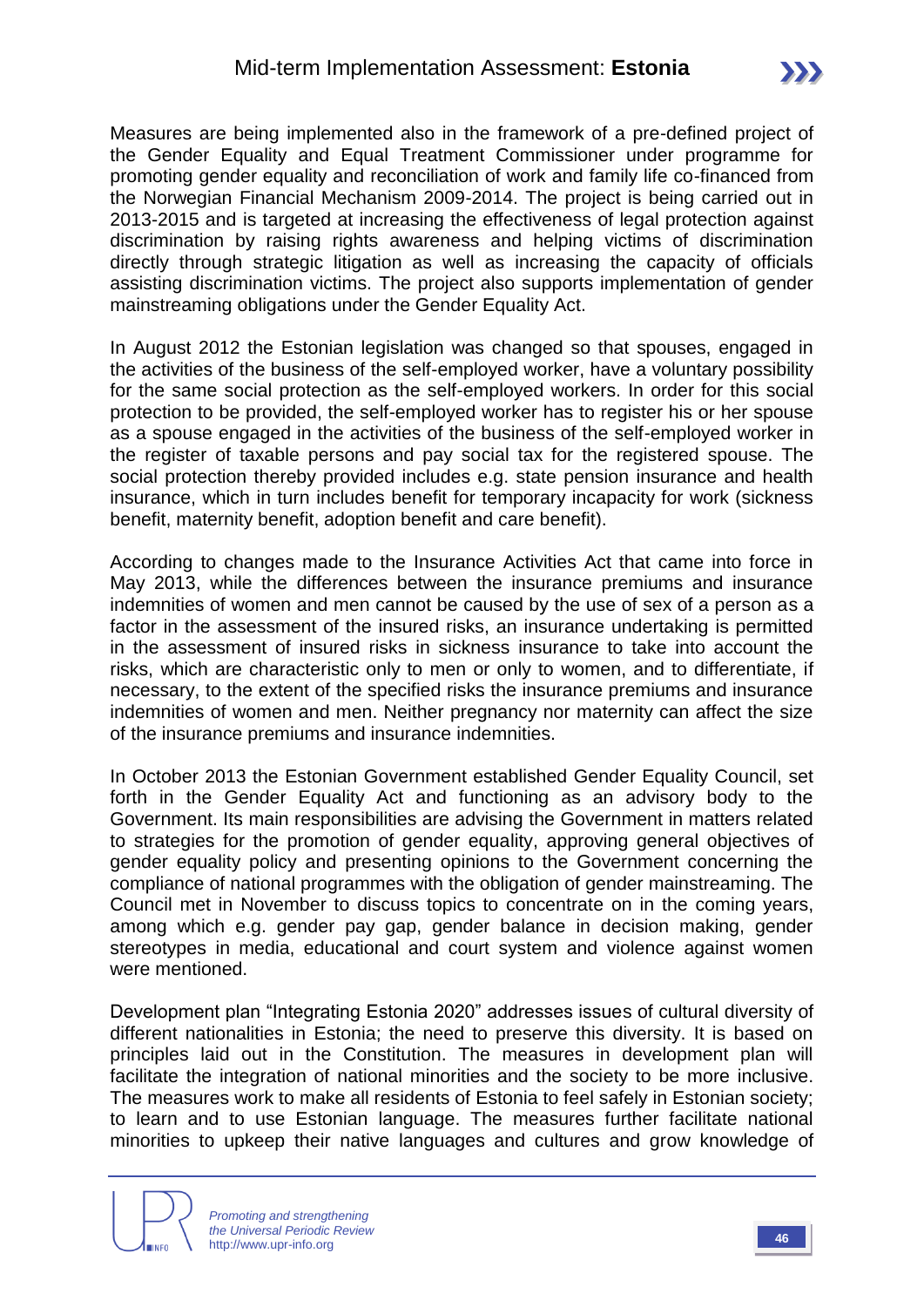Measures are being implemented also in the framework of a pre-defined project of the Gender Equality and Equal Treatment Commissioner under programme for promoting gender equality and reconciliation of work and family life co-financed from the Norwegian Financial Mechanism 2009-2014. The project is being carried out in 2013-2015 and is targeted at increasing the effectiveness of legal protection against discrimination by raising rights awareness and helping victims of discrimination directly through strategic litigation as well as increasing the capacity of officials assisting discrimination victims. The project also supports implementation of gender mainstreaming obligations under the Gender Equality Act.

In August 2012 the Estonian legislation was changed so that spouses, engaged in the activities of the business of the self-employed worker, have a voluntary possibility for the same social protection as the self-employed workers. In order for this social protection to be provided, the self-employed worker has to register his or her spouse as a spouse engaged in the activities of the business of the self-employed worker in the register of taxable persons and pay social tax for the registered spouse. The social protection thereby provided includes e.g. state pension insurance and health insurance, which in turn includes benefit for temporary incapacity for work (sickness benefit, maternity benefit, adoption benefit and care benefit).

According to changes made to the Insurance Activities Act that came into force in May 2013, while the differences between the insurance premiums and insurance indemnities of women and men cannot be caused by the use of sex of a person as a factor in the assessment of the insured risks, an insurance undertaking is permitted in the assessment of insured risks in sickness insurance to take into account the risks, which are characteristic only to men or only to women, and to differentiate, if necessary, to the extent of the specified risks the insurance premiums and insurance indemnities of women and men. Neither pregnancy nor maternity can affect the size of the insurance premiums and insurance indemnities.

In October 2013 the Estonian Government established Gender Equality Council, set forth in the Gender Equality Act and functioning as an advisory body to the Government. Its main responsibilities are advising the Government in matters related to strategies for the promotion of gender equality, approving general objectives of gender equality policy and presenting opinions to the Government concerning the compliance of national programmes with the obligation of gender mainstreaming. The Council met in November to discuss topics to concentrate on in the coming years, among which e.g. gender pay gap, gender balance in decision making, gender stereotypes in media, educational and court system and violence against women were mentioned.

Development plan "Integrating Estonia 2020" addresses issues of cultural diversity of different nationalities in Estonia; the need to preserve this diversity. It is based on principles laid out in the Constitution. The measures in development plan will facilitate the integration of national minorities and the society to be more inclusive. The measures work to make all residents of Estonia to feel safely in Estonian society; to learn and to use Estonian language. The measures further facilitate national minorities to upkeep their native languages and cultures and grow knowledge of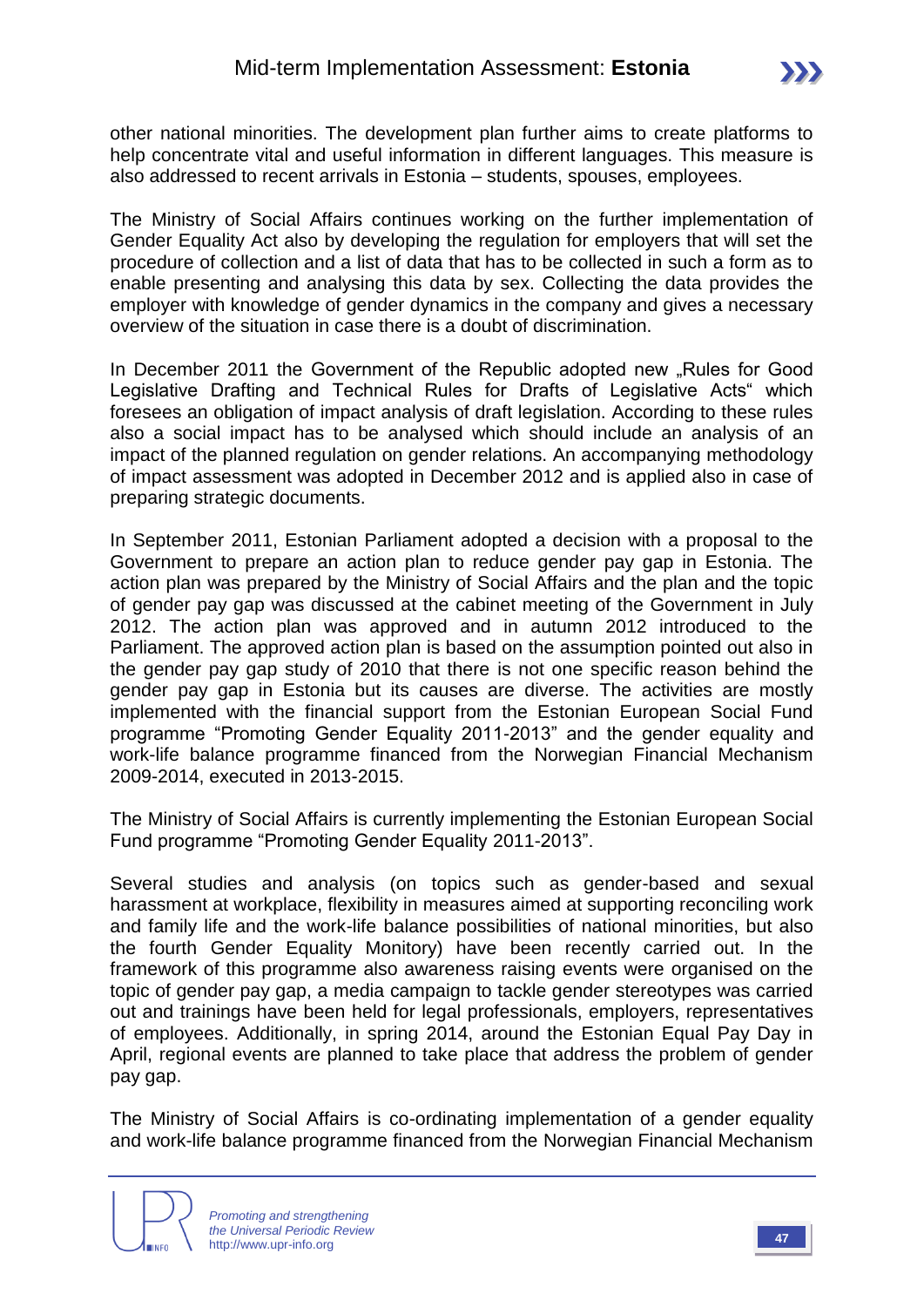other national minorities. The development plan further aims to create platforms to help concentrate vital and useful information in different languages. This measure is also addressed to recent arrivals in Estonia – students, spouses, employees.

The Ministry of Social Affairs continues working on the further implementation of Gender Equality Act also by developing the regulation for employers that will set the procedure of collection and a list of data that has to be collected in such a form as to enable presenting and analysing this data by sex. Collecting the data provides the employer with knowledge of gender dynamics in the company and gives a necessary overview of the situation in case there is a doubt of discrimination.

In December 2011 the Government of the Republic adopted new ...Rules for Good Legislative Drafting and Technical Rules for Drafts of Legislative Acts" which foresees an obligation of impact analysis of draft legislation. According to these rules also a social impact has to be analysed which should include an analysis of an impact of the planned regulation on gender relations. An accompanying methodology of impact assessment was adopted in December 2012 and is applied also in case of preparing strategic documents.

In September 2011, Estonian Parliament adopted a decision with a proposal to the Government to prepare an action plan to reduce gender pay gap in Estonia. The action plan was prepared by the Ministry of Social Affairs and the plan and the topic of gender pay gap was discussed at the cabinet meeting of the Government in July 2012. The action plan was approved and in autumn 2012 introduced to the Parliament. The approved action plan is based on the assumption pointed out also in the gender pay gap study of 2010 that there is not one specific reason behind the gender pay gap in Estonia but its causes are diverse. The activities are mostly implemented with the financial support from the Estonian European Social Fund programme "Promoting Gender Equality 2011-2013" and the gender equality and work-life balance programme financed from the Norwegian Financial Mechanism 2009-2014, executed in 2013-2015.

The Ministry of Social Affairs is currently implementing the Estonian European Social Fund programme "Promoting Gender Equality 2011-2013".

Several studies and analysis (on topics such as gender-based and sexual harassment at workplace, flexibility in measures aimed at supporting reconciling work and family life and the work-life balance possibilities of national minorities, but also the fourth Gender Equality Monitory) have been recently carried out. In the framework of this programme also awareness raising events were organised on the topic of gender pay gap, a media campaign to tackle gender stereotypes was carried out and trainings have been held for legal professionals, employers, representatives of employees. Additionally, in spring 2014, around the Estonian Equal Pay Day in April, regional events are planned to take place that address the problem of gender pay gap.

The Ministry of Social Affairs is co-ordinating implementation of a gender equality and work-life balance programme financed from the Norwegian Financial Mechanism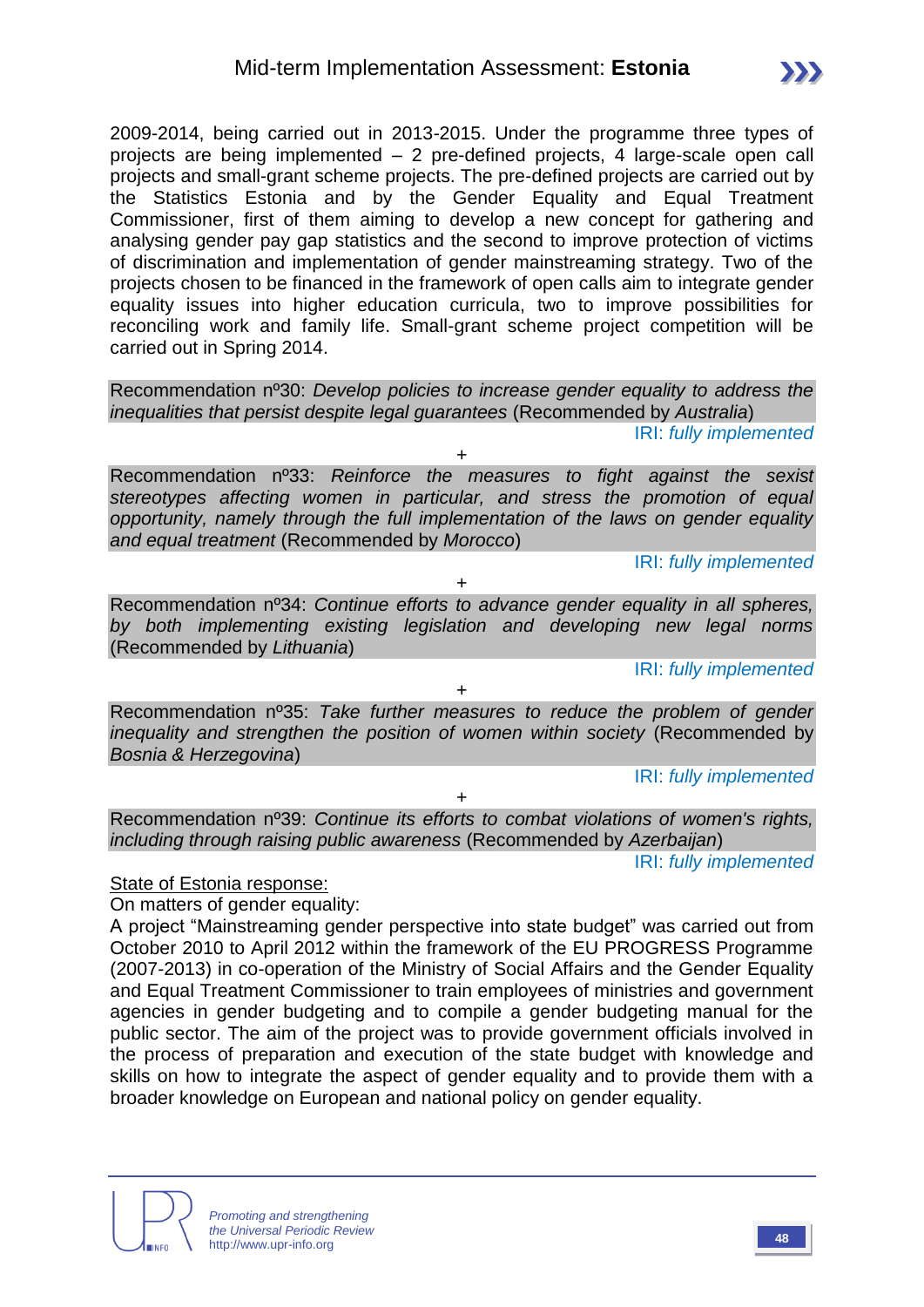2009-2014, being carried out in 2013-2015. Under the programme three types of projects are being implemented – 2 pre-defined projects, 4 large-scale open call projects and small-grant scheme projects. The pre-defined projects are carried out by the Statistics Estonia and by the Gender Equality and Equal Treatment Commissioner, first of them aiming to develop a new concept for gathering and analysing gender pay gap statistics and the second to improve protection of victims of discrimination and implementation of gender mainstreaming strategy. Two of the projects chosen to be financed in the framework of open calls aim to integrate gender equality issues into higher education curricula, two to improve possibilities for reconciling work and family life. Small-grant scheme project competition will be carried out in Spring 2014.

Recommendation nº30: *Develop policies to increase gender equality to address the inequalities that persist despite legal guarantees* (Recommended by *Australia*)

+

IRI: *fully implemented*

Recommendation nº33: *Reinforce the measures to fight against the sexist stereotypes affecting women in particular, and stress the promotion of equal opportunity, namely through the full implementation of the laws on gender equality and equal treatment* (Recommended by *Morocco*)

IRI: *fully implemented*

Recommendation nº34: *Continue efforts to advance gender equality in all spheres, by both implementing existing legislation and developing new legal norms*  (Recommended by *Lithuania*)

+

IRI: *fully implemented*

Recommendation nº35: *Take further measures to reduce the problem of gender inequality and strengthen the position of women within society* (Recommended by *Bosnia & Herzegovina*)

+

IRI: *fully implemented*

+

Recommendation nº39: *Continue its efforts to combat violations of women's rights, including through raising public awareness* (Recommended by *Azerbaijan*)

IRI: *fully implemented*

State of Estonia response:

On matters of gender equality:

A project "Mainstreaming gender perspective into state budget" was carried out from October 2010 to April 2012 within the framework of the EU PROGRESS Programme (2007-2013) in co-operation of the Ministry of Social Affairs and the Gender Equality and Equal Treatment Commissioner to train employees of ministries and government agencies in gender budgeting and to compile a gender budgeting manual for the public sector. The aim of the project was to provide government officials involved in the process of preparation and execution of the state budget with knowledge and skills on how to integrate the aspect of gender equality and to provide them with a broader knowledge on European and national policy on gender equality.

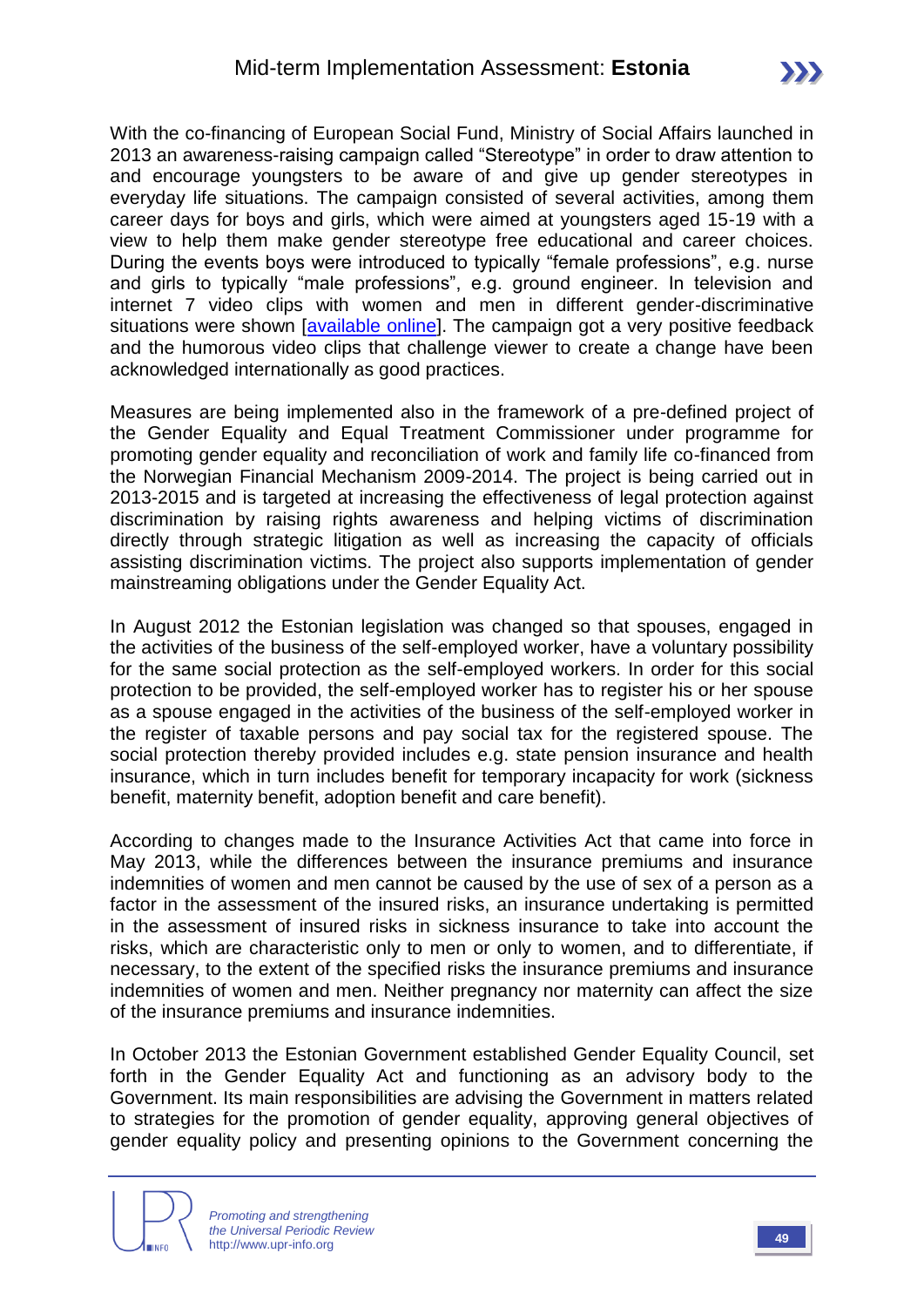With the co-financing of European Social Fund, Ministry of Social Affairs launched in 2013 an awareness-raising campaign called "Stereotype" in order to draw attention to and encourage youngsters to be aware of and give up gender stereotypes in everyday life situations. The campaign consisted of several activities, among them career days for boys and girls, which were aimed at youngsters aged 15-19 with a view to help them make gender stereotype free educational and career choices. During the events boys were introduced to typically "female professions", e.g. nurse and girls to typically "male professions", e.g. ground engineer. In television and internet 7 video clips with women and men in different gender-discriminative situations were shown *[\[available online\]](http://www.stereotyyp.ee/en/)*. The campaign got a very positive feedback and the humorous video clips that challenge viewer to create a change have been acknowledged internationally as good practices.

Measures are being implemented also in the framework of a pre-defined project of the Gender Equality and Equal Treatment Commissioner under programme for promoting gender equality and reconciliation of work and family life co-financed from the Norwegian Financial Mechanism 2009-2014. The project is being carried out in 2013-2015 and is targeted at increasing the effectiveness of legal protection against discrimination by raising rights awareness and helping victims of discrimination directly through strategic litigation as well as increasing the capacity of officials assisting discrimination victims. The project also supports implementation of gender mainstreaming obligations under the Gender Equality Act.

In August 2012 the Estonian legislation was changed so that spouses, engaged in the activities of the business of the self-employed worker, have a voluntary possibility for the same social protection as the self-employed workers. In order for this social protection to be provided, the self-employed worker has to register his or her spouse as a spouse engaged in the activities of the business of the self-employed worker in the register of taxable persons and pay social tax for the registered spouse. The social protection thereby provided includes e.g. state pension insurance and health insurance, which in turn includes benefit for temporary incapacity for work (sickness benefit, maternity benefit, adoption benefit and care benefit).

According to changes made to the Insurance Activities Act that came into force in May 2013, while the differences between the insurance premiums and insurance indemnities of women and men cannot be caused by the use of sex of a person as a factor in the assessment of the insured risks, an insurance undertaking is permitted in the assessment of insured risks in sickness insurance to take into account the risks, which are characteristic only to men or only to women, and to differentiate, if necessary, to the extent of the specified risks the insurance premiums and insurance indemnities of women and men. Neither pregnancy nor maternity can affect the size of the insurance premiums and insurance indemnities.

In October 2013 the Estonian Government established Gender Equality Council, set forth in the Gender Equality Act and functioning as an advisory body to the Government. Its main responsibilities are advising the Government in matters related to strategies for the promotion of gender equality, approving general objectives of gender equality policy and presenting opinions to the Government concerning the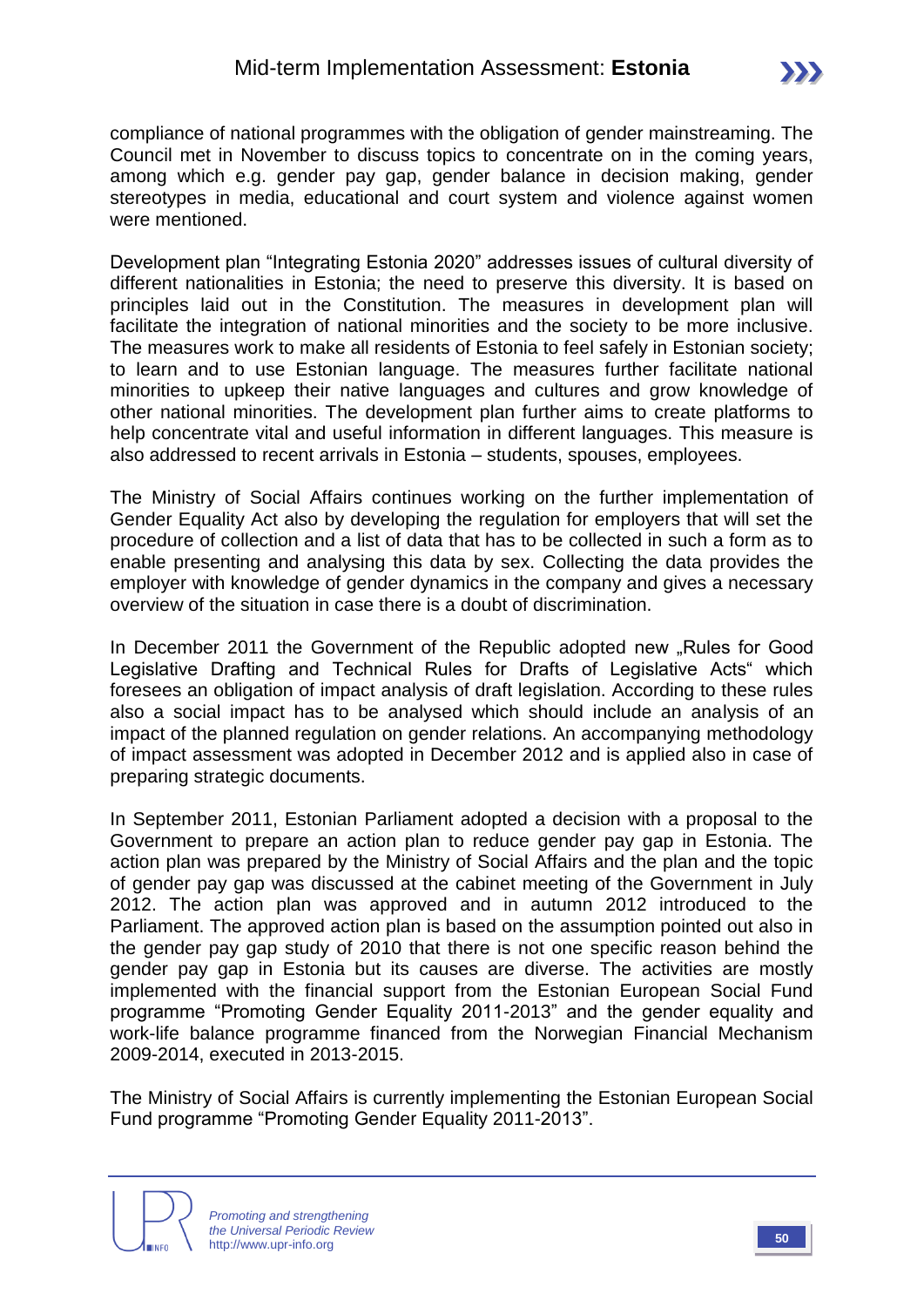compliance of national programmes with the obligation of gender mainstreaming. The Council met in November to discuss topics to concentrate on in the coming years, among which e.g. gender pay gap, gender balance in decision making, gender stereotypes in media, educational and court system and violence against women were mentioned.

Development plan "Integrating Estonia 2020" addresses issues of cultural diversity of different nationalities in Estonia; the need to preserve this diversity. It is based on principles laid out in the Constitution. The measures in development plan will facilitate the integration of national minorities and the society to be more inclusive. The measures work to make all residents of Estonia to feel safely in Estonian society; to learn and to use Estonian language. The measures further facilitate national minorities to upkeep their native languages and cultures and grow knowledge of other national minorities. The development plan further aims to create platforms to help concentrate vital and useful information in different languages. This measure is also addressed to recent arrivals in Estonia – students, spouses, employees.

The Ministry of Social Affairs continues working on the further implementation of Gender Equality Act also by developing the regulation for employers that will set the procedure of collection and a list of data that has to be collected in such a form as to enable presenting and analysing this data by sex. Collecting the data provides the employer with knowledge of gender dynamics in the company and gives a necessary overview of the situation in case there is a doubt of discrimination.

In December 2011 the Government of the Republic adopted new "Rules for Good Legislative Drafting and Technical Rules for Drafts of Legislative Acts" which foresees an obligation of impact analysis of draft legislation. According to these rules also a social impact has to be analysed which should include an analysis of an impact of the planned regulation on gender relations. An accompanying methodology of impact assessment was adopted in December 2012 and is applied also in case of preparing strategic documents.

In September 2011, Estonian Parliament adopted a decision with a proposal to the Government to prepare an action plan to reduce gender pay gap in Estonia. The action plan was prepared by the Ministry of Social Affairs and the plan and the topic of gender pay gap was discussed at the cabinet meeting of the Government in July 2012. The action plan was approved and in autumn 2012 introduced to the Parliament. The approved action plan is based on the assumption pointed out also in the gender pay gap study of 2010 that there is not one specific reason behind the gender pay gap in Estonia but its causes are diverse. The activities are mostly implemented with the financial support from the Estonian European Social Fund programme "Promoting Gender Equality 2011-2013" and the gender equality and work-life balance programme financed from the Norwegian Financial Mechanism 2009-2014, executed in 2013-2015.

The Ministry of Social Affairs is currently implementing the Estonian European Social Fund programme "Promoting Gender Equality 2011-2013".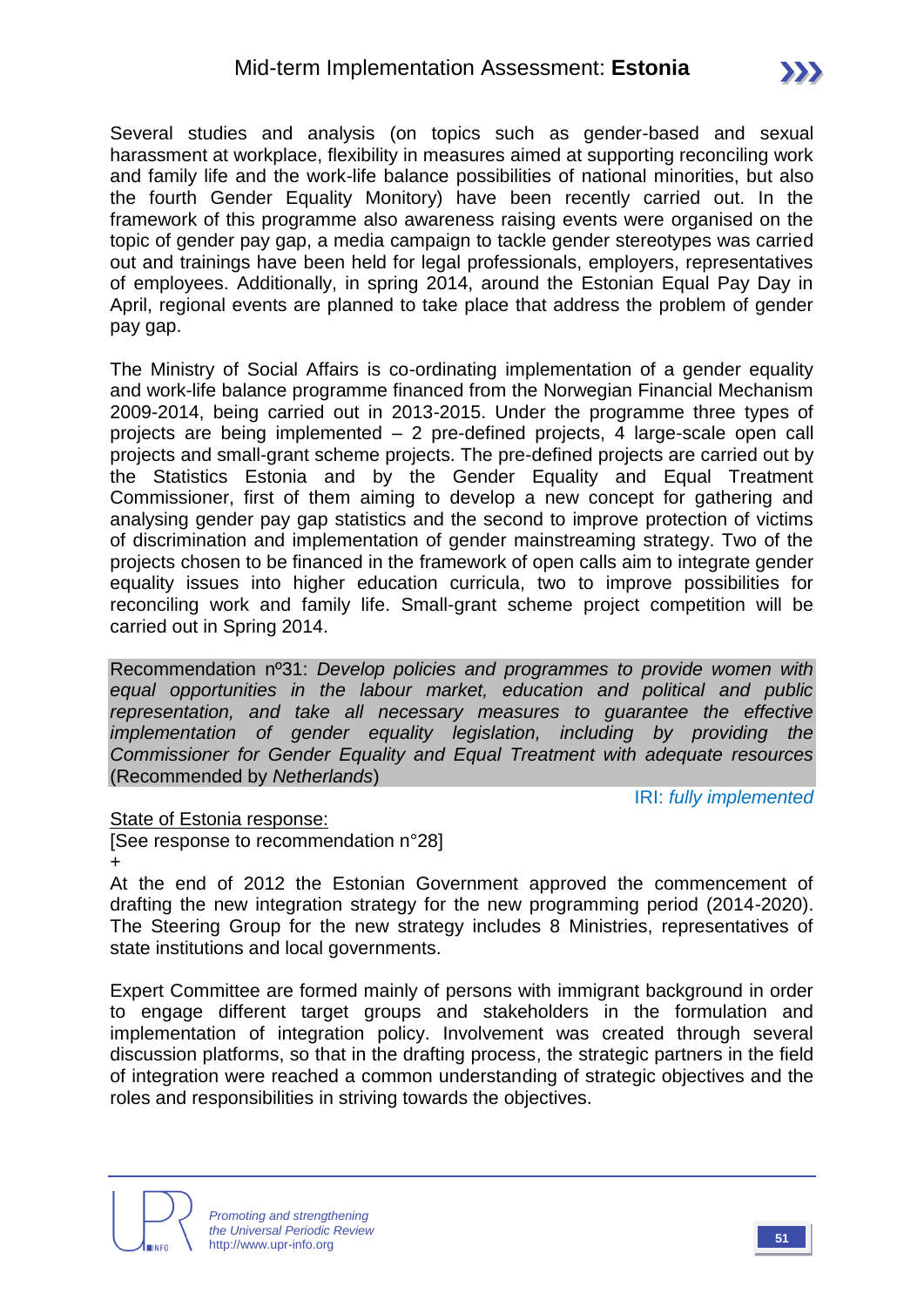Several studies and analysis (on topics such as gender-based and sexual harassment at workplace, flexibility in measures aimed at supporting reconciling work and family life and the work-life balance possibilities of national minorities, but also the fourth Gender Equality Monitory) have been recently carried out. In the framework of this programme also awareness raising events were organised on the topic of gender pay gap, a media campaign to tackle gender stereotypes was carried out and trainings have been held for legal professionals, employers, representatives of employees. Additionally, in spring 2014, around the Estonian Equal Pay Day in April, regional events are planned to take place that address the problem of gender pay gap.

The Ministry of Social Affairs is co-ordinating implementation of a gender equality and work-life balance programme financed from the Norwegian Financial Mechanism 2009-2014, being carried out in 2013-2015. Under the programme three types of projects are being implemented – 2 pre-defined projects, 4 large-scale open call projects and small-grant scheme projects. The pre-defined projects are carried out by the Statistics Estonia and by the Gender Equality and Equal Treatment Commissioner, first of them aiming to develop a new concept for gathering and analysing gender pay gap statistics and the second to improve protection of victims of discrimination and implementation of gender mainstreaming strategy. Two of the projects chosen to be financed in the framework of open calls aim to integrate gender equality issues into higher education curricula, two to improve possibilities for reconciling work and family life. Small-grant scheme project competition will be carried out in Spring 2014.

Recommendation nº31: *Develop policies and programmes to provide women with equal opportunities in the labour market, education and political and public representation, and take all necessary measures to guarantee the effective implementation of gender equality legislation, including by providing the Commissioner for Gender Equality and Equal Treatment with adequate resources*  (Recommended by *Netherlands*)

IRI: *fully implemented*

#### State of Estonia response:

[See response to recommendation n°28] +

At the end of 2012 the Estonian Government approved the commencement of drafting the new integration strategy for the new programming period (2014-2020). The Steering Group for the new strategy includes 8 Ministries, representatives of state institutions and local governments.

Expert Committee are formed mainly of persons with immigrant background in order to engage different target groups and stakeholders in the formulation and implementation of integration policy. Involvement was created through several discussion platforms, so that in the drafting process, the strategic partners in the field of integration were reached a common understanding of strategic objectives and the roles and responsibilities in striving towards the objectives.

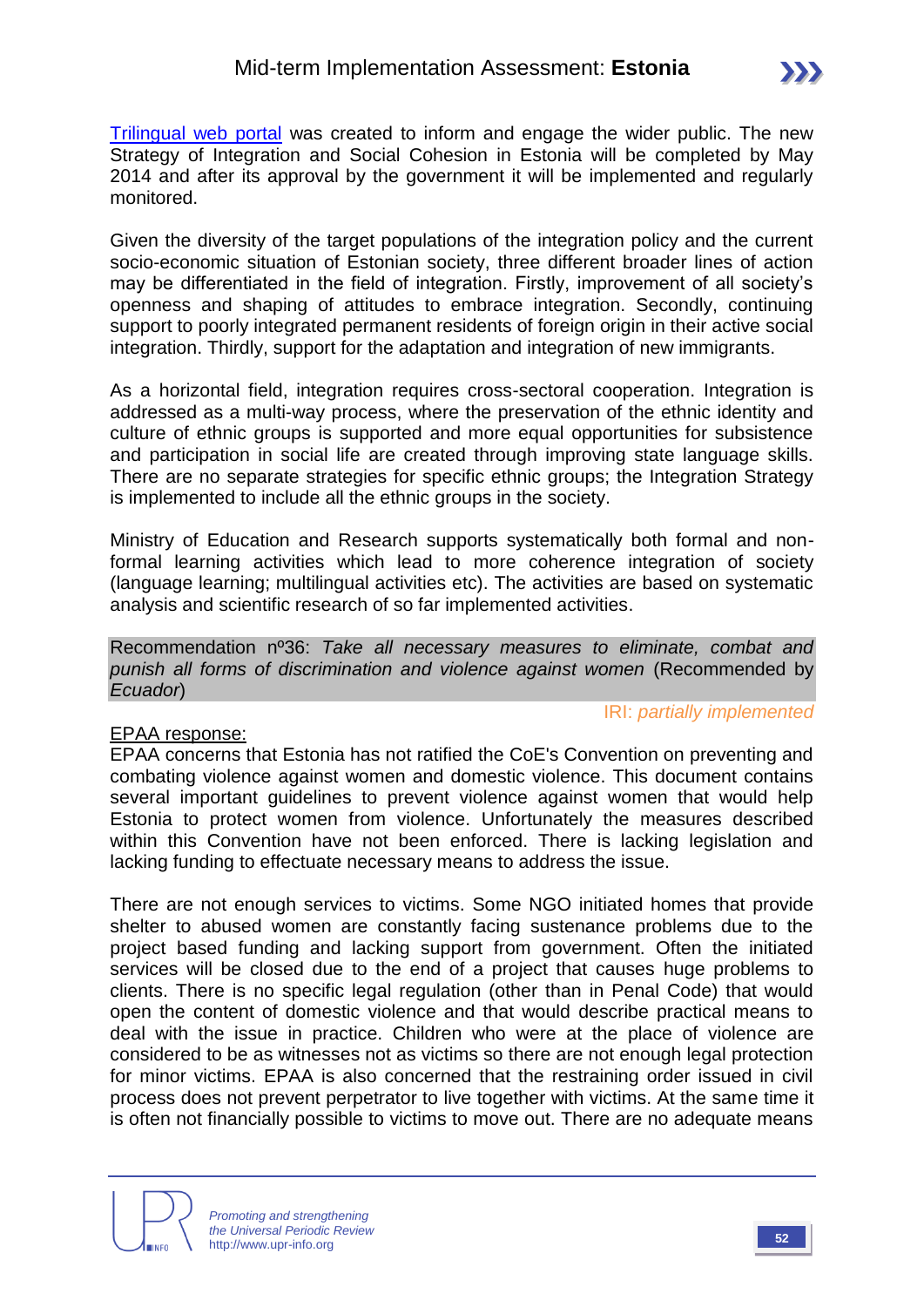[Trilingual web portal](http://www.integratsioon.ee/en) was created to inform and engage the wider public. The new Strategy of Integration and Social Cohesion in Estonia will be completed by May 2014 and after its approval by the government it will be implemented and regularly monitored.

Given the diversity of the target populations of the integration policy and the current socio-economic situation of Estonian society, three different broader lines of action may be differentiated in the field of integration. Firstly, improvement of all society's openness and shaping of attitudes to embrace integration. Secondly, continuing support to poorly integrated permanent residents of foreign origin in their active social integration. Thirdly, support for the adaptation and integration of new immigrants.

As a horizontal field, integration requires cross-sectoral cooperation. Integration is addressed as a multi-way process, where the preservation of the ethnic identity and culture of ethnic groups is supported and more equal opportunities for subsistence and participation in social life are created through improving state language skills. There are no separate strategies for specific ethnic groups; the Integration Strategy is implemented to include all the ethnic groups in the society.

Ministry of Education and Research supports systematically both formal and nonformal learning activities which lead to more coherence integration of society (language learning; multilingual activities etc). The activities are based on systematic analysis and scientific research of so far implemented activities.

Recommendation nº36: *Take all necessary measures to eliminate, combat and punish all forms of discrimination and violence against women* (Recommended by *Ecuador*)

#### EPAA response:

IRI: *partially implemented*

EPAA concerns that Estonia has not ratified the CoE's Convention on preventing and combating violence against women and domestic violence. This document contains several important guidelines to prevent violence against women that would help Estonia to protect women from violence. Unfortunately the measures described within this Convention have not been enforced. There is lacking legislation and lacking funding to effectuate necessary means to address the issue.

There are not enough services to victims. Some NGO initiated homes that provide shelter to abused women are constantly facing sustenance problems due to the project based funding and lacking support from government. Often the initiated services will be closed due to the end of a project that causes huge problems to clients. There is no specific legal regulation (other than in Penal Code) that would open the content of domestic violence and that would describe practical means to deal with the issue in practice. Children who were at the place of violence are considered to be as witnesses not as victims so there are not enough legal protection for minor victims. EPAA is also concerned that the restraining order issued in civil process does not prevent perpetrator to live together with victims. At the same time it is often not financially possible to victims to move out. There are no adequate means

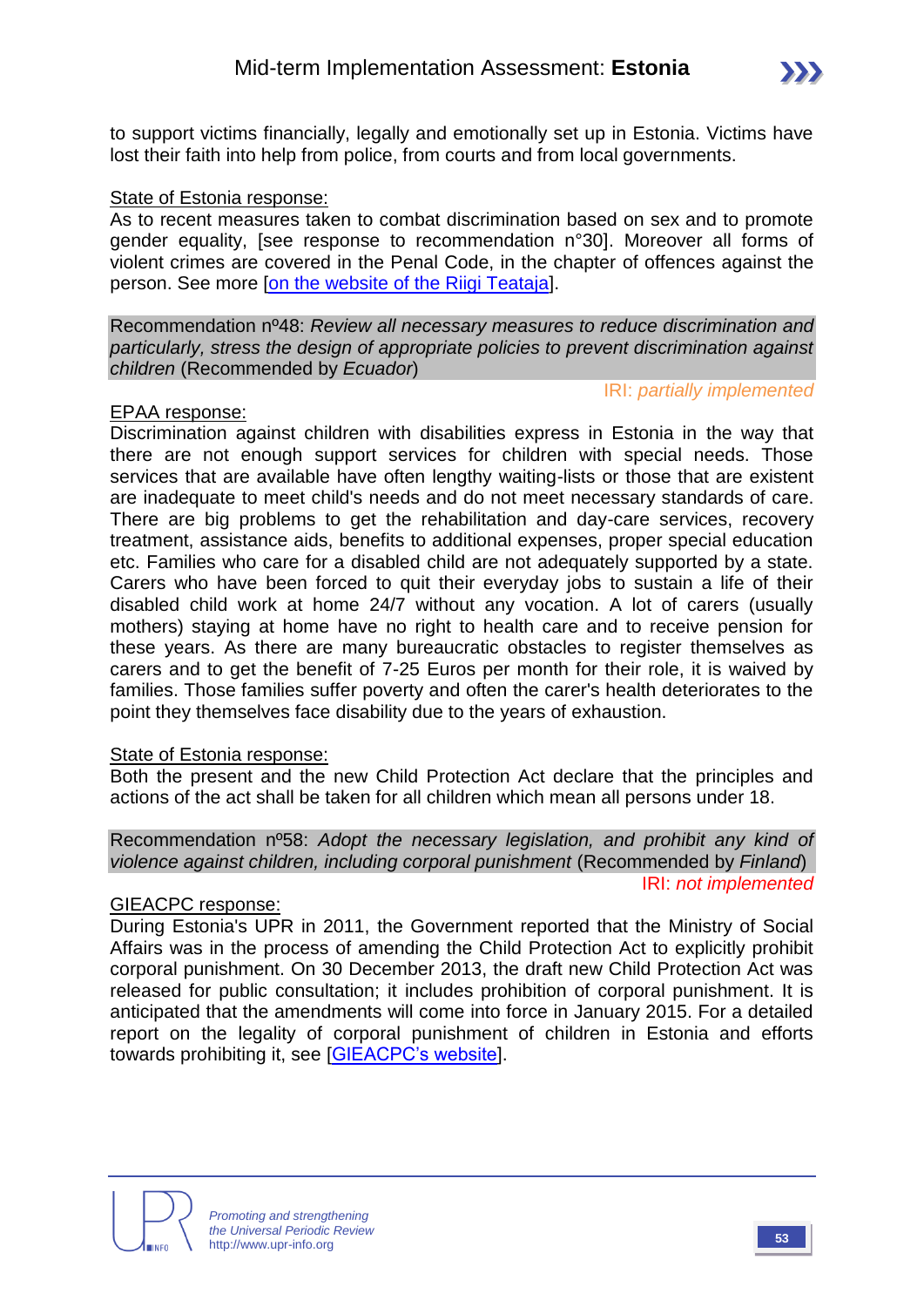

to support victims financially, legally and emotionally set up in Estonia. Victims have lost their faith into help from police, from courts and from local governments.

#### State of Estonia response:

As to recent measures taken to combat discrimination based on sex and to promote gender equality, [see response to recommendation n°30]. Moreover all forms of violent crimes are covered in the Penal Code, in the chapter of offences against the person. See more [\[on the website of the Riigi Teataja\]](https://www.riigiteataja.ee/en/eli/ee/527022014002/consolide/current).

Recommendation nº48: *Review all necessary measures to reduce discrimination and particularly, stress the design of appropriate policies to prevent discrimination against children* (Recommended by *Ecuador*)

#### IRI: *partially implemented*

#### EPAA response:

Discrimination against children with disabilities express in Estonia in the way that there are not enough support services for children with special needs. Those services that are available have often lengthy waiting-lists or those that are existent are inadequate to meet child's needs and do not meet necessary standards of care. There are big problems to get the rehabilitation and day-care services, recovery treatment, assistance aids, benefits to additional expenses, proper special education etc. Families who care for a disabled child are not adequately supported by a state. Carers who have been forced to quit their everyday jobs to sustain a life of their disabled child work at home 24/7 without any vocation. A lot of carers (usually mothers) staying at home have no right to health care and to receive pension for these years. As there are many bureaucratic obstacles to register themselves as carers and to get the benefit of 7-25 Euros per month for their role, it is waived by families. Those families suffer poverty and often the carer's health deteriorates to the point they themselves face disability due to the years of exhaustion.

#### State of Estonia response:

Both the present and the new Child Protection Act declare that the principles and actions of the act shall be taken for all children which mean all persons under 18.

#### Recommendation nº58: *Adopt the necessary legislation, and prohibit any kind of violence against children, including corporal punishment* (Recommended by *Finland*) IRI: *not implemented*

#### GIEACPC response:

During Estonia's UPR in 2011, the Government reported that the Ministry of Social Affairs was in the process of amending the Child Protection Act to explicitly prohibit corporal punishment. On 30 December 2013, the draft new Child Protection Act was released for public consultation; it includes prohibition of corporal punishment. It is anticipated that the amendments will come into force in January 2015. For a detailed report on the legality of corporal punishment of children in Estonia and efforts towards prohibiting it, see [\[GIEACPC's website\]](http://www.endcorporalpunishment.org/).

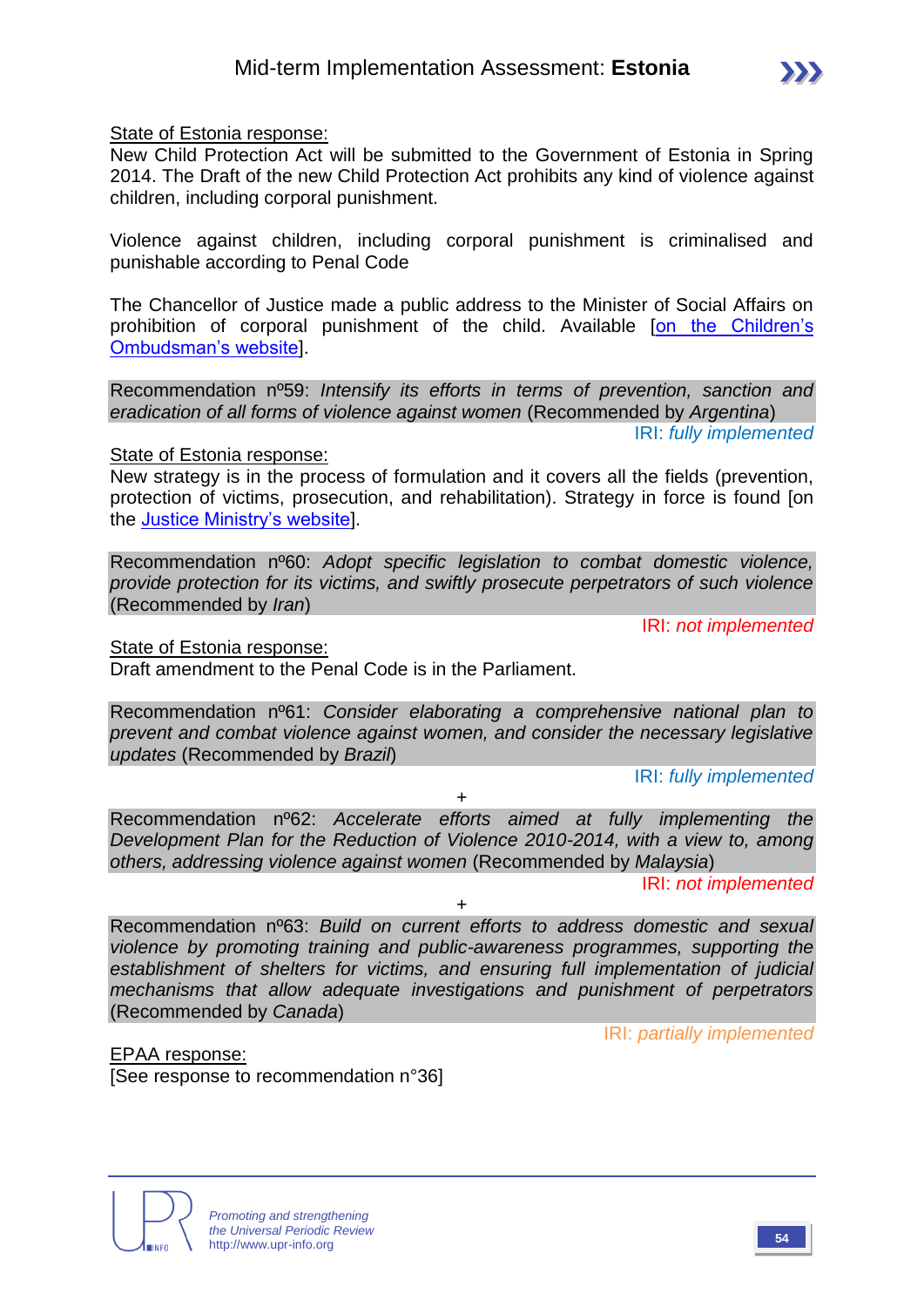State of Estonia response:

New Child Protection Act will be submitted to the Government of Estonia in Spring 2014. The Draft of the new Child Protection Act prohibits any kind of violence against children, including corporal punishment.

Violence against children, including corporal punishment is criminalised and punishable according to Penal Code

The Chancellor of Justice made a public address to the Minister of Social Affairs on prohibition of corporal punishment of the child. Available [\[on the Children's](http://lasteombudsman.ee/en/chancellor-of-justices-public-address-to-the-minister-of-social-affairs-on-prohibition-of-corporal)  [Ombudsman's website\]](http://lasteombudsman.ee/en/chancellor-of-justices-public-address-to-the-minister-of-social-affairs-on-prohibition-of-corporal).

Recommendation nº59: *Intensify its efforts in terms of prevention, sanction and eradication of all forms of violence against women* (Recommended by *Argentina*)

IRI: *fully implemented*

#### State of Estonia response:

New strategy is in the process of formulation and it covers all the fields (prevention, protection of victims, prosecution, and rehabilitation). Strategy in force is found [on the [Justice Ministry's website\]](http://www.just.ee/49973).

Recommendation nº60: *Adopt specific legislation to combat domestic violence, provide protection for its victims, and swiftly prosecute perpetrators of such violence*  (Recommended by *Iran*)

IRI: *not implemented*

State of Estonia response:

Draft amendment to the Penal Code is in the Parliament.

Recommendation nº61: *Consider elaborating a comprehensive national plan to prevent and combat violence against women, and consider the necessary legislative updates* (Recommended by *Brazil*)

IRI: *fully implemented*

 $+$ 

Recommendation nº62: *Accelerate efforts aimed at fully implementing the Development Plan for the Reduction of Violence 2010-2014, with a view to, among others, addressing violence against women* (Recommended by *Malaysia*)

IRI: *not implemented*

+

Recommendation nº63: *Build on current efforts to address domestic and sexual violence by promoting training and public-awareness programmes, supporting the establishment of shelters for victims, and ensuring full implementation of judicial mechanisms that allow adequate investigations and punishment of perpetrators*  (Recommended by *Canada*)

IRI: *partially implemented*

EPAA response: [See response to recommendation n°36]

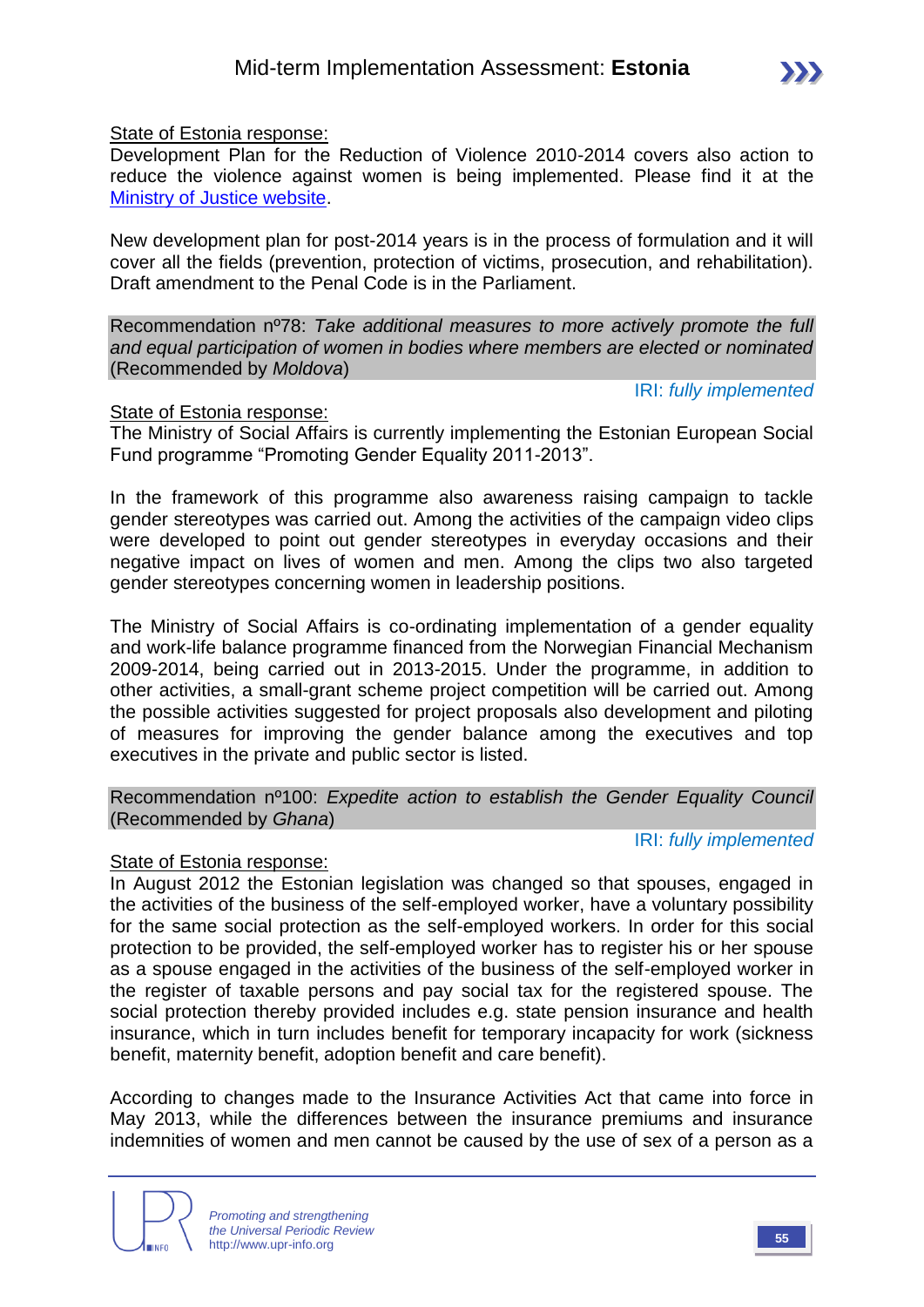State of Estonia response:

Development Plan for the Reduction of Violence 2010-2014 covers also action to reduce the violence against women is being implemented. Please find it at the [Ministry of Justice website.](http://www.just.ee/49973)

New development plan for post-2014 years is in the process of formulation and it will cover all the fields (prevention, protection of victims, prosecution, and rehabilitation). Draft amendment to the Penal Code is in the Parliament.

Recommendation nº78: *Take additional measures to more actively promote the full and equal participation of women in bodies where members are elected or nominated*  (Recommended by *Moldova*)

IRI: *fully implemented*

IRI: *fully implemented*

#### State of Estonia response:

The Ministry of Social Affairs is currently implementing the Estonian European Social Fund programme "Promoting Gender Equality 2011-2013".

In the framework of this programme also awareness raising campaign to tackle gender stereotypes was carried out. Among the activities of the campaign video clips were developed to point out gender stereotypes in everyday occasions and their negative impact on lives of women and men. Among the clips two also targeted gender stereotypes concerning women in leadership positions.

The Ministry of Social Affairs is co-ordinating implementation of a gender equality and work-life balance programme financed from the Norwegian Financial Mechanism 2009-2014, being carried out in 2013-2015. Under the programme, in addition to other activities, a small-grant scheme project competition will be carried out. Among the possible activities suggested for project proposals also development and piloting of measures for improving the gender balance among the executives and top executives in the private and public sector is listed.

#### Recommendation nº100: *Expedite action to establish the Gender Equality Council* (Recommended by *Ghana*)

#### State of Estonia response:

In August 2012 the Estonian legislation was changed so that spouses, engaged in the activities of the business of the self-employed worker, have a voluntary possibility for the same social protection as the self-employed workers. In order for this social protection to be provided, the self-employed worker has to register his or her spouse as a spouse engaged in the activities of the business of the self-employed worker in the register of taxable persons and pay social tax for the registered spouse. The social protection thereby provided includes e.g. state pension insurance and health insurance, which in turn includes benefit for temporary incapacity for work (sickness benefit, maternity benefit, adoption benefit and care benefit).

According to changes made to the Insurance Activities Act that came into force in May 2013, while the differences between the insurance premiums and insurance indemnities of women and men cannot be caused by the use of sex of a person as a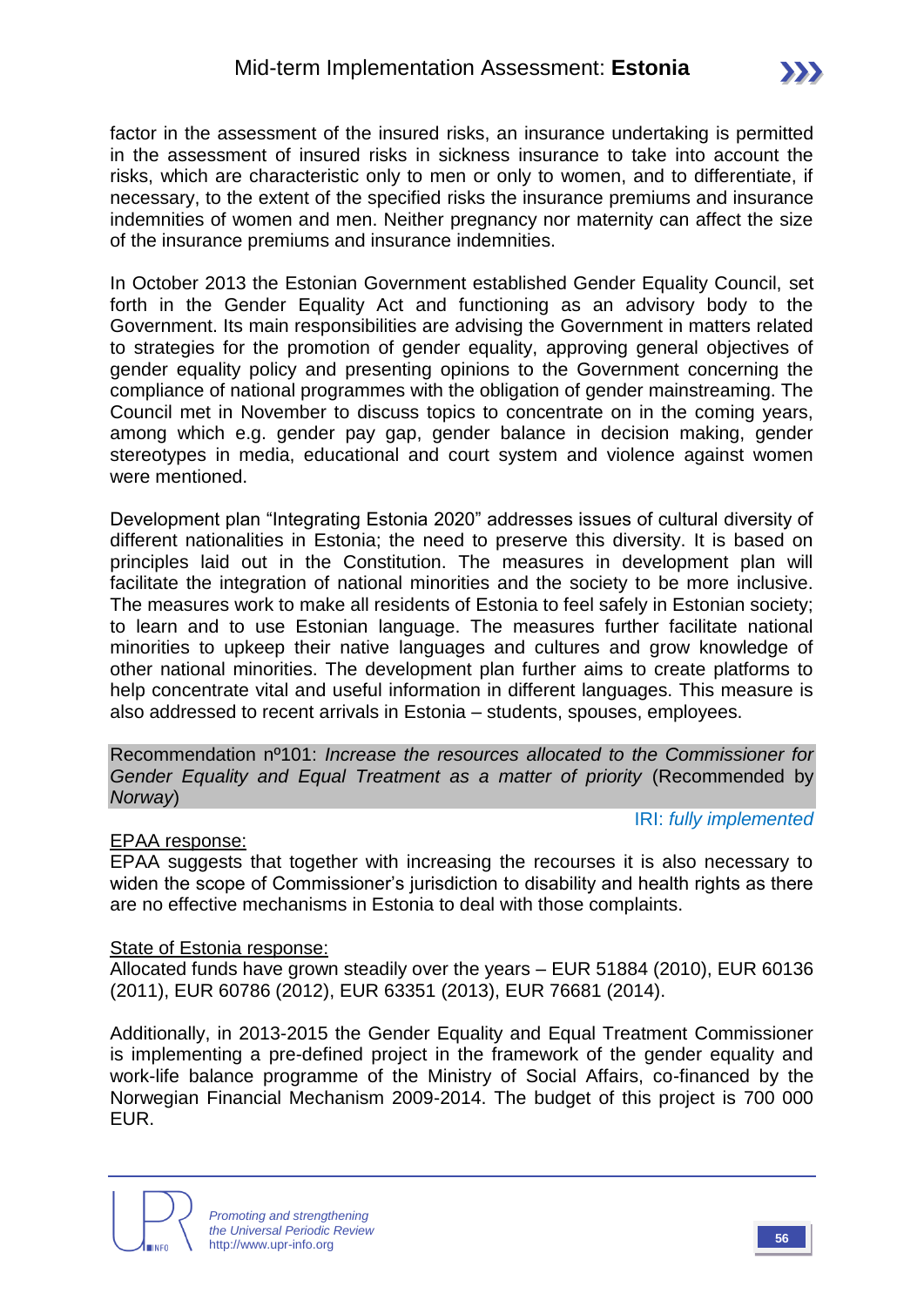factor in the assessment of the insured risks, an insurance undertaking is permitted in the assessment of insured risks in sickness insurance to take into account the risks, which are characteristic only to men or only to women, and to differentiate, if necessary, to the extent of the specified risks the insurance premiums and insurance indemnities of women and men. Neither pregnancy nor maternity can affect the size of the insurance premiums and insurance indemnities.

In October 2013 the Estonian Government established Gender Equality Council, set forth in the Gender Equality Act and functioning as an advisory body to the Government. Its main responsibilities are advising the Government in matters related to strategies for the promotion of gender equality, approving general objectives of gender equality policy and presenting opinions to the Government concerning the compliance of national programmes with the obligation of gender mainstreaming. The Council met in November to discuss topics to concentrate on in the coming years, among which e.g. gender pay gap, gender balance in decision making, gender stereotypes in media, educational and court system and violence against women were mentioned.

Development plan "Integrating Estonia 2020" addresses issues of cultural diversity of different nationalities in Estonia; the need to preserve this diversity. It is based on principles laid out in the Constitution. The measures in development plan will facilitate the integration of national minorities and the society to be more inclusive. The measures work to make all residents of Estonia to feel safely in Estonian society; to learn and to use Estonian language. The measures further facilitate national minorities to upkeep their native languages and cultures and grow knowledge of other national minorities. The development plan further aims to create platforms to help concentrate vital and useful information in different languages. This measure is also addressed to recent arrivals in Estonia – students, spouses, employees.

Recommendation nº101: *Increase the resources allocated to the Commissioner for Gender Equality and Equal Treatment as a matter of priority (Recommended by Norway*)

#### EPAA response:

IRI: *fully implemented*

EPAA suggests that together with increasing the recourses it is also necessary to widen the scope of Commissioner's jurisdiction to disability and health rights as there are no effective mechanisms in Estonia to deal with those complaints.

#### State of Estonia response:

Allocated funds have grown steadily over the years – EUR 51884 (2010), EUR 60136 (2011), EUR 60786 (2012), EUR 63351 (2013), EUR 76681 (2014).

Additionally, in 2013-2015 the Gender Equality and Equal Treatment Commissioner is implementing a pre-defined project in the framework of the gender equality and work-life balance programme of the Ministry of Social Affairs, co-financed by the Norwegian Financial Mechanism 2009-2014. The budget of this project is 700 000 EUR.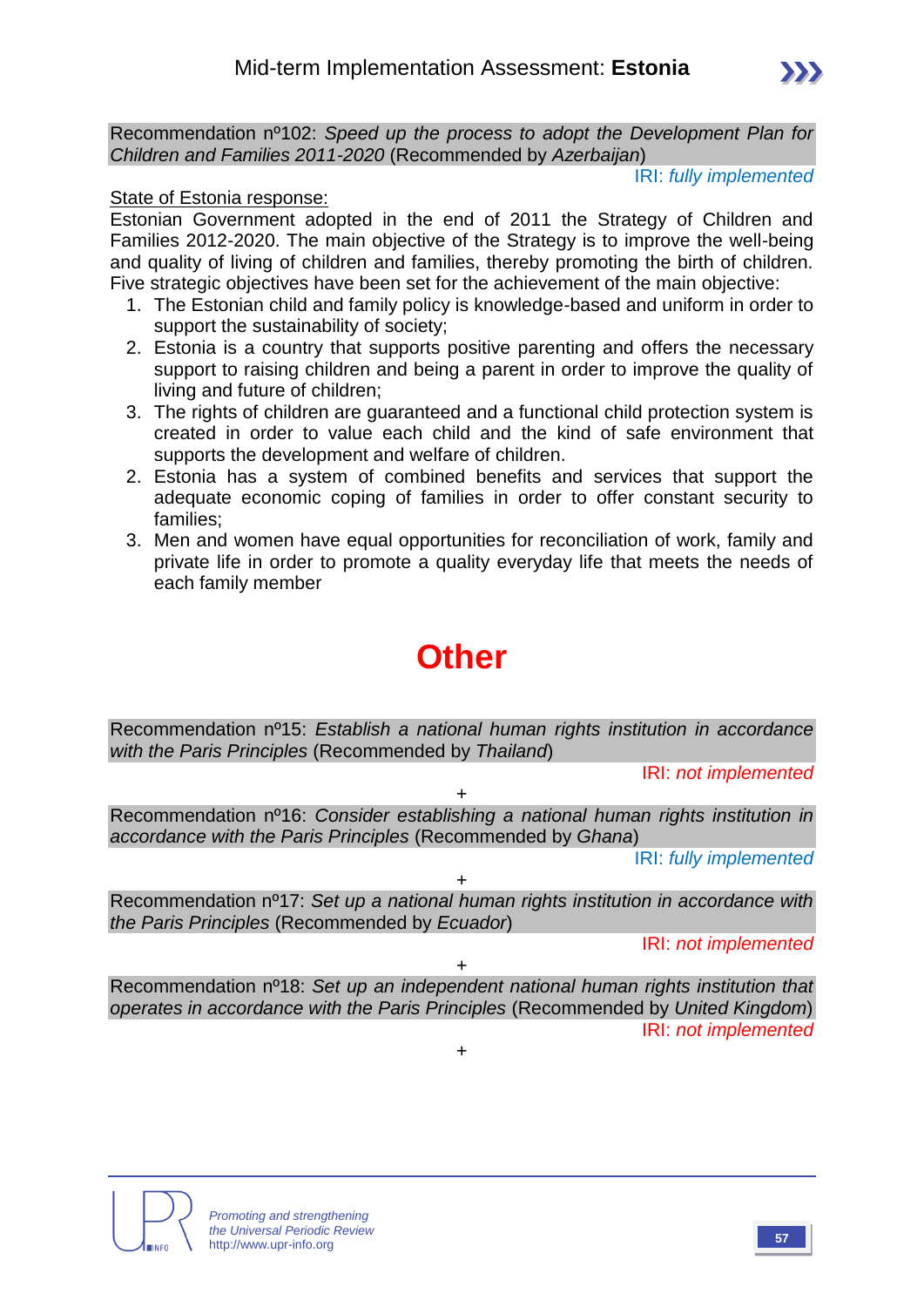Recommendation nº102: *Speed up the process to adopt the Development Plan for Children and Families 2011-2020* (Recommended by *Azerbaijan*)

IRI: *fully implemented*

#### State of Estonia response:

Estonian Government adopted in the end of 2011 the Strategy of Children and Families 2012-2020. The main objective of the Strategy is to improve the well-being and quality of living of children and families, thereby promoting the birth of children. Five strategic objectives have been set for the achievement of the main objective:

- 1. The Estonian child and family policy is knowledge-based and uniform in order to support the sustainability of society;
- 2. Estonia is a country that supports positive parenting and offers the necessary support to raising children and being a parent in order to improve the quality of living and future of children;
- 3. The rights of children are guaranteed and a functional child protection system is created in order to value each child and the kind of safe environment that supports the development and welfare of children.
- 2. Estonia has a system of combined benefits and services that support the adequate economic coping of families in order to offer constant security to families;
- 3. Men and women have equal opportunities for reconciliation of work, family and private life in order to promote a quality everyday life that meets the needs of each family member

# **Other**

Recommendation nº15: *Establish a national human rights institution in accordance with the Paris Principles* (Recommended by *Thailand*)

IRI: *not implemented*

 $\ddot{\phantom{1}}$ Recommendation nº16: *Consider establishing a national human rights institution in accordance with the Paris Principles* (Recommended by *Ghana*)

IRI: *fully implemented*

Recommendation nº17: *Set up a national human rights institution in accordance with the Paris Principles* (Recommended by *Ecuador*)

+

IRI: *not implemented*

Recommendation nº18: *Set up an independent national human rights institution that operates in accordance with the Paris Principles* (Recommended by *United Kingdom*) IRI: *not implemented*

+

 $\pm$ 

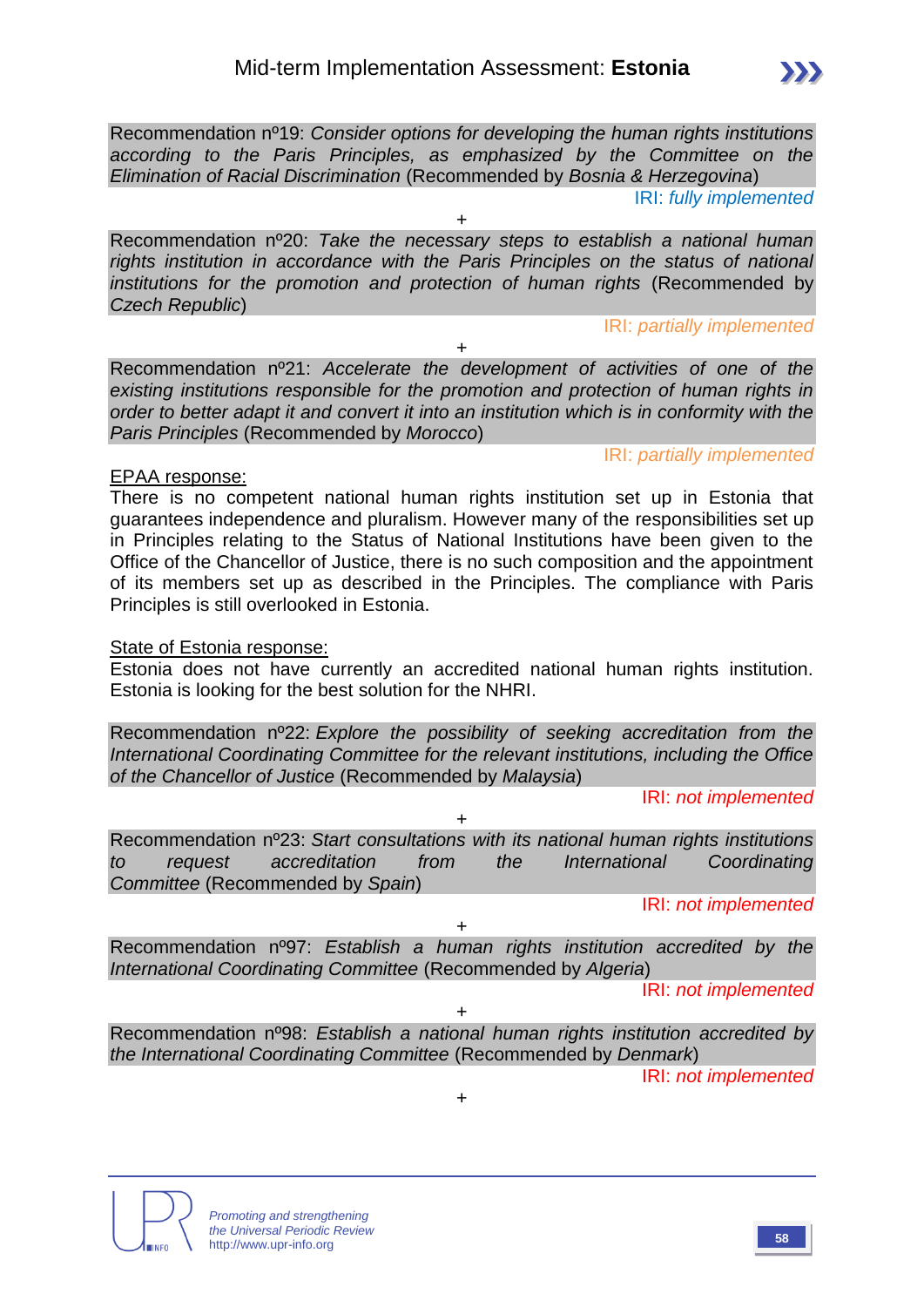Recommendation nº19: *Consider options for developing the human rights institutions according to the Paris Principles, as emphasized by the Committee on the Elimination of Racial Discrimination* (Recommended by *Bosnia & Herzegovina*)

IRI: *fully implemented*

Recommendation nº20: *Take the necessary steps to establish a national human rights institution in accordance with the Paris Principles on the status of national institutions for the promotion and protection of human rights* (Recommended by *Czech Republic*)

+

IRI: *partially implemented*

IRI: *partially implemented*

Recommendation nº21: *Accelerate the development of activities of one of the existing institutions responsible for the promotion and protection of human rights in order to better adapt it and convert it into an institution which is in conformity with the Paris Principles* (Recommended by *Morocco*)

+

#### EPAA response:

There is no competent national human rights institution set up in Estonia that guarantees independence and pluralism. However many of the responsibilities set up in Principles relating to the Status of National Institutions have been given to the Office of the Chancellor of Justice, there is no such composition and the appointment of its members set up as described in the Principles. The compliance with Paris Principles is still overlooked in Estonia.

#### State of Estonia response:

Estonia does not have currently an accredited national human rights institution. Estonia is looking for the best solution for the NHRI.

Recommendation nº22: *Explore the possibility of seeking accreditation from the International Coordinating Committee for the relevant institutions, including the Office of the Chancellor of Justice* (Recommended by *Malaysia*)

IRI: *not implemented*

Recommendation nº23: *Start consultations with its national human rights institutions to request accreditation from the International Coordinating Committee* (Recommended by *Spain*)

+

IRI: *not implemented*

Recommendation nº97: *Establish a human rights institution accredited by the International Coordinating Committee* (Recommended by *Algeria*)

 $+$ 

IRI: *not implemented*

Recommendation nº98: *Establish a national human rights institution accredited by the International Coordinating Committee* (Recommended by *Denmark*)

+

 $+$ 

IRI: *not implemented*

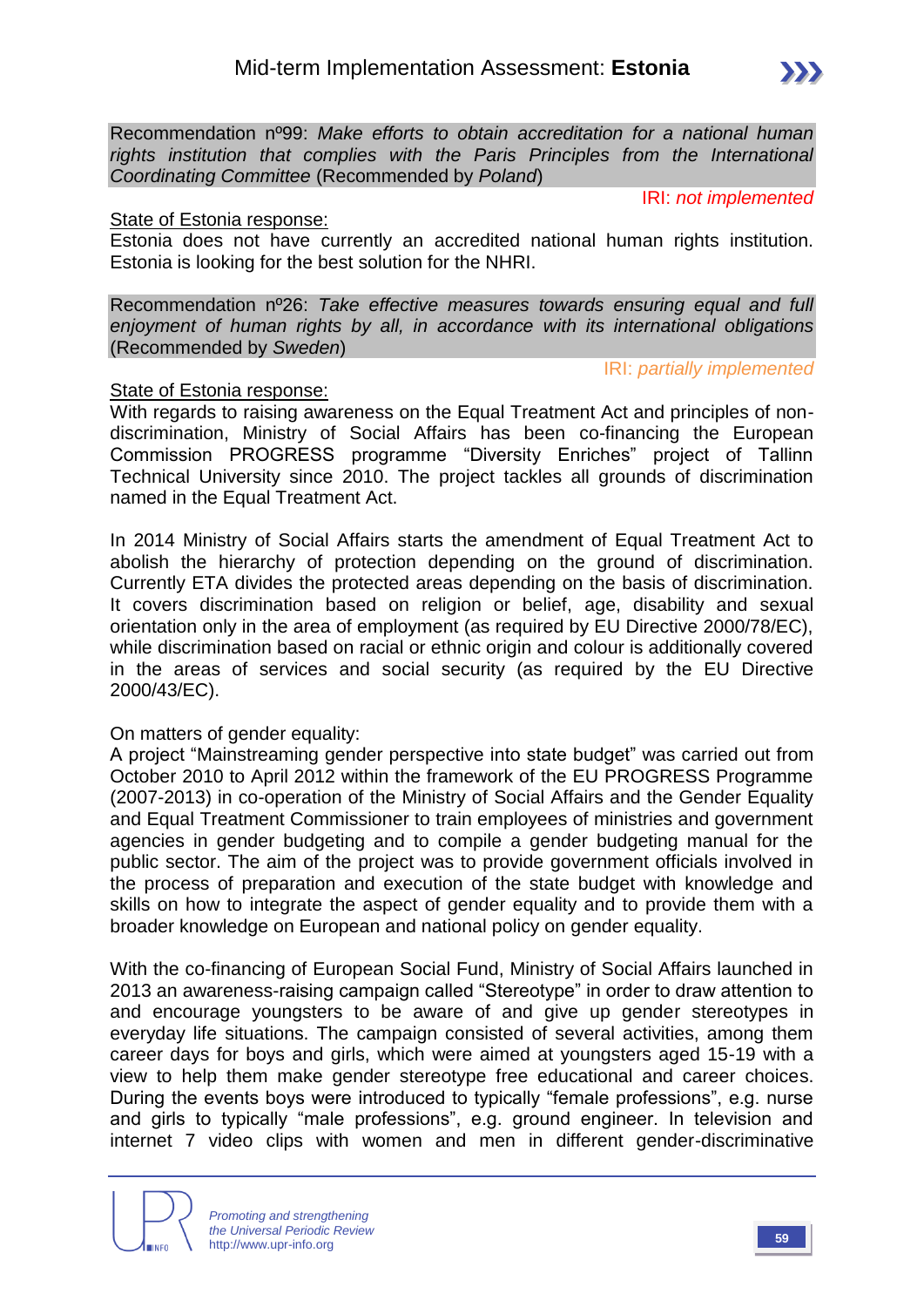Recommendation nº99: *Make efforts to obtain accreditation for a national human rights institution that complies with the Paris Principles from the International Coordinating Committee* (Recommended by *Poland*)

IRI: *not implemented*

#### State of Estonia response:

Estonia does not have currently an accredited national human rights institution. Estonia is looking for the best solution for the NHRI.

Recommendation nº26: *Take effective measures towards ensuring equal and full enjoyment of human rights by all, in accordance with its international obligations* (Recommended by *Sweden*)

#### IRI: *partially implemented*

#### State of Estonia response:

With regards to raising awareness on the Equal Treatment Act and principles of nondiscrimination, Ministry of Social Affairs has been co-financing the European Commission PROGRESS programme "Diversity Enriches" project of Tallinn Technical University since 2010. The project tackles all grounds of discrimination named in the Equal Treatment Act.

In 2014 Ministry of Social Affairs starts the amendment of Equal Treatment Act to abolish the hierarchy of protection depending on the ground of discrimination. Currently ETA divides the protected areas depending on the basis of discrimination. It covers discrimination based on religion or belief, age, disability and sexual orientation only in the area of employment (as required by EU Directive 2000/78/EC), while discrimination based on racial or ethnic origin and colour is additionally covered in the areas of services and social security (as required by the EU Directive 2000/43/EC).

#### On matters of gender equality:

A project "Mainstreaming gender perspective into state budget" was carried out from October 2010 to April 2012 within the framework of the EU PROGRESS Programme (2007-2013) in co-operation of the Ministry of Social Affairs and the Gender Equality and Equal Treatment Commissioner to train employees of ministries and government agencies in gender budgeting and to compile a gender budgeting manual for the public sector. The aim of the project was to provide government officials involved in the process of preparation and execution of the state budget with knowledge and skills on how to integrate the aspect of gender equality and to provide them with a broader knowledge on European and national policy on gender equality.

With the co-financing of European Social Fund, Ministry of Social Affairs launched in 2013 an awareness-raising campaign called "Stereotype" in order to draw attention to and encourage youngsters to be aware of and give up gender stereotypes in everyday life situations. The campaign consisted of several activities, among them career days for boys and girls, which were aimed at youngsters aged 15-19 with a view to help them make gender stereotype free educational and career choices. During the events boys were introduced to typically "female professions", e.g. nurse and girls to typically "male professions", e.g. ground engineer. In television and internet 7 video clips with women and men in different gender-discriminative

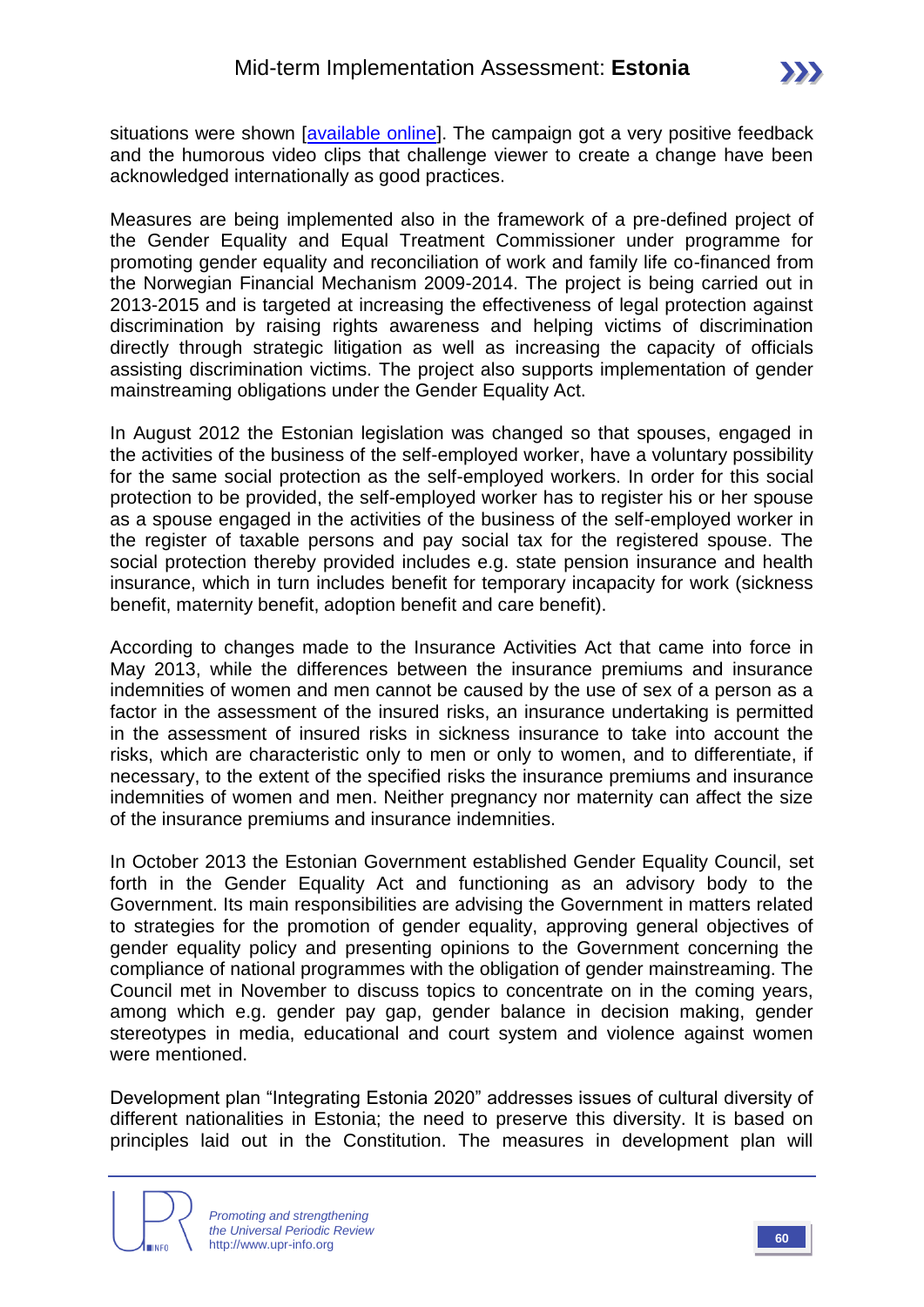situations were shown *lavailable onlinel*. The campaign got a very positive feedback and the humorous video clips that challenge viewer to create a change have been acknowledged internationally as good practices.

Measures are being implemented also in the framework of a pre-defined project of the Gender Equality and Equal Treatment Commissioner under programme for promoting gender equality and reconciliation of work and family life co-financed from the Norwegian Financial Mechanism 2009-2014. The project is being carried out in 2013-2015 and is targeted at increasing the effectiveness of legal protection against discrimination by raising rights awareness and helping victims of discrimination directly through strategic litigation as well as increasing the capacity of officials assisting discrimination victims. The project also supports implementation of gender mainstreaming obligations under the Gender Equality Act.

In August 2012 the Estonian legislation was changed so that spouses, engaged in the activities of the business of the self-employed worker, have a voluntary possibility for the same social protection as the self-employed workers. In order for this social protection to be provided, the self-employed worker has to register his or her spouse as a spouse engaged in the activities of the business of the self-employed worker in the register of taxable persons and pay social tax for the registered spouse. The social protection thereby provided includes e.g. state pension insurance and health insurance, which in turn includes benefit for temporary incapacity for work (sickness benefit, maternity benefit, adoption benefit and care benefit).

According to changes made to the Insurance Activities Act that came into force in May 2013, while the differences between the insurance premiums and insurance indemnities of women and men cannot be caused by the use of sex of a person as a factor in the assessment of the insured risks, an insurance undertaking is permitted in the assessment of insured risks in sickness insurance to take into account the risks, which are characteristic only to men or only to women, and to differentiate, if necessary, to the extent of the specified risks the insurance premiums and insurance indemnities of women and men. Neither pregnancy nor maternity can affect the size of the insurance premiums and insurance indemnities.

In October 2013 the Estonian Government established Gender Equality Council, set forth in the Gender Equality Act and functioning as an advisory body to the Government. Its main responsibilities are advising the Government in matters related to strategies for the promotion of gender equality, approving general objectives of gender equality policy and presenting opinions to the Government concerning the compliance of national programmes with the obligation of gender mainstreaming. The Council met in November to discuss topics to concentrate on in the coming years, among which e.g. gender pay gap, gender balance in decision making, gender stereotypes in media, educational and court system and violence against women were mentioned.

Development plan "Integrating Estonia 2020" addresses issues of cultural diversity of different nationalities in Estonia; the need to preserve this diversity. It is based on principles laid out in the Constitution. The measures in development plan will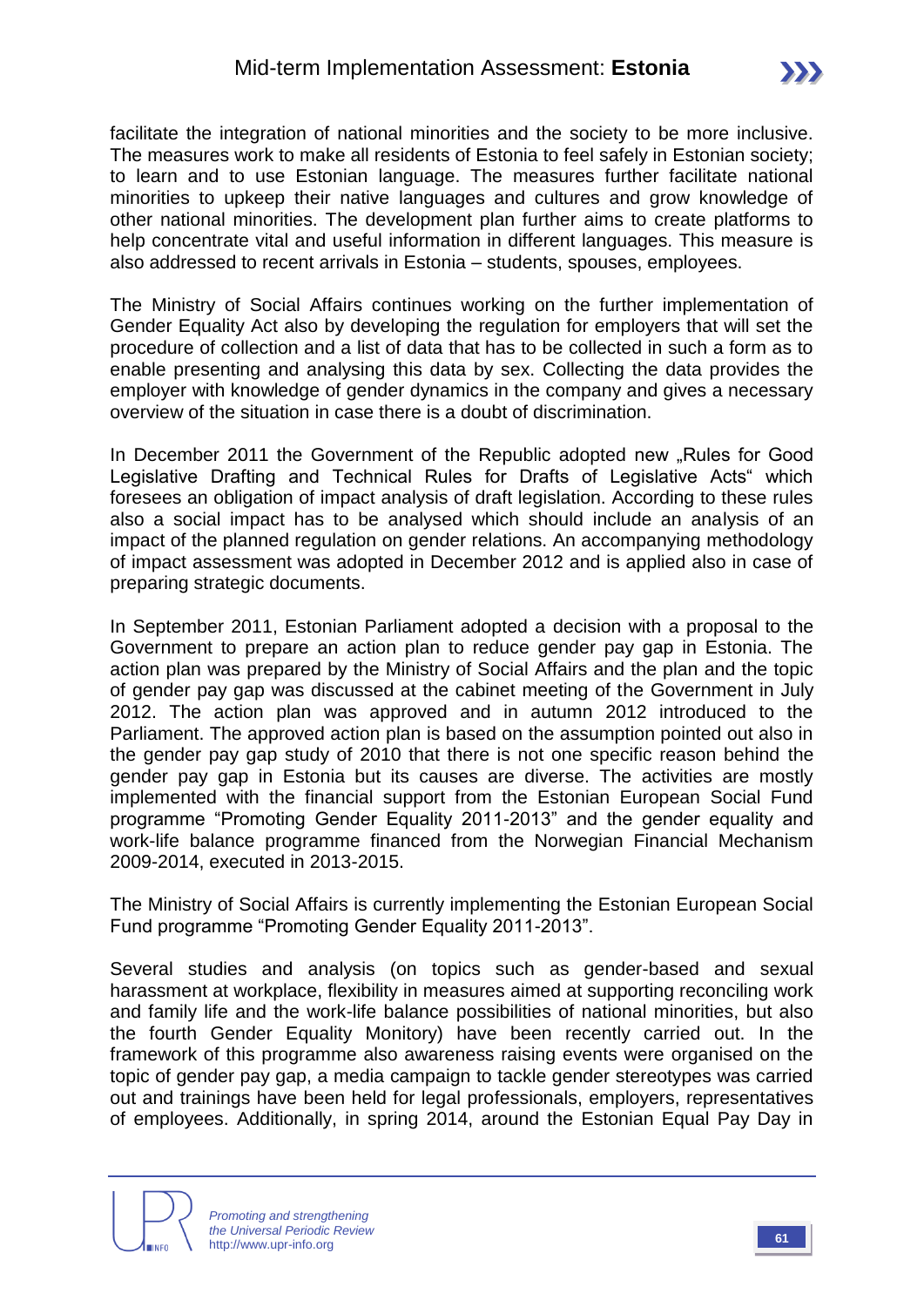facilitate the integration of national minorities and the society to be more inclusive. The measures work to make all residents of Estonia to feel safely in Estonian society; to learn and to use Estonian language. The measures further facilitate national minorities to upkeep their native languages and cultures and grow knowledge of other national minorities. The development plan further aims to create platforms to help concentrate vital and useful information in different languages. This measure is also addressed to recent arrivals in Estonia – students, spouses, employees.

The Ministry of Social Affairs continues working on the further implementation of Gender Equality Act also by developing the regulation for employers that will set the procedure of collection and a list of data that has to be collected in such a form as to enable presenting and analysing this data by sex. Collecting the data provides the employer with knowledge of gender dynamics in the company and gives a necessary overview of the situation in case there is a doubt of discrimination.

In December 2011 the Government of the Republic adopted new "Rules for Good Legislative Drafting and Technical Rules for Drafts of Legislative Acts" which foresees an obligation of impact analysis of draft legislation. According to these rules also a social impact has to be analysed which should include an analysis of an impact of the planned regulation on gender relations. An accompanying methodology of impact assessment was adopted in December 2012 and is applied also in case of preparing strategic documents.

In September 2011, Estonian Parliament adopted a decision with a proposal to the Government to prepare an action plan to reduce gender pay gap in Estonia. The action plan was prepared by the Ministry of Social Affairs and the plan and the topic of gender pay gap was discussed at the cabinet meeting of the Government in July 2012. The action plan was approved and in autumn 2012 introduced to the Parliament. The approved action plan is based on the assumption pointed out also in the gender pay gap study of 2010 that there is not one specific reason behind the gender pay gap in Estonia but its causes are diverse. The activities are mostly implemented with the financial support from the Estonian European Social Fund programme "Promoting Gender Equality 2011-2013" and the gender equality and work-life balance programme financed from the Norwegian Financial Mechanism 2009-2014, executed in 2013-2015.

The Ministry of Social Affairs is currently implementing the Estonian European Social Fund programme "Promoting Gender Equality 2011-2013".

Several studies and analysis (on topics such as gender-based and sexual harassment at workplace, flexibility in measures aimed at supporting reconciling work and family life and the work-life balance possibilities of national minorities, but also the fourth Gender Equality Monitory) have been recently carried out. In the framework of this programme also awareness raising events were organised on the topic of gender pay gap, a media campaign to tackle gender stereotypes was carried out and trainings have been held for legal professionals, employers, representatives of employees. Additionally, in spring 2014, around the Estonian Equal Pay Day in

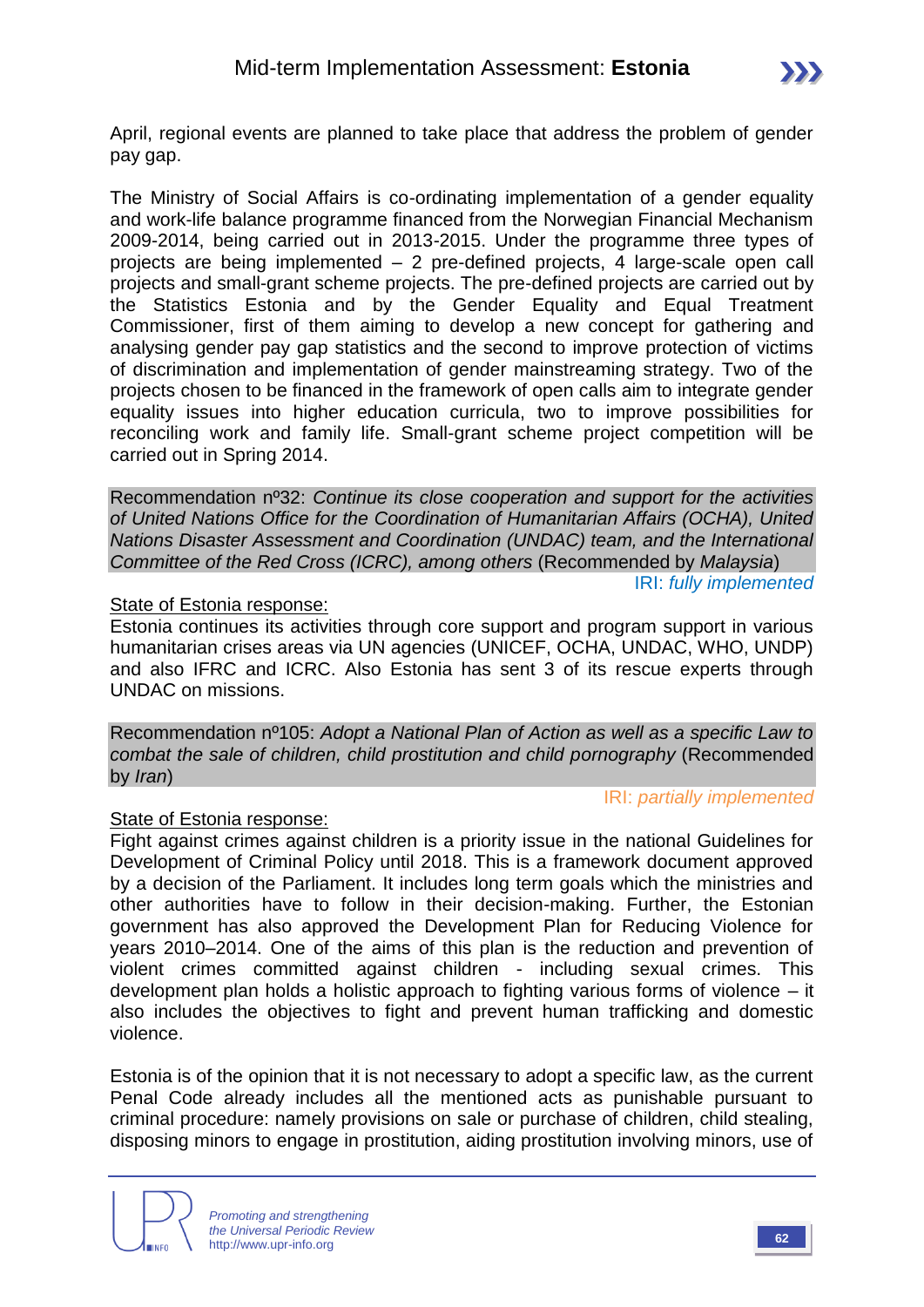April, regional events are planned to take place that address the problem of gender pay gap.

The Ministry of Social Affairs is co-ordinating implementation of a gender equality and work-life balance programme financed from the Norwegian Financial Mechanism 2009-2014, being carried out in 2013-2015. Under the programme three types of projects are being implemented – 2 pre-defined projects, 4 large-scale open call projects and small-grant scheme projects. The pre-defined projects are carried out by the Statistics Estonia and by the Gender Equality and Equal Treatment Commissioner, first of them aiming to develop a new concept for gathering and analysing gender pay gap statistics and the second to improve protection of victims of discrimination and implementation of gender mainstreaming strategy. Two of the projects chosen to be financed in the framework of open calls aim to integrate gender equality issues into higher education curricula, two to improve possibilities for reconciling work and family life. Small-grant scheme project competition will be carried out in Spring 2014.

Recommendation nº32: *Continue its close cooperation and support for the activities of United Nations Office for the Coordination of Humanitarian Affairs (OCHA), United Nations Disaster Assessment and Coordination (UNDAC) team, and the International Committee of the Red Cross (ICRC), among others* (Recommended by *Malaysia*)

IRI: *fully implemented*

#### State of Estonia response:

Estonia continues its activities through core support and program support in various humanitarian crises areas via UN agencies (UNICEF, OCHA, UNDAC, WHO, UNDP) and also IFRC and ICRC. Also Estonia has sent 3 of its rescue experts through UNDAC on missions.

Recommendation nº105: *Adopt a National Plan of Action as well as a specific Law to combat the sale of children, child prostitution and child pornography* (Recommended by *Iran*)

#### IRI: *partially implemented*

#### State of Estonia response:

Fight against crimes against children is a priority issue in the national Guidelines for Development of Criminal Policy until 2018. This is a framework document approved by a decision of the Parliament. It includes long term goals which the ministries and other authorities have to follow in their decision-making. Further, the Estonian government has also approved the Development Plan for Reducing Violence for years 2010–2014. One of the aims of this plan is the reduction and prevention of violent crimes committed against children - including sexual crimes. This development plan holds a holistic approach to fighting various forms of violence – it also includes the objectives to fight and prevent human trafficking and domestic violence.

Estonia is of the opinion that it is not necessary to adopt a specific law, as the current Penal Code already includes all the mentioned acts as punishable pursuant to criminal procedure: namely provisions on sale or purchase of children, child stealing, disposing minors to engage in prostitution, aiding prostitution involving minors, use of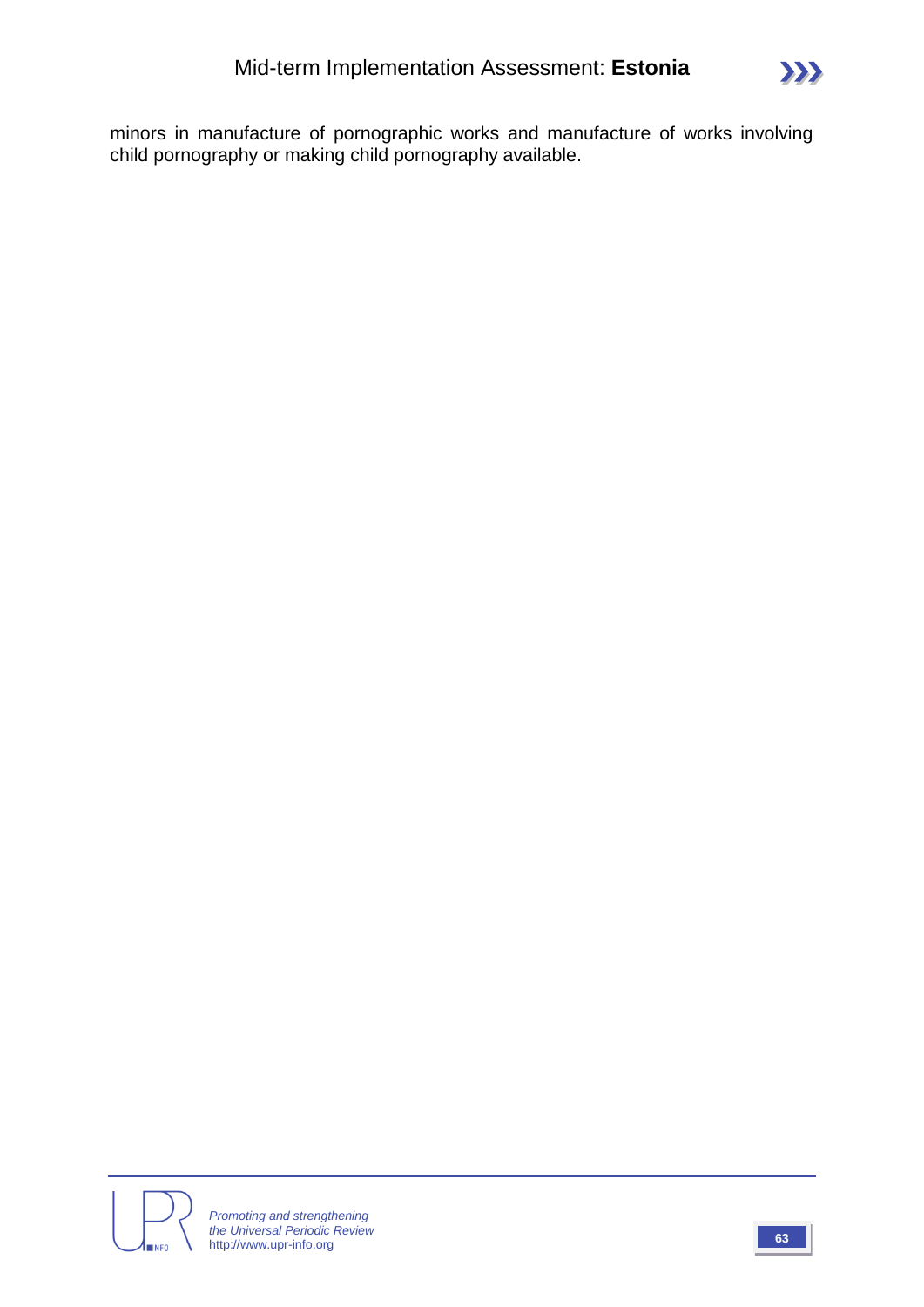minors in manufacture of pornographic works and manufacture of works involving child pornography or making child pornography available.

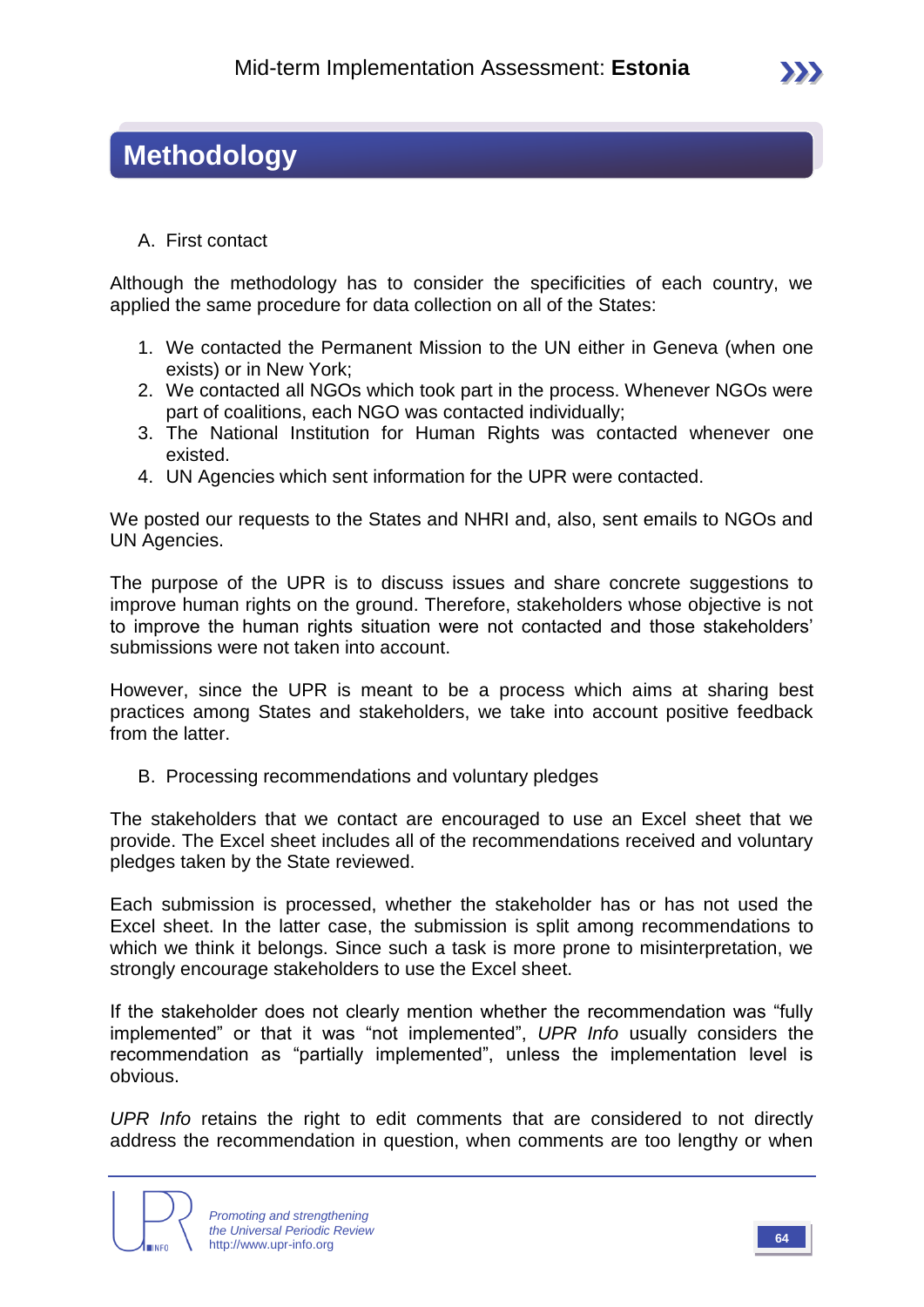### **Methodology**

A. First contact

Although the methodology has to consider the specificities of each country, we applied the same procedure for data collection on all of the States:

- 1. We contacted the Permanent Mission to the UN either in Geneva (when one exists) or in New York;
- 2. We contacted all NGOs which took part in the process. Whenever NGOs were part of coalitions, each NGO was contacted individually;
- 3. The National Institution for Human Rights was contacted whenever one existed.
- 4. UN Agencies which sent information for the UPR were contacted.

We posted our requests to the States and NHRI and, also, sent emails to NGOs and UN Agencies.

The purpose of the UPR is to discuss issues and share concrete suggestions to improve human rights on the ground. Therefore, stakeholders whose objective is not to improve the human rights situation were not contacted and those stakeholders' submissions were not taken into account.

However, since the UPR is meant to be a process which aims at sharing best practices among States and stakeholders, we take into account positive feedback from the latter.

B. Processing recommendations and voluntary pledges

The stakeholders that we contact are encouraged to use an Excel sheet that we provide. The Excel sheet includes all of the recommendations received and voluntary pledges taken by the State reviewed.

Each submission is processed, whether the stakeholder has or has not used the Excel sheet. In the latter case, the submission is split among recommendations to which we think it belongs. Since such a task is more prone to misinterpretation, we strongly encourage stakeholders to use the Excel sheet.

If the stakeholder does not clearly mention whether the recommendation was "fully implemented" or that it was "not implemented", *UPR Info* usually considers the recommendation as "partially implemented", unless the implementation level is obvious.

*UPR Info* retains the right to edit comments that are considered to not directly address the recommendation in question, when comments are too lengthy or when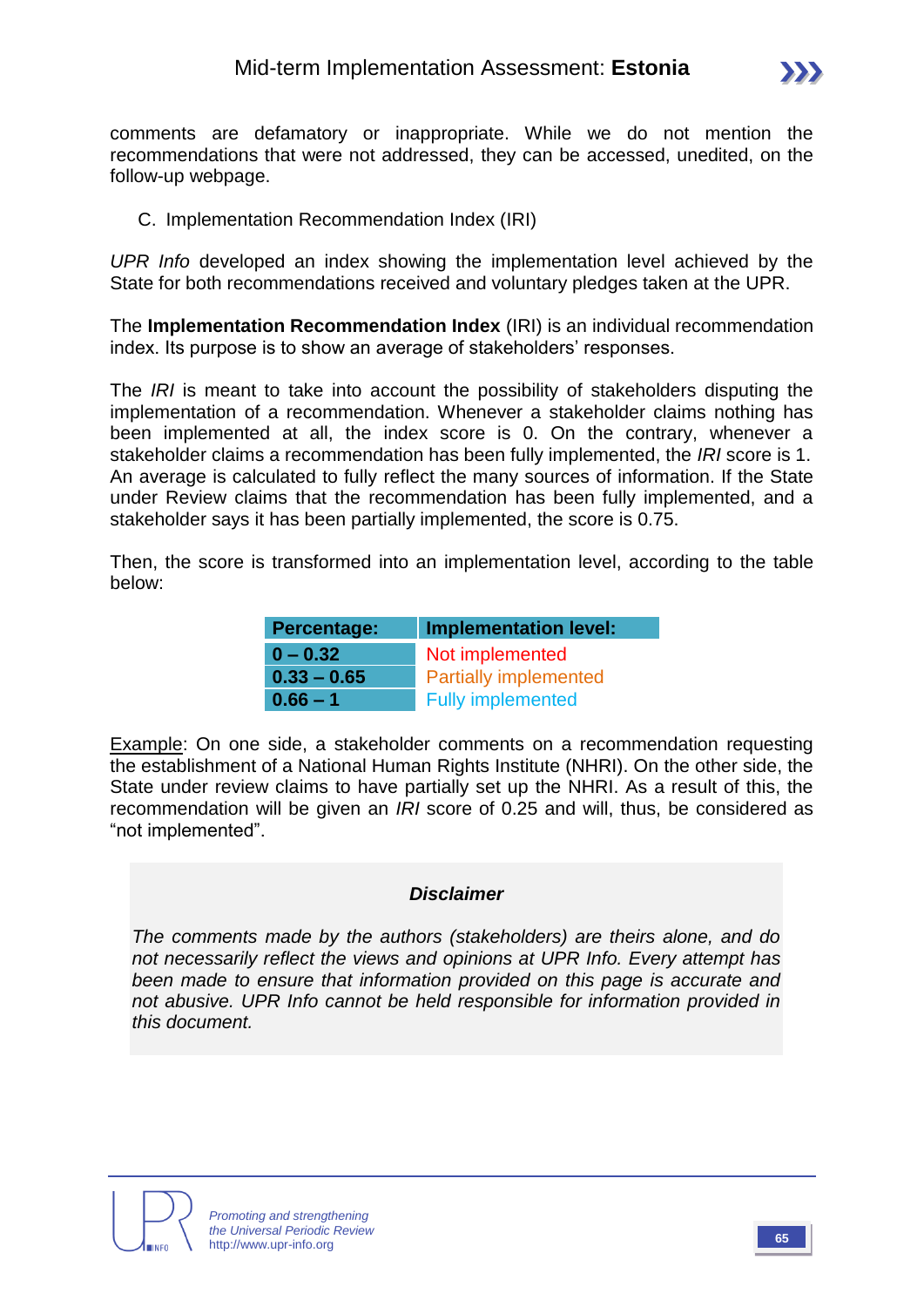

comments are defamatory or inappropriate. While we do not mention the recommendations that were not addressed, they can be accessed, unedited, on the follow-up webpage.

#### C. Implementation Recommendation Index (IRI)

*UPR Info* developed an index showing the implementation level achieved by the State for both recommendations received and voluntary pledges taken at the UPR.

The **Implementation Recommendation Index** (IRI) is an individual recommendation index. Its purpose is to show an average of stakeholders' responses.

The *IRI* is meant to take into account the possibility of stakeholders disputing the implementation of a recommendation. Whenever a stakeholder claims nothing has been implemented at all, the index score is 0. On the contrary, whenever a stakeholder claims a recommendation has been fully implemented, the *IRI* score is 1. An average is calculated to fully reflect the many sources of information. If the State under Review claims that the recommendation has been fully implemented, and a stakeholder says it has been partially implemented, the score is 0.75.

Then, the score is transformed into an implementation level, according to the table below:

| Percentage:   | <b>Implementation level:</b> |
|---------------|------------------------------|
| $0 - 0.32$    | Not implemented              |
| $0.33 - 0.65$ | <b>Partially implemented</b> |
| $0.66 - 1$    | <b>Fully implemented</b>     |

Example: On one side, a stakeholder comments on a recommendation requesting the establishment of a National Human Rights Institute (NHRI). On the other side, the State under review claims to have partially set up the NHRI. As a result of this, the recommendation will be given an *IRI* score of 0.25 and will, thus, be considered as "not implemented".

#### *Disclaimer*

*The comments made by the authors (stakeholders) are theirs alone, and do not necessarily reflect the views and opinions at UPR Info. Every attempt has been made to ensure that information provided on this page is accurate and not abusive. UPR Info cannot be held responsible for information provided in this document.*



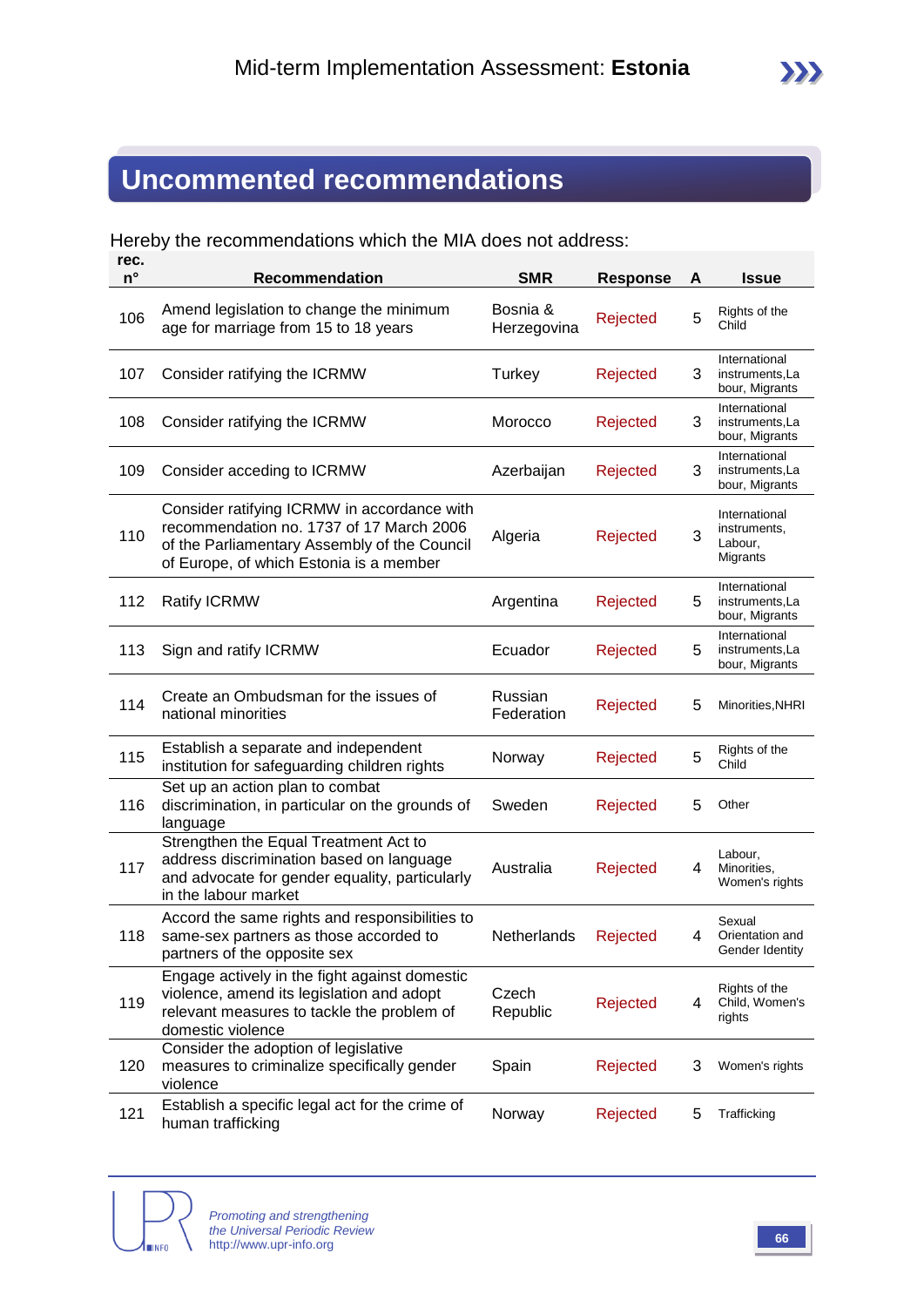## **Uncommented recommendations**

Hereby the recommendations which the MIA does not address:

| rec.<br>$n^{\circ}$ | <b>Recommendation</b>                                                                                                                                                              | <b>SMR</b>              | <b>Response</b> | A | <b>Issue</b>                                         |
|---------------------|------------------------------------------------------------------------------------------------------------------------------------------------------------------------------------|-------------------------|-----------------|---|------------------------------------------------------|
| 106                 | Amend legislation to change the minimum<br>age for marriage from 15 to 18 years                                                                                                    | Bosnia &<br>Herzegovina | Rejected        | 5 | Rights of the<br>Child                               |
| 107                 | Consider ratifying the ICRMW                                                                                                                                                       | Turkey                  | Rejected        | 3 | International<br>instruments, La<br>bour, Migrants   |
| 108                 | Consider ratifying the ICRMW                                                                                                                                                       | Morocco                 | Rejected        | 3 | International<br>instruments,La<br>bour, Migrants    |
| 109                 | Consider acceding to ICRMW                                                                                                                                                         | Azerbaijan              | Rejected        | 3 | International<br>instruments, La<br>bour, Migrants   |
| 110                 | Consider ratifying ICRMW in accordance with<br>recommendation no. 1737 of 17 March 2006<br>of the Parliamentary Assembly of the Council<br>of Europe, of which Estonia is a member | Algeria                 | Rejected        | 3 | International<br>instruments,<br>Labour,<br>Migrants |
| 112                 | <b>Ratify ICRMW</b>                                                                                                                                                                | Argentina               | Rejected        | 5 | International<br>instruments, La<br>bour, Migrants   |
| 113                 | Sign and ratify ICRMW                                                                                                                                                              | Ecuador                 | Rejected        | 5 | International<br>instruments.La<br>bour, Migrants    |
| 114                 | Create an Ombudsman for the issues of<br>national minorities                                                                                                                       | Russian<br>Federation   | Rejected        | 5 | Minorities, NHRI                                     |
| 115                 | Establish a separate and independent<br>institution for safeguarding children rights                                                                                               | Norway                  | Rejected        | 5 | Rights of the<br>Child                               |
| 116                 | Set up an action plan to combat<br>discrimination, in particular on the grounds of<br>language                                                                                     | Sweden                  | Rejected        | 5 | Other                                                |
| 117                 | Strengthen the Equal Treatment Act to<br>address discrimination based on language<br>and advocate for gender equality, particularly<br>in the labour market                        | Australia               | Rejected        | 4 | Labour,<br>Minorities,<br>Women's rights             |
| 118                 | Accord the same rights and responsibilities to<br>same-sex partners as those accorded to<br>partners of the opposite sex                                                           | Netherlands             | Rejected        | 4 | Sexual<br>Orientation and<br>Gender Identity         |
| 119                 | Engage actively in the fight against domestic<br>violence, amend its legislation and adopt<br>relevant measures to tackle the problem of<br>domestic violence                      | Czech<br>Republic       | Rejected        | 4 | Rights of the<br>Child, Women's<br>rights            |
| 120                 | Consider the adoption of legislative<br>measures to criminalize specifically gender<br>violence                                                                                    | Spain                   | Rejected        | 3 | Women's rights                                       |
| 121                 | Establish a specific legal act for the crime of<br>human trafficking                                                                                                               | Norway                  | Rejected        | 5 | Trafficking                                          |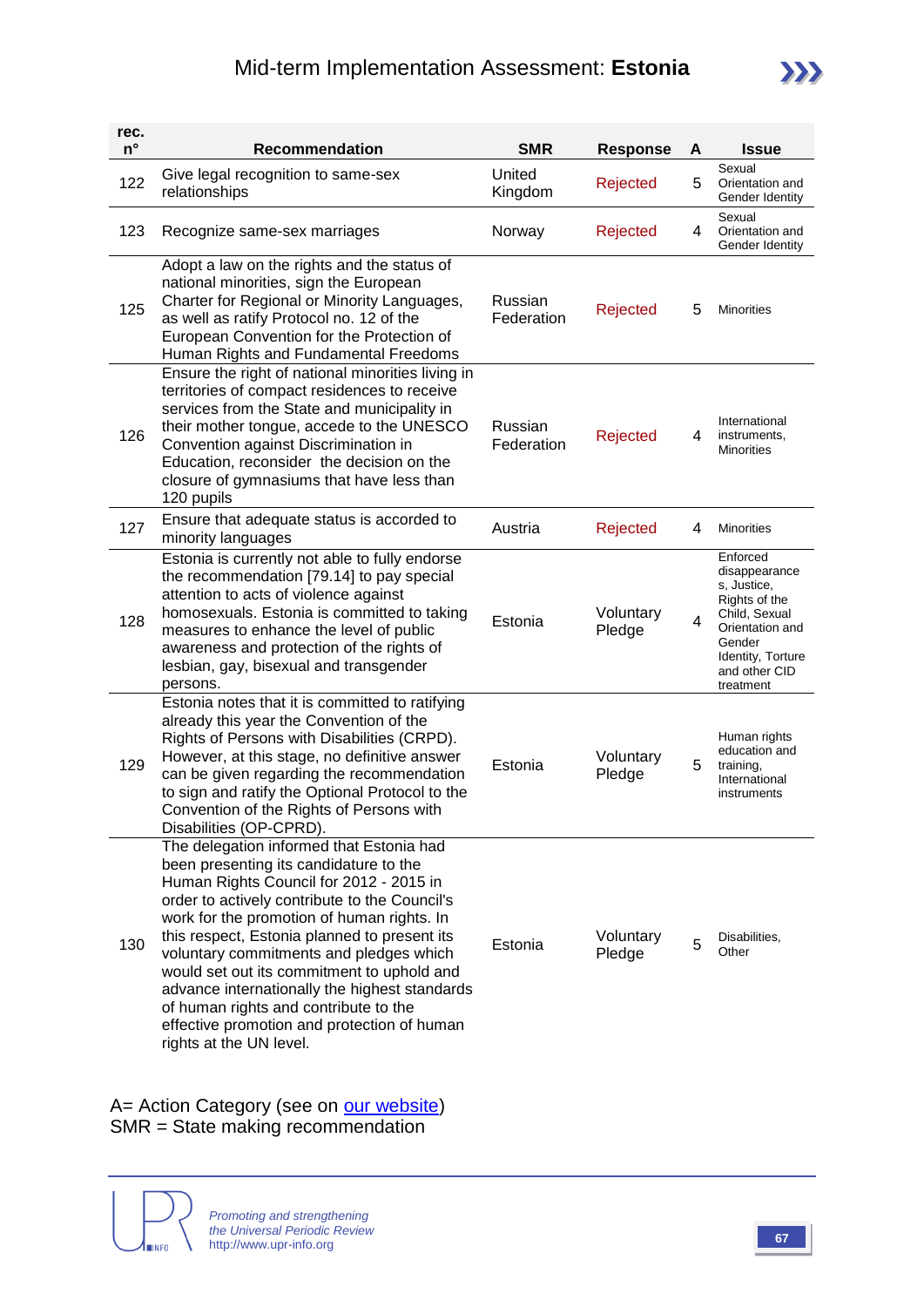

| rec.<br>$n^{\circ}$ | <b>Recommendation</b>                                                                                                                                                                                                                                                                                                                                                                                                                                                                                                                     | <b>SMR</b>            | <b>Response</b>     | A | <b>Issue</b>                                                                                                                                               |
|---------------------|-------------------------------------------------------------------------------------------------------------------------------------------------------------------------------------------------------------------------------------------------------------------------------------------------------------------------------------------------------------------------------------------------------------------------------------------------------------------------------------------------------------------------------------------|-----------------------|---------------------|---|------------------------------------------------------------------------------------------------------------------------------------------------------------|
| 122                 | Give legal recognition to same-sex<br>relationships                                                                                                                                                                                                                                                                                                                                                                                                                                                                                       | United<br>Kingdom     | Rejected            | 5 | Sexual<br>Orientation and<br>Gender Identity                                                                                                               |
| 123                 | Recognize same-sex marriages                                                                                                                                                                                                                                                                                                                                                                                                                                                                                                              | Norway                | Rejected            | 4 | Sexual<br>Orientation and<br>Gender Identity                                                                                                               |
| 125                 | Adopt a law on the rights and the status of<br>national minorities, sign the European<br>Charter for Regional or Minority Languages,<br>as well as ratify Protocol no. 12 of the<br>European Convention for the Protection of<br>Human Rights and Fundamental Freedoms                                                                                                                                                                                                                                                                    | Russian<br>Federation | Rejected            | 5 | Minorities                                                                                                                                                 |
| 126                 | Ensure the right of national minorities living in<br>territories of compact residences to receive<br>services from the State and municipality in<br>their mother tongue, accede to the UNESCO<br>Convention against Discrimination in<br>Education, reconsider the decision on the<br>closure of gymnasiums that have less than<br>120 pupils                                                                                                                                                                                             | Russian<br>Federation | Rejected            | 4 | International<br>instruments,<br><b>Minorities</b>                                                                                                         |
| 127                 | Ensure that adequate status is accorded to<br>minority languages                                                                                                                                                                                                                                                                                                                                                                                                                                                                          | Austria               | Rejected            | 4 | <b>Minorities</b>                                                                                                                                          |
| 128                 | Estonia is currently not able to fully endorse<br>the recommendation [79.14] to pay special<br>attention to acts of violence against<br>homosexuals. Estonia is committed to taking<br>measures to enhance the level of public<br>awareness and protection of the rights of<br>lesbian, gay, bisexual and transgender<br>persons.                                                                                                                                                                                                         | Estonia               | Voluntary<br>Pledge | 4 | Enforced<br>disappearance<br>s, Justice,<br>Rights of the<br>Child, Sexual<br>Orientation and<br>Gender<br>Identity, Torture<br>and other CID<br>treatment |
| 129                 | Estonia notes that it is committed to ratifying<br>already this year the Convention of the<br>Rights of Persons with Disabilities (CRPD).<br>However, at this stage, no definitive answer<br>can be given regarding the recommendation<br>to sign and ratify the Optional Protocol to the<br>Convention of the Rights of Persons with<br>Disabilities (OP-CPRD).                                                                                                                                                                          | Estonia               | Voluntary<br>Pledge | 5 | Human rights<br>education and<br>training,<br>International<br>instruments                                                                                 |
| 130                 | The delegation informed that Estonia had<br>been presenting its candidature to the<br>Human Rights Council for 2012 - 2015 in<br>order to actively contribute to the Council's<br>work for the promotion of human rights. In<br>this respect, Estonia planned to present its<br>voluntary commitments and pledges which<br>would set out its commitment to uphold and<br>advance internationally the highest standards<br>of human rights and contribute to the<br>effective promotion and protection of human<br>rights at the UN level. | Estonia               | Voluntary<br>Pledge | 5 | Disabilities,<br>Other                                                                                                                                     |

A= Action Category (see on **our website)** SMR = State making recommendation

**INFO**